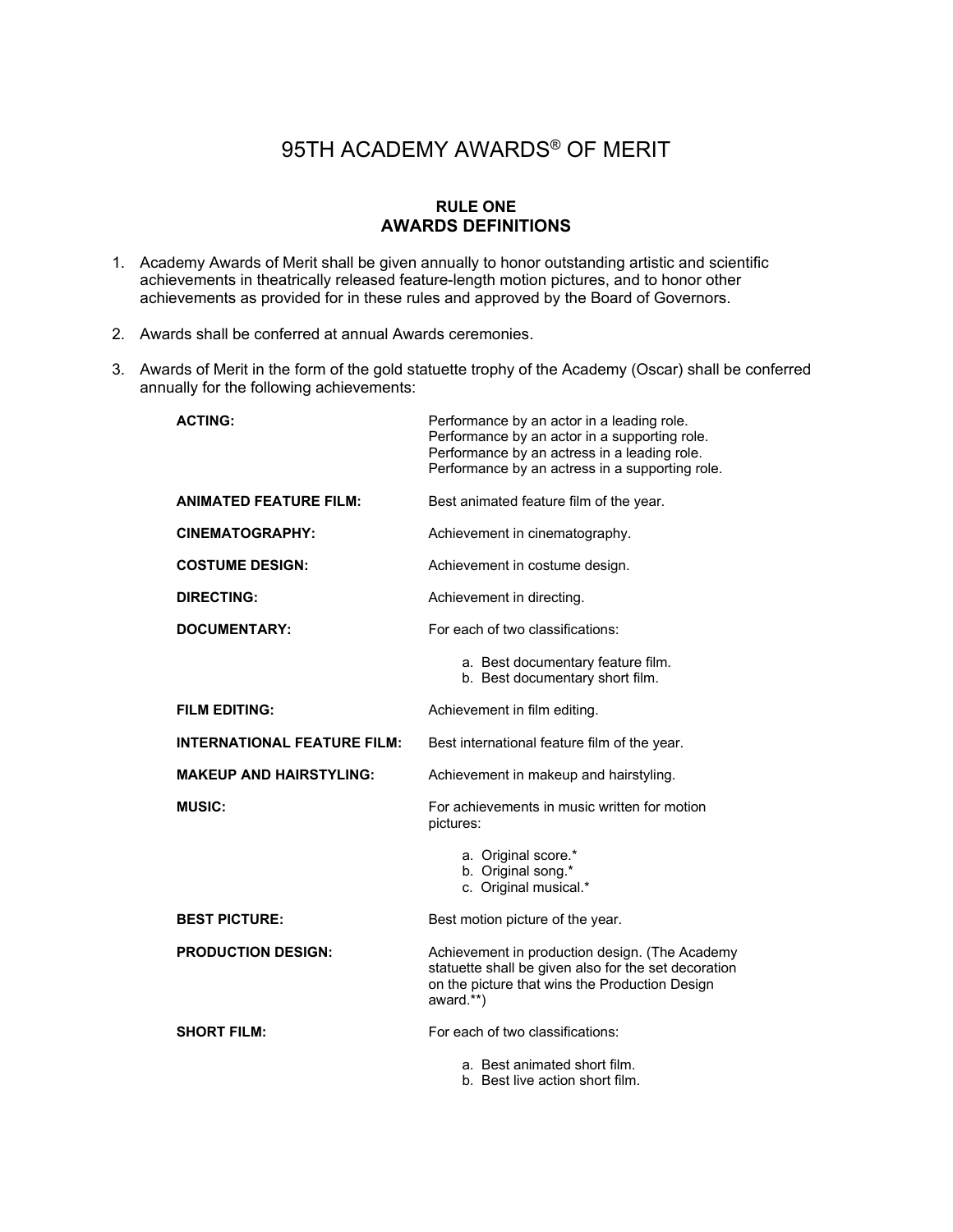# 95TH ACADEMY AWARDS® OF MERIT

# **RULE ONE AWARDS DEFINITIONS**

- 1. Academy Awards of Merit shall be given annually to honor outstanding artistic and scientific achievements in theatrically released feature-length motion pictures, and to honor other achievements as provided for in these rules and approved by the Board of Governors.
- 2. Awards shall be conferred at annual Awards ceremonies.
- 3. Awards of Merit in the form of the gold statuette trophy of the Academy (Oscar) shall be conferred annually for the following achievements:

| <b>ACTING:</b>                     | Performance by an actor in a leading role.<br>Performance by an actor in a supporting role.<br>Performance by an actress in a leading role.<br>Performance by an actress in a supporting role. |
|------------------------------------|------------------------------------------------------------------------------------------------------------------------------------------------------------------------------------------------|
| <b>ANIMATED FEATURE FILM:</b>      | Best animated feature film of the year.                                                                                                                                                        |
| CINEMATOGRAPHY:                    | Achievement in cinematography.                                                                                                                                                                 |
| <b>COSTUME DESIGN:</b>             | Achievement in costume design.                                                                                                                                                                 |
| <b>DIRECTING:</b>                  | Achievement in directing.                                                                                                                                                                      |
| <b>DOCUMENTARY:</b>                | For each of two classifications:                                                                                                                                                               |
|                                    | a. Best documentary feature film.<br>b. Best documentary short film.                                                                                                                           |
| <b>FILM EDITING:</b>               | Achievement in film editing.                                                                                                                                                                   |
| <b>INTERNATIONAL FEATURE FILM:</b> | Best international feature film of the year.                                                                                                                                                   |
| <b>MAKEUP AND HAIRSTYLING:</b>     | Achievement in makeup and hairstyling.                                                                                                                                                         |
| <b>MUSIC:</b>                      | For achievements in music written for motion<br>pictures:                                                                                                                                      |
|                                    | a. Original score.*<br>b. Original song.*<br>c. Original musical.*                                                                                                                             |
| <b>BEST PICTURE:</b>               | Best motion picture of the year.                                                                                                                                                               |
| <b>PRODUCTION DESIGN:</b>          | Achievement in production design. (The Academy<br>statuette shall be given also for the set decoration<br>on the picture that wins the Production Design<br>award.**)                          |
| <b>SHORT FILM:</b>                 | For each of two classifications:                                                                                                                                                               |
|                                    | a. Best animated short film.<br>b. Best live action short film.                                                                                                                                |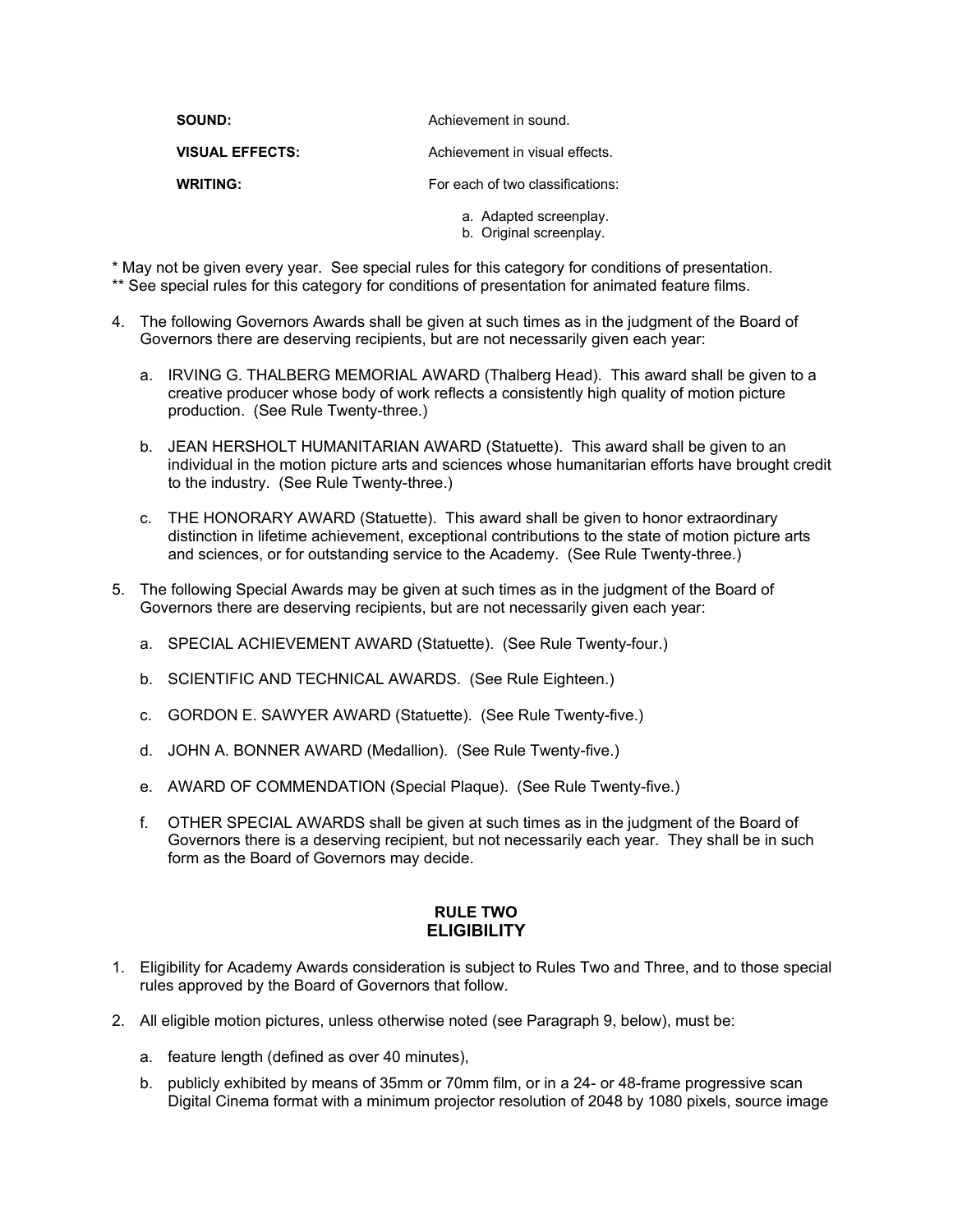| <b>SOUND:</b>          | Achievement in sound.            |
|------------------------|----------------------------------|
| <b>VISUAL EFFECTS:</b> | Achievement in visual effects.   |
| <b>WRITING:</b>        | For each of two classifications: |
|                        | a. Adapted screenplay.           |

\* May not be given every year. See special rules for this category for conditions of presentation.

- \*\* See special rules for this category for conditions of presentation for animated feature films.
- 4. The following Governors Awards shall be given at such times as in the judgment of the Board of Governors there are deserving recipients, but are not necessarily given each year:
	- a. IRVING G. THALBERG MEMORIAL AWARD (Thalberg Head). This award shall be given to a creative producer whose body of work reflects a consistently high quality of motion picture production. (See Rule Twenty-three.)

b. Original screenplay.

- b. JEAN HERSHOLT HUMANITARIAN AWARD (Statuette). This award shall be given to an individual in the motion picture arts and sciences whose humanitarian efforts have brought credit to the industry. (See Rule Twenty-three.)
- c. THE HONORARY AWARD (Statuette). This award shall be given to honor extraordinary distinction in lifetime achievement, exceptional contributions to the state of motion picture arts and sciences, or for outstanding service to the Academy. (See Rule Twenty-three.)
- 5. The following Special Awards may be given at such times as in the judgment of the Board of Governors there are deserving recipients, but are not necessarily given each year:
	- a. SPECIAL ACHIEVEMENT AWARD (Statuette). (See Rule Twenty-four.)
	- b. SCIENTIFIC AND TECHNICAL AWARDS. (See Rule Eighteen.)
	- c. GORDON E. SAWYER AWARD (Statuette). (See Rule Twenty-five.)
	- d. JOHN A. BONNER AWARD (Medallion). (See Rule Twenty-five.)
	- e. AWARD OF COMMENDATION (Special Plaque). (See Rule Twenty-five.)
	- f. OTHER SPECIAL AWARDS shall be given at such times as in the judgment of the Board of Governors there is a deserving recipient, but not necessarily each year. They shall be in such form as the Board of Governors may decide.

### **RULE TWO ELIGIBILITY**

- 1. Eligibility for Academy Awards consideration is subject to Rules Two and Three, and to those special rules approved by the Board of Governors that follow.
- 2. All eligible motion pictures, unless otherwise noted (see Paragraph 9, below), must be:
	- a. feature length (defined as over 40 minutes),
	- b. publicly exhibited by means of 35mm or 70mm film, or in a 24- or 48-frame progressive scan Digital Cinema format with a minimum projector resolution of 2048 by 1080 pixels, source image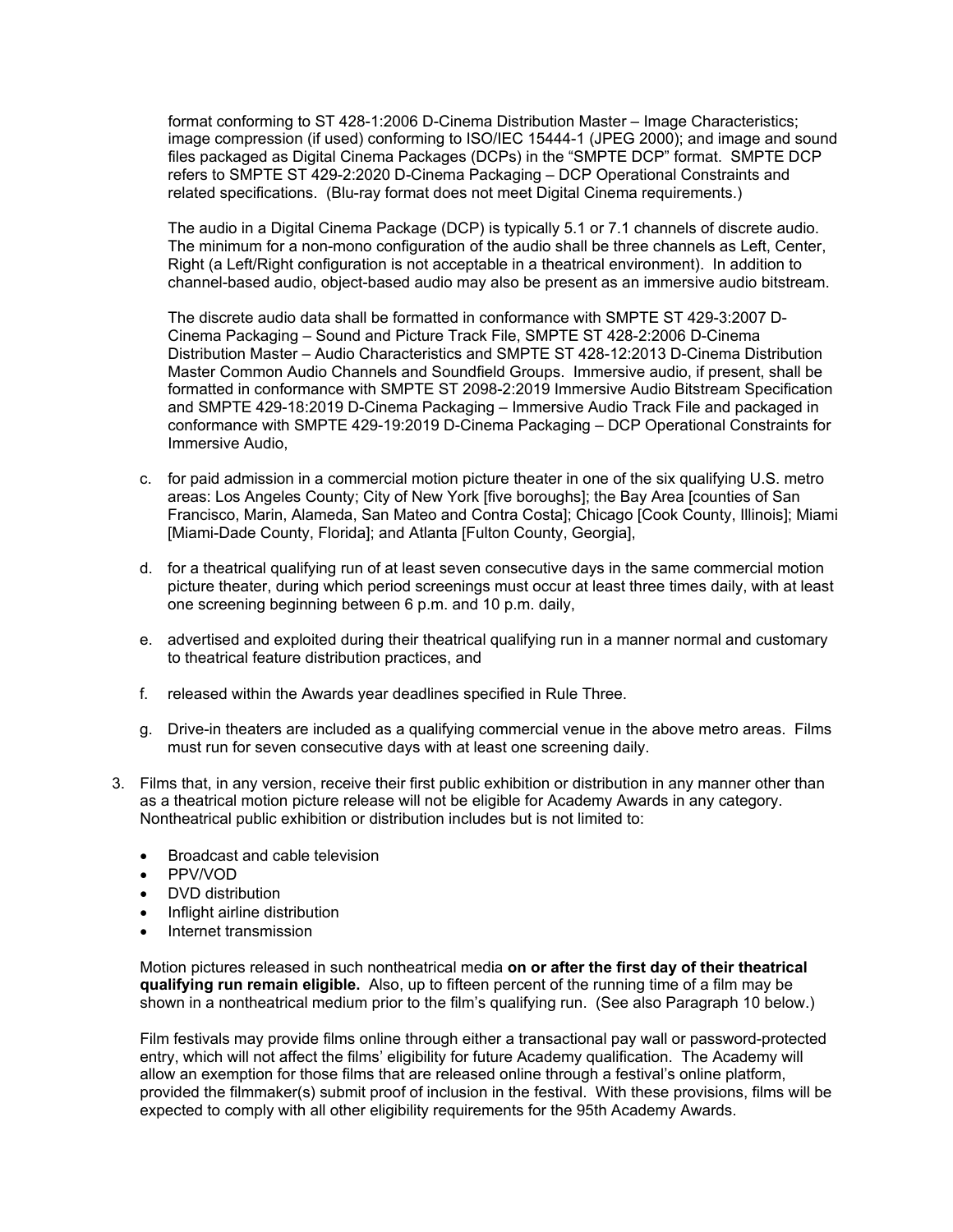format conforming to ST 428-1:2006 D-Cinema Distribution Master – Image Characteristics; image compression (if used) conforming to ISO/IEC 15444-1 (JPEG 2000); and image and sound files packaged as Digital Cinema Packages (DCPs) in the "SMPTE DCP" format. SMPTE DCP refers to SMPTE ST 429-2:2020 D-Cinema Packaging – DCP Operational Constraints and related specifications. (Blu-ray format does not meet Digital Cinema requirements.)

The audio in a Digital Cinema Package (DCP) is typically 5.1 or 7.1 channels of discrete audio. The minimum for a non-mono configuration of the audio shall be three channels as Left, Center, Right (a Left/Right configuration is not acceptable in a theatrical environment). In addition to channel-based audio, object-based audio may also be present as an immersive audio bitstream.

The discrete audio data shall be formatted in conformance with SMPTE ST 429-3:2007 D-Cinema Packaging – Sound and Picture Track File, SMPTE ST 428-2:2006 D-Cinema Distribution Master – Audio Characteristics and SMPTE ST 428-12:2013 D-Cinema Distribution Master Common Audio Channels and Soundfield Groups. Immersive audio, if present, shall be formatted in conformance with SMPTE ST 2098-2:2019 Immersive Audio Bitstream Specification and SMPTE 429-18:2019 D-Cinema Packaging – Immersive Audio Track File and packaged in conformance with SMPTE 429-19:2019 D-Cinema Packaging – DCP Operational Constraints for Immersive Audio,

- c. for paid admission in a commercial motion picture theater in one of the six qualifying U.S. metro areas: Los Angeles County; City of New York [five boroughs]; the Bay Area [counties of San Francisco, Marin, Alameda, San Mateo and Contra Costa]; Chicago [Cook County, Illinois]; Miami [Miami-Dade County, Florida]; and Atlanta [Fulton County, Georgia],
- d. for a theatrical qualifying run of at least seven consecutive days in the same commercial motion picture theater, during which period screenings must occur at least three times daily, with at least one screening beginning between 6 p.m. and 10 p.m. daily,
- e. advertised and exploited during their theatrical qualifying run in a manner normal and customary to theatrical feature distribution practices, and
- f. released within the Awards year deadlines specified in Rule Three.
- g. Drive-in theaters are included as a qualifying commercial venue in the above metro areas. Films must run for seven consecutive days with at least one screening daily.
- 3. Films that, in any version, receive their first public exhibition or distribution in any manner other than as a theatrical motion picture release will not be eligible for Academy Awards in any category. Nontheatrical public exhibition or distribution includes but is not limited to:
	- Broadcast and cable television
	- PPV/VOD
	- DVD distribution
	- Inflight airline distribution
	- Internet transmission

Motion pictures released in such nontheatrical media **on or after the first day of their theatrical qualifying run remain eligible.** Also, up to fifteen percent of the running time of a film may be shown in a nontheatrical medium prior to the film's qualifying run. (See also Paragraph 10 below.)

Film festivals may provide films online through either a transactional pay wall or password-protected entry, which will not affect the films' eligibility for future Academy qualification. The Academy will allow an exemption for those films that are released online through a festival's online platform, provided the filmmaker(s) submit proof of inclusion in the festival. With these provisions, films will be expected to comply with all other eligibility requirements for the 95th Academy Awards.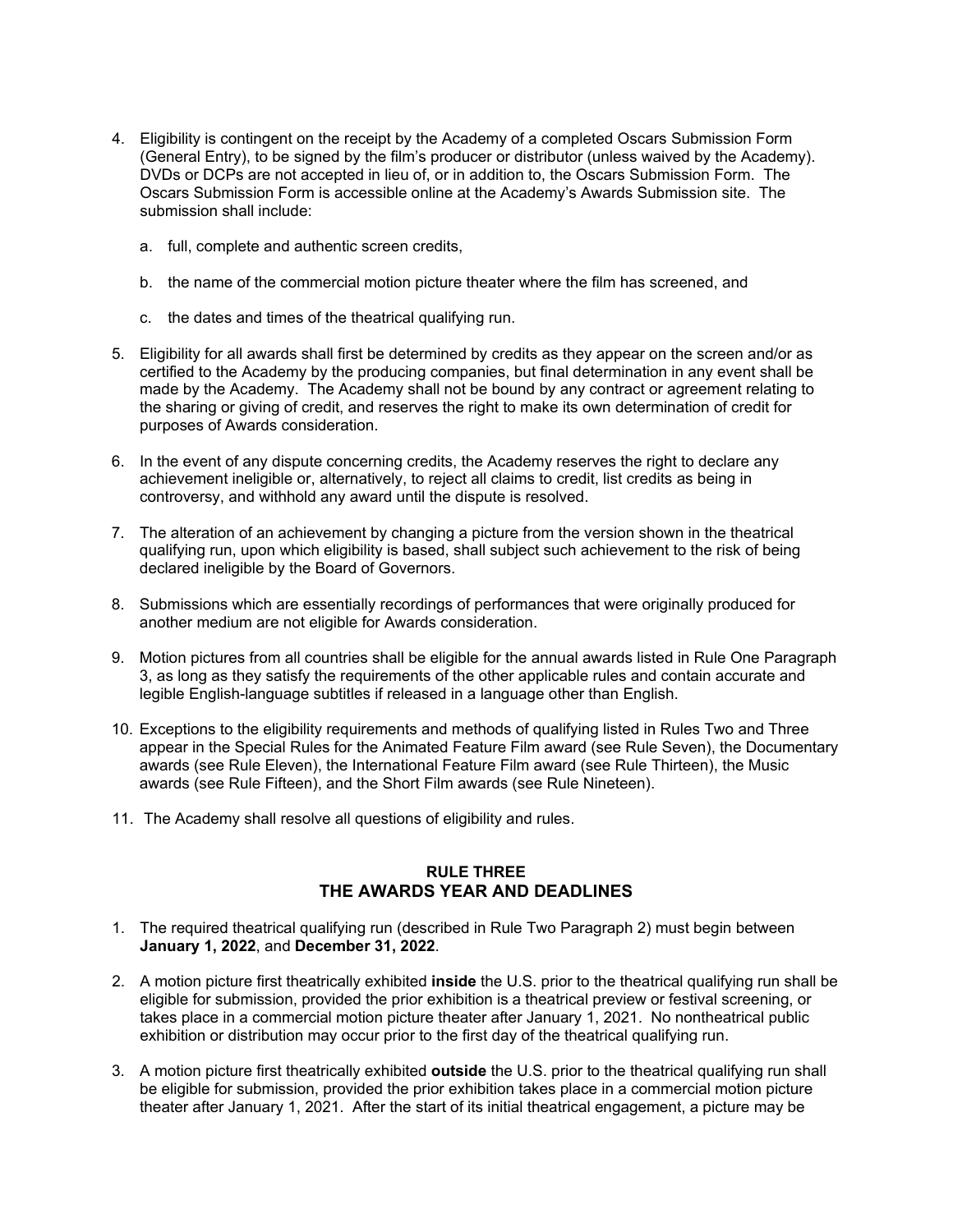- 4. Eligibility is contingent on the receipt by the Academy of a completed Oscars Submission Form (General Entry), to be signed by the film's producer or distributor (unless waived by the Academy). DVDs or DCPs are not accepted in lieu of, or in addition to, the Oscars Submission Form. The Oscars Submission Form is accessible online at the Academy's Awards Submission site. The submission shall include:
	- a. full, complete and authentic screen credits,
	- b. the name of the commercial motion picture theater where the film has screened, and
	- c. the dates and times of the theatrical qualifying run.
- 5. Eligibility for all awards shall first be determined by credits as they appear on the screen and/or as certified to the Academy by the producing companies, but final determination in any event shall be made by the Academy. The Academy shall not be bound by any contract or agreement relating to the sharing or giving of credit, and reserves the right to make its own determination of credit for purposes of Awards consideration.
- 6. In the event of any dispute concerning credits, the Academy reserves the right to declare any achievement ineligible or, alternatively, to reject all claims to credit, list credits as being in controversy, and withhold any award until the dispute is resolved.
- 7. The alteration of an achievement by changing a picture from the version shown in the theatrical qualifying run, upon which eligibility is based, shall subject such achievement to the risk of being declared ineligible by the Board of Governors.
- 8. Submissions which are essentially recordings of performances that were originally produced for another medium are not eligible for Awards consideration.
- 9. Motion pictures from all countries shall be eligible for the annual awards listed in Rule One Paragraph 3, as long as they satisfy the requirements of the other applicable rules and contain accurate and legible English-language subtitles if released in a language other than English.
- 10. Exceptions to the eligibility requirements and methods of qualifying listed in Rules Two and Three appear in the Special Rules for the Animated Feature Film award (see Rule Seven), the Documentary awards (see Rule Eleven), the International Feature Film award (see Rule Thirteen), the Music awards (see Rule Fifteen), and the Short Film awards (see Rule Nineteen).
- 11. The Academy shall resolve all questions of eligibility and rules.

# **RULE THREE THE AWARDS YEAR AND DEADLINES**

- 1. The required theatrical qualifying run (described in Rule Two Paragraph 2) must begin between **January 1, 2022**, and **December 31, 2022**.
- 2. A motion picture first theatrically exhibited **inside** the U.S. prior to the theatrical qualifying run shall be eligible for submission, provided the prior exhibition is a theatrical preview or festival screening, or takes place in a commercial motion picture theater after January 1, 2021. No nontheatrical public exhibition or distribution may occur prior to the first day of the theatrical qualifying run.
- 3. A motion picture first theatrically exhibited **outside** the U.S. prior to the theatrical qualifying run shall be eligible for submission, provided the prior exhibition takes place in a commercial motion picture theater after January 1, 2021. After the start of its initial theatrical engagement, a picture may be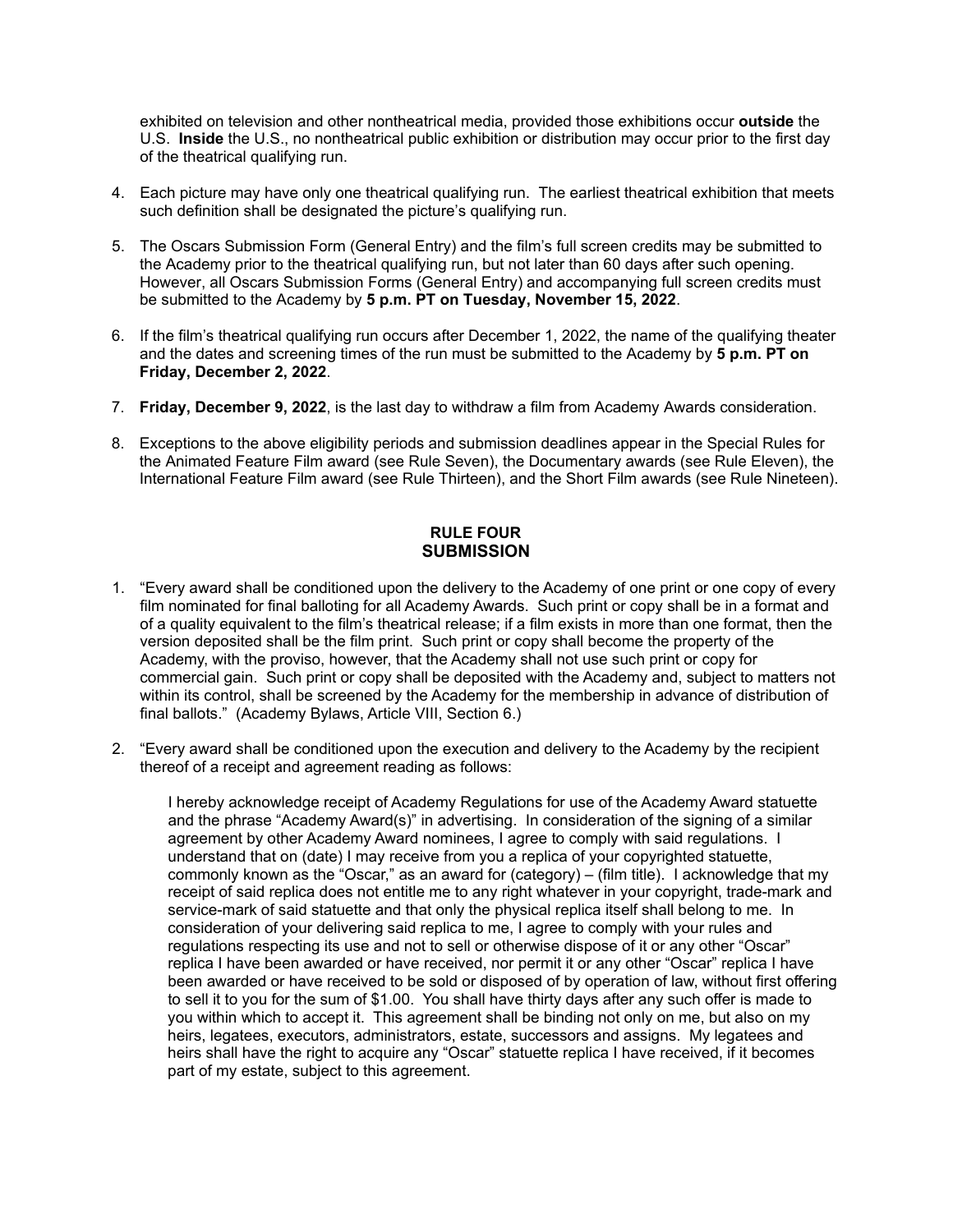exhibited on television and other nontheatrical media, provided those exhibitions occur **outside** the U.S. **Inside** the U.S., no nontheatrical public exhibition or distribution may occur prior to the first day of the theatrical qualifying run.

- 4. Each picture may have only one theatrical qualifying run. The earliest theatrical exhibition that meets such definition shall be designated the picture's qualifying run.
- 5. The Oscars Submission Form (General Entry) and the film's full screen credits may be submitted to the Academy prior to the theatrical qualifying run, but not later than 60 days after such opening. However, all Oscars Submission Forms (General Entry) and accompanying full screen credits must be submitted to the Academy by **5 p.m. PT on Tuesday, November 15, 2022**.
- 6. If the film's theatrical qualifying run occurs after December 1, 2022, the name of the qualifying theater and the dates and screening times of the run must be submitted to the Academy by **5 p.m. PT on Friday, December 2, 2022**.
- 7. **Friday, December 9, 2022**, is the last day to withdraw a film from Academy Awards consideration.
- 8. Exceptions to the above eligibility periods and submission deadlines appear in the Special Rules for the Animated Feature Film award (see Rule Seven), the Documentary awards (see Rule Eleven), the International Feature Film award (see Rule Thirteen), and the Short Film awards (see Rule Nineteen).

## **RULE FOUR SUBMISSION**

- 1. "Every award shall be conditioned upon the delivery to the Academy of one print or one copy of every film nominated for final balloting for all Academy Awards. Such print or copy shall be in a format and of a quality equivalent to the film's theatrical release; if a film exists in more than one format, then the version deposited shall be the film print. Such print or copy shall become the property of the Academy, with the proviso, however, that the Academy shall not use such print or copy for commercial gain. Such print or copy shall be deposited with the Academy and, subject to matters not within its control, shall be screened by the Academy for the membership in advance of distribution of final ballots." (Academy Bylaws, Article VIII, Section 6.)
- 2. "Every award shall be conditioned upon the execution and delivery to the Academy by the recipient thereof of a receipt and agreement reading as follows:

I hereby acknowledge receipt of Academy Regulations for use of the Academy Award statuette and the phrase "Academy Award(s)" in advertising. In consideration of the signing of a similar agreement by other Academy Award nominees, I agree to comply with said regulations. I understand that on (date) I may receive from you a replica of your copyrighted statuette, commonly known as the "Oscar," as an award for (category) – (film title). I acknowledge that my receipt of said replica does not entitle me to any right whatever in your copyright, trade-mark and service-mark of said statuette and that only the physical replica itself shall belong to me. In consideration of your delivering said replica to me, I agree to comply with your rules and regulations respecting its use and not to sell or otherwise dispose of it or any other "Oscar" replica I have been awarded or have received, nor permit it or any other "Oscar" replica I have been awarded or have received to be sold or disposed of by operation of law, without first offering to sell it to you for the sum of \$1.00. You shall have thirty days after any such offer is made to you within which to accept it. This agreement shall be binding not only on me, but also on my heirs, legatees, executors, administrators, estate, successors and assigns. My legatees and heirs shall have the right to acquire any "Oscar" statuette replica I have received, if it becomes part of my estate, subject to this agreement.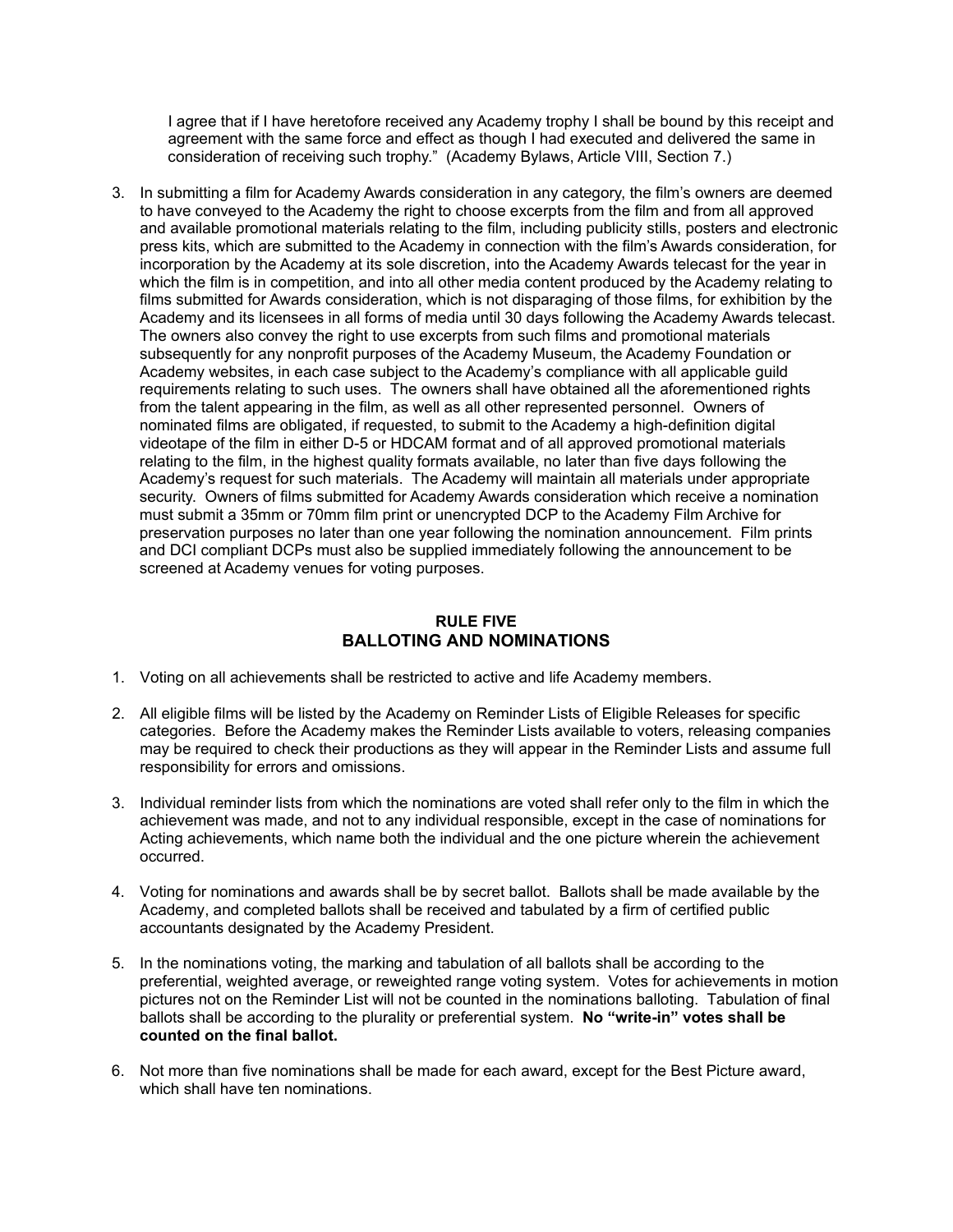I agree that if I have heretofore received any Academy trophy I shall be bound by this receipt and agreement with the same force and effect as though I had executed and delivered the same in consideration of receiving such trophy." (Academy Bylaws, Article VIII, Section 7.)

3. In submitting a film for Academy Awards consideration in any category, the film's owners are deemed to have conveyed to the Academy the right to choose excerpts from the film and from all approved and available promotional materials relating to the film, including publicity stills, posters and electronic press kits, which are submitted to the Academy in connection with the film's Awards consideration, for incorporation by the Academy at its sole discretion, into the Academy Awards telecast for the year in which the film is in competition, and into all other media content produced by the Academy relating to films submitted for Awards consideration, which is not disparaging of those films, for exhibition by the Academy and its licensees in all forms of media until 30 days following the Academy Awards telecast. The owners also convey the right to use excerpts from such films and promotional materials subsequently for any nonprofit purposes of the Academy Museum, the Academy Foundation or Academy websites, in each case subject to the Academy's compliance with all applicable guild requirements relating to such uses. The owners shall have obtained all the aforementioned rights from the talent appearing in the film, as well as all other represented personnel. Owners of nominated films are obligated, if requested, to submit to the Academy a high-definition digital videotape of the film in either D-5 or HDCAM format and of all approved promotional materials relating to the film, in the highest quality formats available, no later than five days following the Academy's request for such materials. The Academy will maintain all materials under appropriate security. Owners of films submitted for Academy Awards consideration which receive a nomination must submit a 35mm or 70mm film print or unencrypted DCP to the Academy Film Archive for preservation purposes no later than one year following the nomination announcement. Film prints and DCI compliant DCPs must also be supplied immediately following the announcement to be screened at Academy venues for voting purposes.

### **RULE FIVE BALLOTING AND NOMINATIONS**

- 1. Voting on all achievements shall be restricted to active and life Academy members.
- 2. All eligible films will be listed by the Academy on Reminder Lists of Eligible Releases for specific categories. Before the Academy makes the Reminder Lists available to voters, releasing companies may be required to check their productions as they will appear in the Reminder Lists and assume full responsibility for errors and omissions.
- 3. Individual reminder lists from which the nominations are voted shall refer only to the film in which the achievement was made, and not to any individual responsible, except in the case of nominations for Acting achievements, which name both the individual and the one picture wherein the achievement occurred.
- 4. Voting for nominations and awards shall be by secret ballot. Ballots shall be made available by the Academy, and completed ballots shall be received and tabulated by a firm of certified public accountants designated by the Academy President.
- 5. In the nominations voting, the marking and tabulation of all ballots shall be according to the preferential, weighted average, or reweighted range voting system. Votes for achievements in motion pictures not on the Reminder List will not be counted in the nominations balloting. Tabulation of final ballots shall be according to the plurality or preferential system. **No "write-in" votes shall be counted on the final ballot.**
- 6. Not more than five nominations shall be made for each award, except for the Best Picture award, which shall have ten nominations.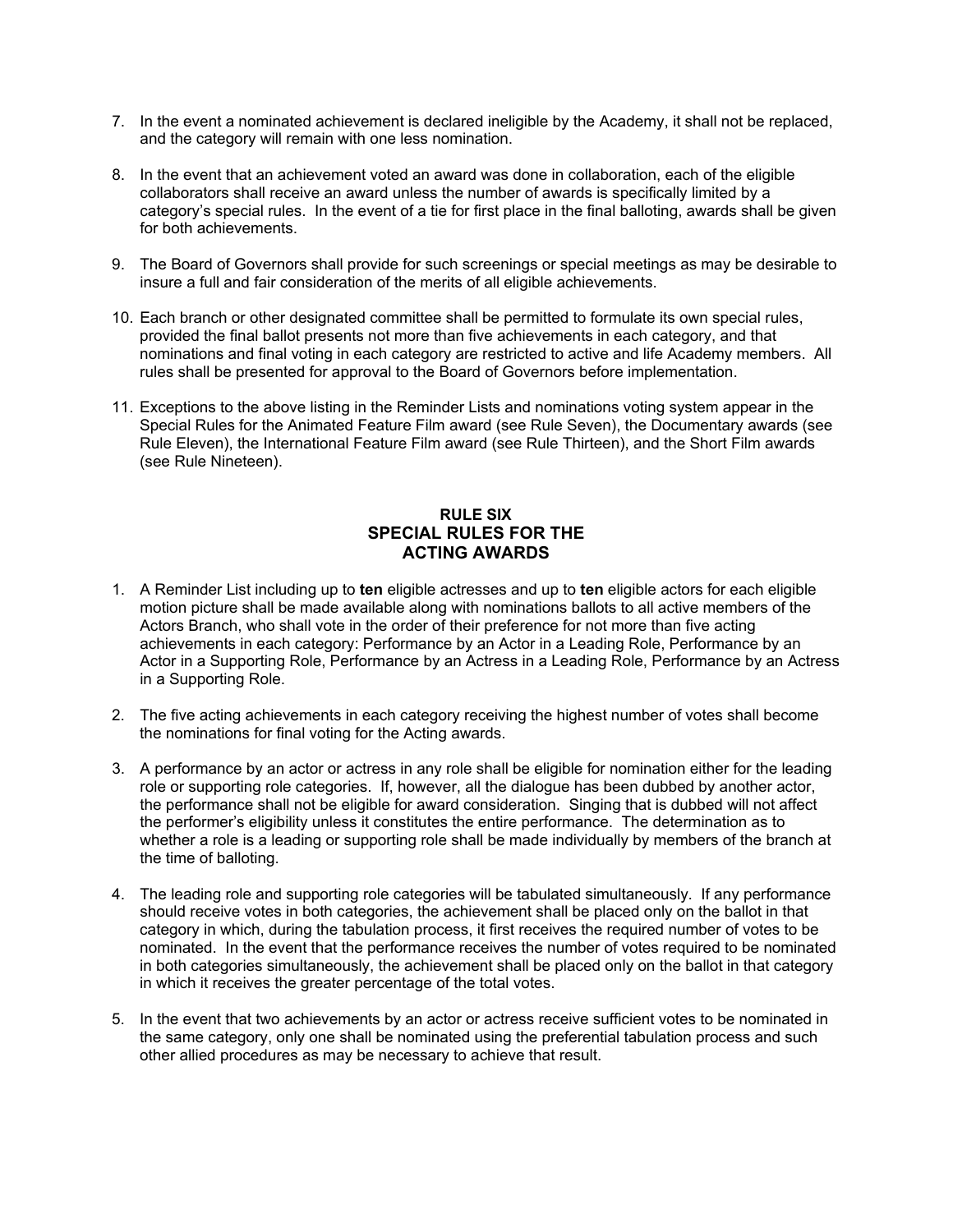- 7. In the event a nominated achievement is declared ineligible by the Academy, it shall not be replaced, and the category will remain with one less nomination.
- 8. In the event that an achievement voted an award was done in collaboration, each of the eligible collaborators shall receive an award unless the number of awards is specifically limited by a category's special rules. In the event of a tie for first place in the final balloting, awards shall be given for both achievements.
- 9. The Board of Governors shall provide for such screenings or special meetings as may be desirable to insure a full and fair consideration of the merits of all eligible achievements.
- 10. Each branch or other designated committee shall be permitted to formulate its own special rules, provided the final ballot presents not more than five achievements in each category, and that nominations and final voting in each category are restricted to active and life Academy members. All rules shall be presented for approval to the Board of Governors before implementation.
- 11. Exceptions to the above listing in the Reminder Lists and nominations voting system appear in the Special Rules for the Animated Feature Film award (see Rule Seven), the Documentary awards (see Rule Eleven), the International Feature Film award (see Rule Thirteen), and the Short Film awards (see Rule Nineteen).

# **RULE SIX SPECIAL RULES FOR THE ACTING AWARDS**

- 1. A Reminder List including up to **ten** eligible actresses and up to **ten** eligible actors for each eligible motion picture shall be made available along with nominations ballots to all active members of the Actors Branch, who shall vote in the order of their preference for not more than five acting achievements in each category: Performance by an Actor in a Leading Role, Performance by an Actor in a Supporting Role, Performance by an Actress in a Leading Role, Performance by an Actress in a Supporting Role.
- 2. The five acting achievements in each category receiving the highest number of votes shall become the nominations for final voting for the Acting awards.
- 3. A performance by an actor or actress in any role shall be eligible for nomination either for the leading role or supporting role categories. If, however, all the dialogue has been dubbed by another actor, the performance shall not be eligible for award consideration. Singing that is dubbed will not affect the performer's eligibility unless it constitutes the entire performance. The determination as to whether a role is a leading or supporting role shall be made individually by members of the branch at the time of balloting.
- 4. The leading role and supporting role categories will be tabulated simultaneously. If any performance should receive votes in both categories, the achievement shall be placed only on the ballot in that category in which, during the tabulation process, it first receives the required number of votes to be nominated. In the event that the performance receives the number of votes required to be nominated in both categories simultaneously, the achievement shall be placed only on the ballot in that category in which it receives the greater percentage of the total votes.
- 5. In the event that two achievements by an actor or actress receive sufficient votes to be nominated in the same category, only one shall be nominated using the preferential tabulation process and such other allied procedures as may be necessary to achieve that result.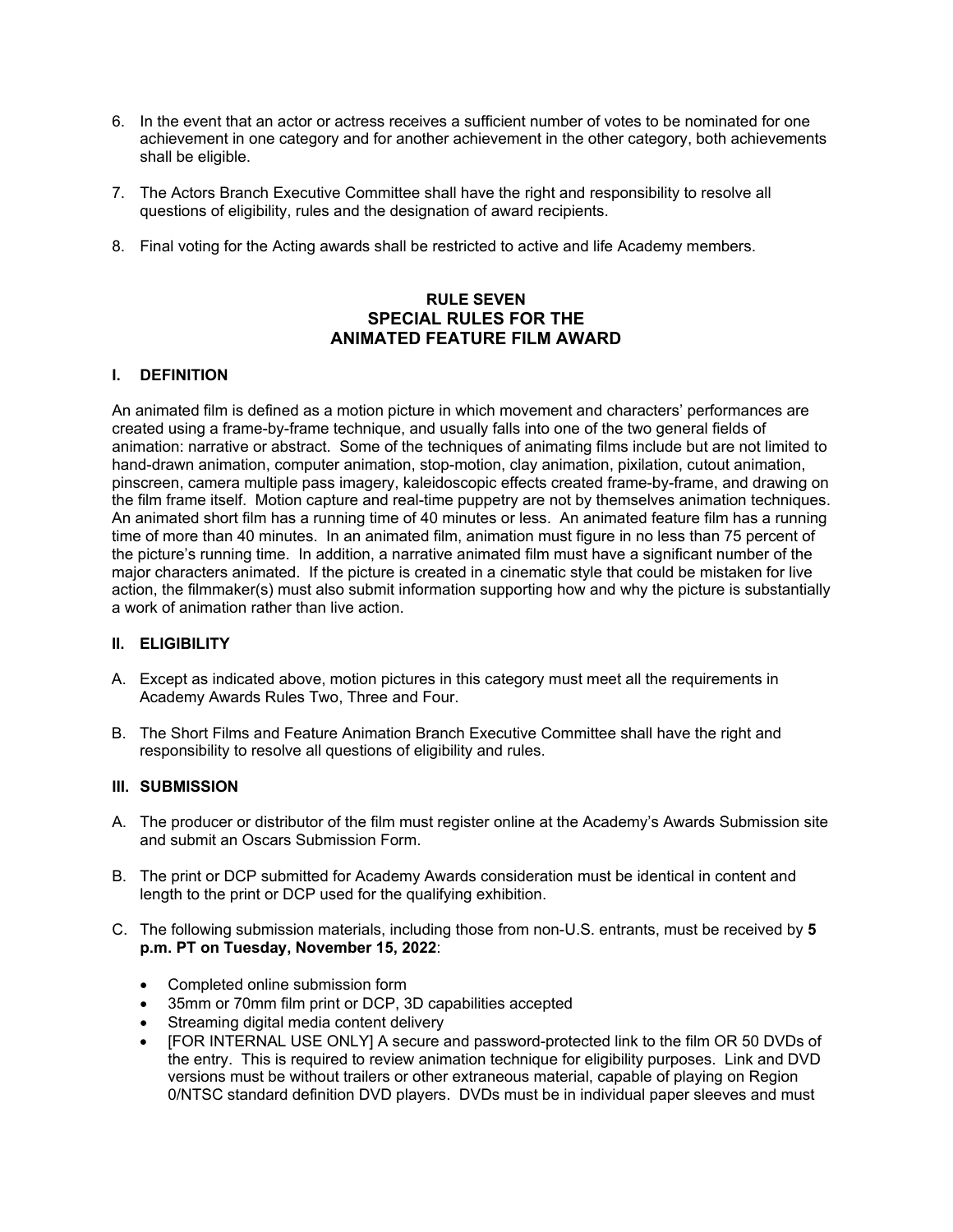- 6. In the event that an actor or actress receives a sufficient number of votes to be nominated for one achievement in one category and for another achievement in the other category, both achievements shall be eligible.
- 7. The Actors Branch Executive Committee shall have the right and responsibility to resolve all questions of eligibility, rules and the designation of award recipients.
- 8. Final voting for the Acting awards shall be restricted to active and life Academy members.

# **RULE SEVEN SPECIAL RULES FOR THE ANIMATED FEATURE FILM AWARD**

### **I. DEFINITION**

An animated film is defined as a motion picture in which movement and characters' performances are created using a frame-by-frame technique, and usually falls into one of the two general fields of animation: narrative or abstract. Some of the techniques of animating films include but are not limited to hand-drawn animation, computer animation, stop-motion, clay animation, pixilation, cutout animation, pinscreen, camera multiple pass imagery, kaleidoscopic effects created frame-by-frame, and drawing on the film frame itself. Motion capture and real-time puppetry are not by themselves animation techniques. An animated short film has a running time of 40 minutes or less. An animated feature film has a running time of more than 40 minutes. In an animated film, animation must figure in no less than 75 percent of the picture's running time. In addition, a narrative animated film must have a significant number of the major characters animated. If the picture is created in a cinematic style that could be mistaken for live action, the filmmaker(s) must also submit information supporting how and why the picture is substantially a work of animation rather than live action.

#### **II. ELIGIBILITY**

- A. Except as indicated above, motion pictures in this category must meet all the requirements in Academy Awards Rules Two, Three and Four.
- B. The Short Films and Feature Animation Branch Executive Committee shall have the right and responsibility to resolve all questions of eligibility and rules.

# **III. SUBMISSION**

- A. The producer or distributor of the film must register online at the Academy's Awards Submission site and submit an Oscars Submission Form.
- B. The print or DCP submitted for Academy Awards consideration must be identical in content and length to the print or DCP used for the qualifying exhibition.
- C. The following submission materials, including those from non-U.S. entrants, must be received by **5 p.m. PT on Tuesday, November 15, 2022**:
	- Completed online submission form
	- 35mm or 70mm film print or DCP, 3D capabilities accepted
	- Streaming digital media content delivery
	- [FOR INTERNAL USE ONLY] A secure and password-protected link to the film OR 50 DVDs of the entry. This is required to review animation technique for eligibility purposes. Link and DVD versions must be without trailers or other extraneous material, capable of playing on Region 0/NTSC standard definition DVD players. DVDs must be in individual paper sleeves and must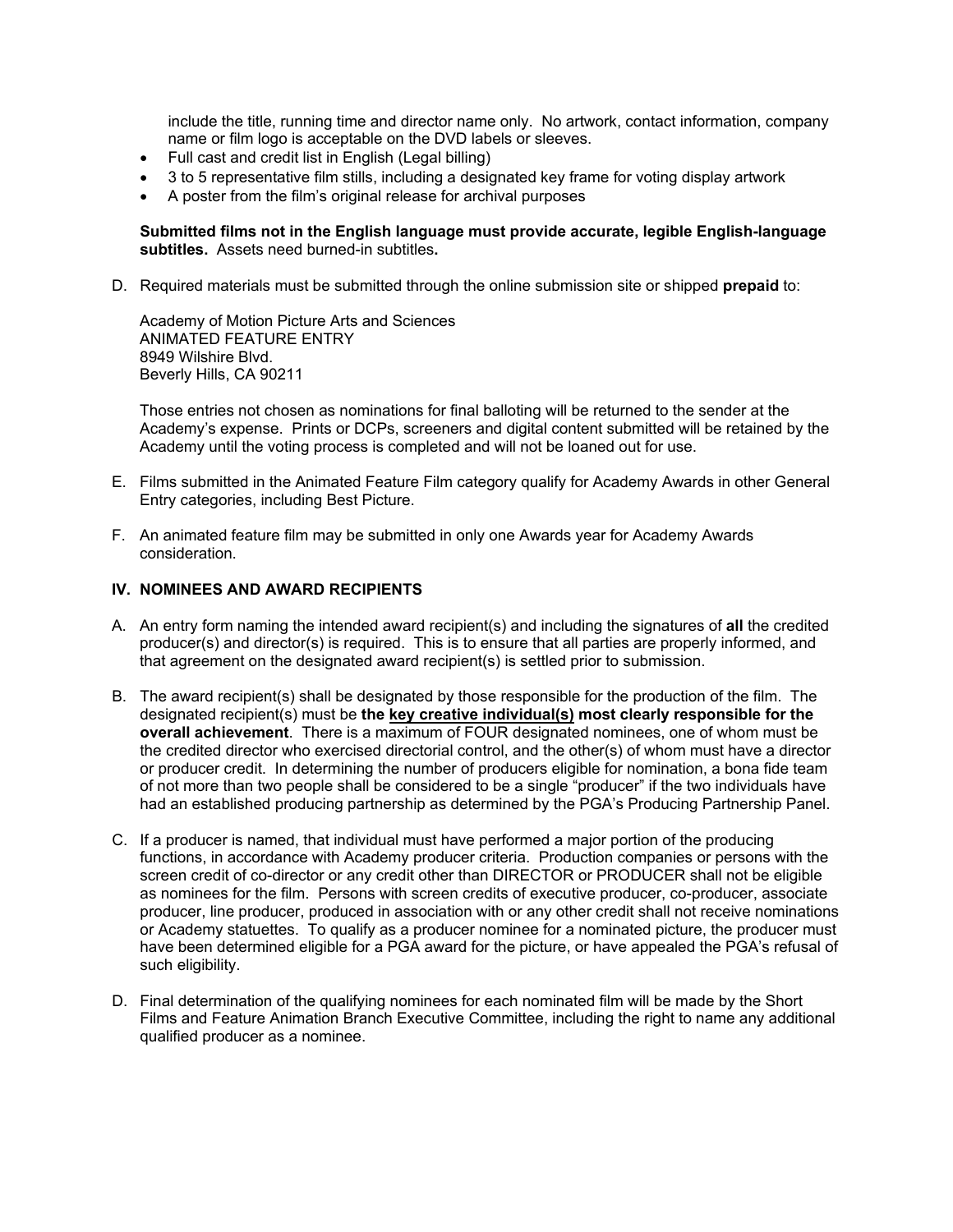include the title, running time and director name only. No artwork, contact information, company name or film logo is acceptable on the DVD labels or sleeves.

- Full cast and credit list in English (Legal billing)
- 3 to 5 representative film stills, including a designated key frame for voting display artwork
- A poster from the film's original release for archival purposes

#### **Submitted films not in the English language must provide accurate, legible English-language subtitles.** Assets need burned-in subtitles**.**

D. Required materials must be submitted through the online submission site or shipped **prepaid** to:

Academy of Motion Picture Arts and Sciences ANIMATED FEATURE ENTRY 8949 Wilshire Blvd. Beverly Hills, CA 90211

Those entries not chosen as nominations for final balloting will be returned to the sender at the Academy's expense. Prints or DCPs, screeners and digital content submitted will be retained by the Academy until the voting process is completed and will not be loaned out for use.

- E. Films submitted in the Animated Feature Film category qualify for Academy Awards in other General Entry categories, including Best Picture.
- F. An animated feature film may be submitted in only one Awards year for Academy Awards consideration.

#### **IV. NOMINEES AND AWARD RECIPIENTS**

- A. An entry form naming the intended award recipient(s) and including the signatures of **all** the credited producer(s) and director(s) is required. This is to ensure that all parties are properly informed, and that agreement on the designated award recipient(s) is settled prior to submission.
- B. The award recipient(s) shall be designated by those responsible for the production of the film. The designated recipient(s) must be **the key creative individual(s) most clearly responsible for the overall achievement**. There is a maximum of FOUR designated nominees, one of whom must be the credited director who exercised directorial control, and the other(s) of whom must have a director or producer credit. In determining the number of producers eligible for nomination, a bona fide team of not more than two people shall be considered to be a single "producer" if the two individuals have had an established producing partnership as determined by the PGA's Producing Partnership Panel.
- C. If a producer is named, that individual must have performed a major portion of the producing functions, in accordance with Academy producer criteria. Production companies or persons with the screen credit of co-director or any credit other than DIRECTOR or PRODUCER shall not be eligible as nominees for the film. Persons with screen credits of executive producer, co-producer, associate producer, line producer, produced in association with or any other credit shall not receive nominations or Academy statuettes. To qualify as a producer nominee for a nominated picture, the producer must have been determined eligible for a PGA award for the picture, or have appealed the PGA's refusal of such eligibility.
- D. Final determination of the qualifying nominees for each nominated film will be made by the Short Films and Feature Animation Branch Executive Committee, including the right to name any additional qualified producer as a nominee.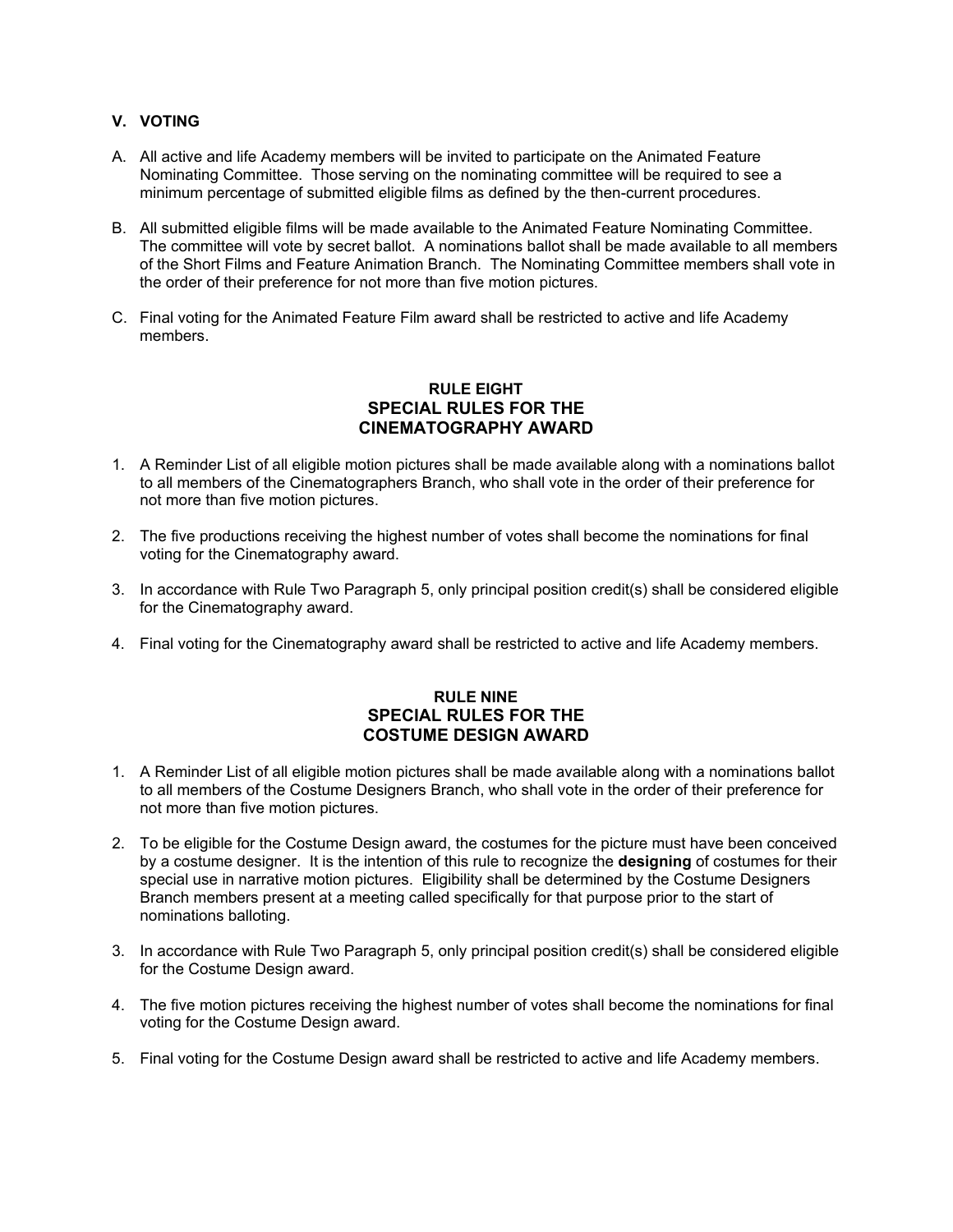# **V. VOTING**

- A. All active and life Academy members will be invited to participate on the Animated Feature Nominating Committee. Those serving on the nominating committee will be required to see a minimum percentage of submitted eligible films as defined by the then-current procedures.
- B. All submitted eligible films will be made available to the Animated Feature Nominating Committee. The committee will vote by secret ballot. A nominations ballot shall be made available to all members of the Short Films and Feature Animation Branch. The Nominating Committee members shall vote in the order of their preference for not more than five motion pictures.
- C. Final voting for the Animated Feature Film award shall be restricted to active and life Academy members.

# **RULE EIGHT SPECIAL RULES FOR THE CINEMATOGRAPHY AWARD**

- 1. A Reminder List of all eligible motion pictures shall be made available along with a nominations ballot to all members of the Cinematographers Branch, who shall vote in the order of their preference for not more than five motion pictures.
- 2. The five productions receiving the highest number of votes shall become the nominations for final voting for the Cinematography award.
- 3. In accordance with Rule Two Paragraph 5, only principal position credit(s) shall be considered eligible for the Cinematography award.
- 4. Final voting for the Cinematography award shall be restricted to active and life Academy members.

# **RULE NINE SPECIAL RULES FOR THE COSTUME DESIGN AWARD**

- 1. A Reminder List of all eligible motion pictures shall be made available along with a nominations ballot to all members of the Costume Designers Branch, who shall vote in the order of their preference for not more than five motion pictures.
- 2. To be eligible for the Costume Design award, the costumes for the picture must have been conceived by a costume designer. It is the intention of this rule to recognize the **designing** of costumes for their special use in narrative motion pictures. Eligibility shall be determined by the Costume Designers Branch members present at a meeting called specifically for that purpose prior to the start of nominations balloting.
- 3. In accordance with Rule Two Paragraph 5, only principal position credit(s) shall be considered eligible for the Costume Design award.
- 4. The five motion pictures receiving the highest number of votes shall become the nominations for final voting for the Costume Design award.
- 5. Final voting for the Costume Design award shall be restricted to active and life Academy members.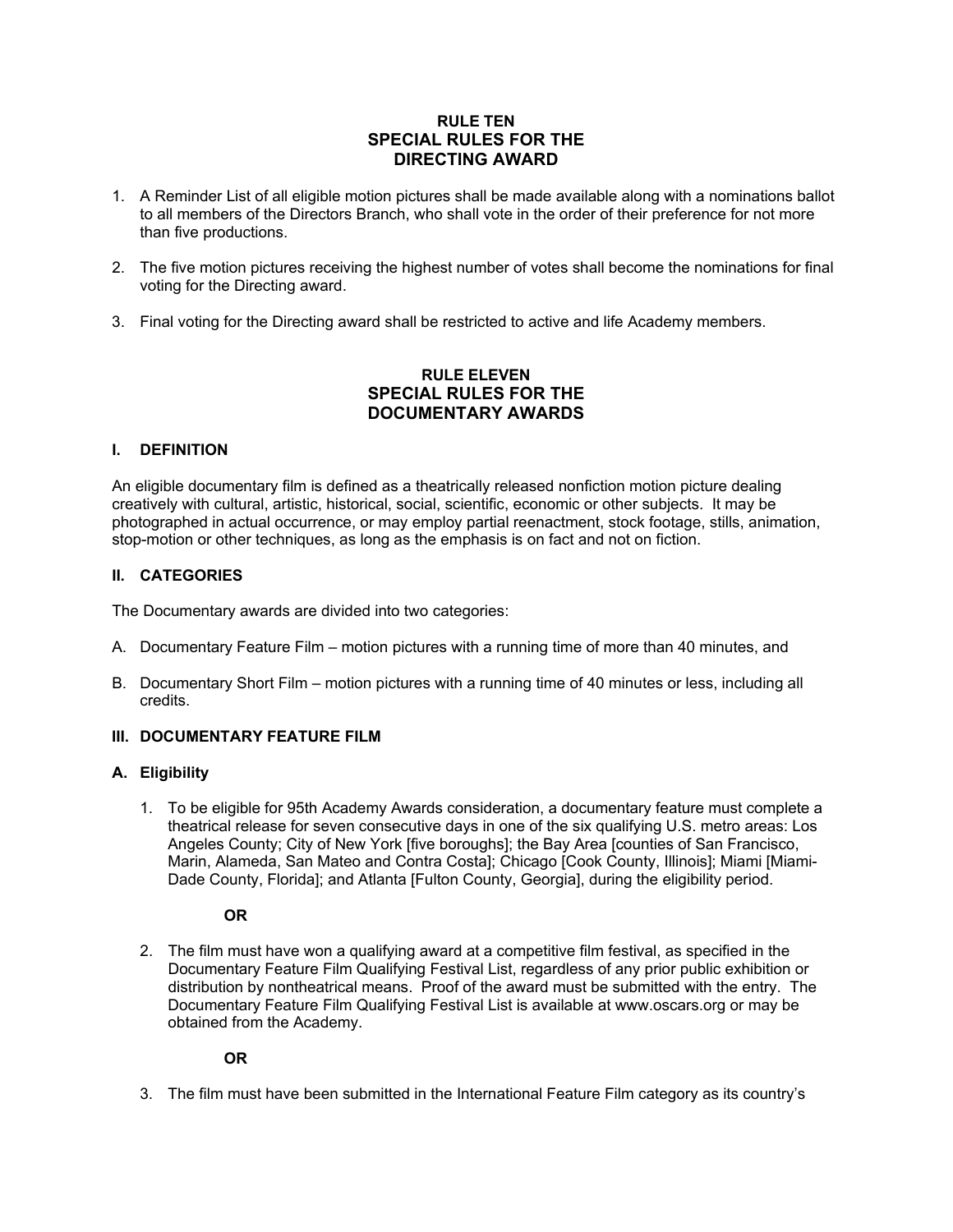# **RULE TEN SPECIAL RULES FOR THE DIRECTING AWARD**

- 1. A Reminder List of all eligible motion pictures shall be made available along with a nominations ballot to all members of the Directors Branch, who shall vote in the order of their preference for not more than five productions.
- 2. The five motion pictures receiving the highest number of votes shall become the nominations for final voting for the Directing award.
- 3. Final voting for the Directing award shall be restricted to active and life Academy members.

# **RULE ELEVEN SPECIAL RULES FOR THE DOCUMENTARY AWARDS**

### **I. DEFINITION**

An eligible documentary film is defined as a theatrically released nonfiction motion picture dealing creatively with cultural, artistic, historical, social, scientific, economic or other subjects. It may be photographed in actual occurrence, or may employ partial reenactment, stock footage, stills, animation, stop-motion or other techniques, as long as the emphasis is on fact and not on fiction.

### **II. CATEGORIES**

The Documentary awards are divided into two categories:

- A. Documentary Feature Film motion pictures with a running time of more than 40 minutes, and
- B. Documentary Short Film motion pictures with a running time of 40 minutes or less, including all credits.

#### **III. DOCUMENTARY FEATURE FILM**

#### **A. Eligibility**

1. To be eligible for 95th Academy Awards consideration, a documentary feature must complete a theatrical release for seven consecutive days in one of the six qualifying U.S. metro areas: Los Angeles County; City of New York [five boroughs]; the Bay Area [counties of San Francisco, Marin, Alameda, San Mateo and Contra Costa]; Chicago [Cook County, Illinois]; Miami [Miami-Dade County, Florida]; and Atlanta [Fulton County, Georgia], during the eligibility period.

**OR**

2. The film must have won a qualifying award at a competitive film festival, as specified in the Documentary Feature Film Qualifying Festival List, regardless of any prior public exhibition or distribution by nontheatrical means. Proof of the award must be submitted with the entry. The Documentary Feature Film Qualifying Festival List is available at www.oscars.org or may be obtained from the Academy.

#### **OR**

3. The film must have been submitted in the International Feature Film category as its country's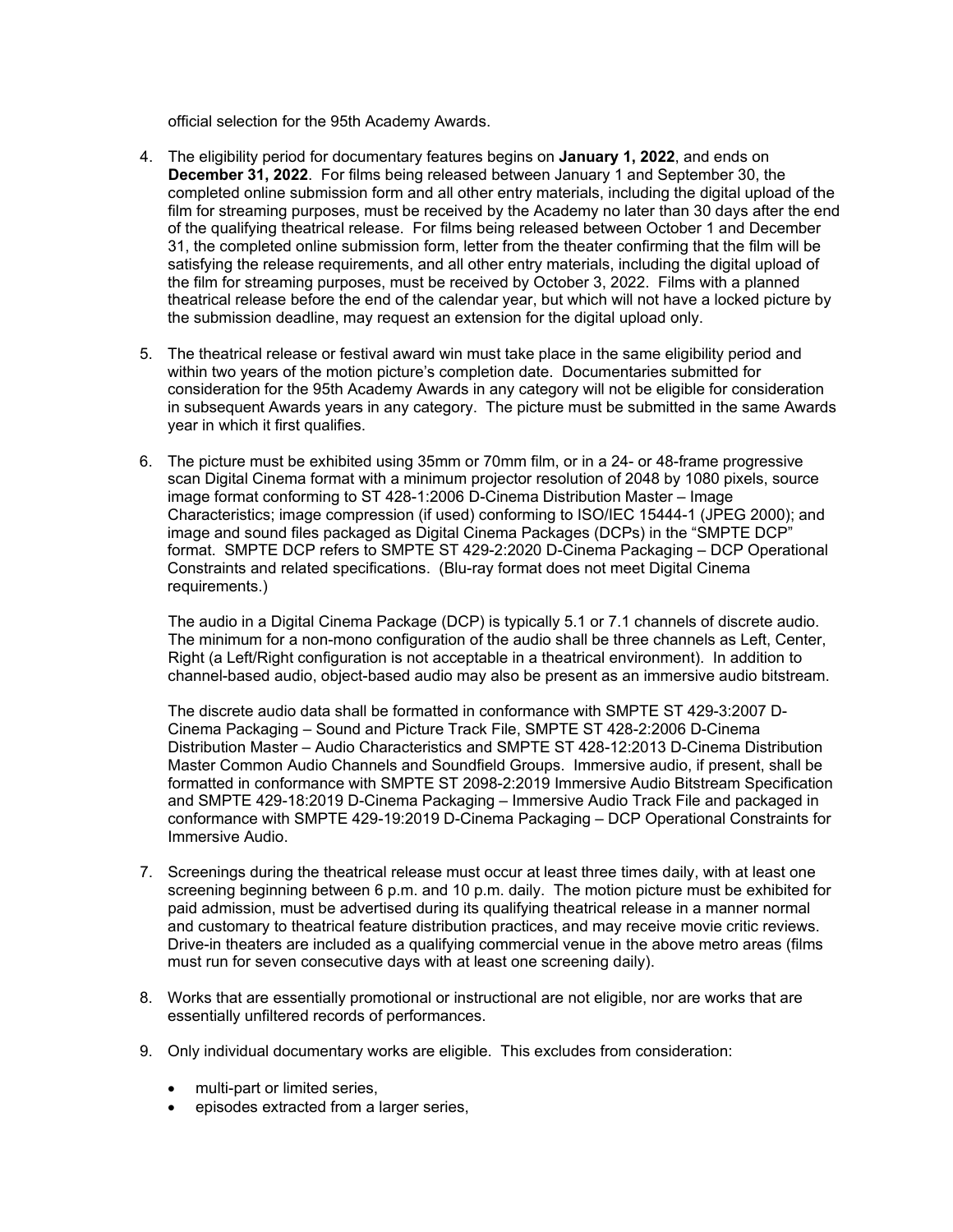official selection for the 95th Academy Awards.

- 4. The eligibility period for documentary features begins on **January 1, 2022**, and ends on **December 31, 2022**. For films being released between January 1 and September 30, the completed online submission form and all other entry materials, including the digital upload of the film for streaming purposes, must be received by the Academy no later than 30 days after the end of the qualifying theatrical release. For films being released between October 1 and December 31, the completed online submission form, letter from the theater confirming that the film will be satisfying the release requirements, and all other entry materials, including the digital upload of the film for streaming purposes, must be received by October 3, 2022. Films with a planned theatrical release before the end of the calendar year, but which will not have a locked picture by the submission deadline, may request an extension for the digital upload only.
- 5. The theatrical release or festival award win must take place in the same eligibility period and within two years of the motion picture's completion date. Documentaries submitted for consideration for the 95th Academy Awards in any category will not be eligible for consideration in subsequent Awards years in any category. The picture must be submitted in the same Awards year in which it first qualifies.
- 6. The picture must be exhibited using 35mm or 70mm film, or in a 24- or 48-frame progressive scan Digital Cinema format with a minimum projector resolution of 2048 by 1080 pixels, source image format conforming to ST 428-1:2006 D-Cinema Distribution Master – Image Characteristics; image compression (if used) conforming to ISO/IEC 15444-1 (JPEG 2000); and image and sound files packaged as Digital Cinema Packages (DCPs) in the "SMPTE DCP" format. SMPTE DCP refers to SMPTE ST 429-2:2020 D-Cinema Packaging – DCP Operational Constraints and related specifications. (Blu-ray format does not meet Digital Cinema requirements.)

The audio in a Digital Cinema Package (DCP) is typically 5.1 or 7.1 channels of discrete audio. The minimum for a non-mono configuration of the audio shall be three channels as Left, Center, Right (a Left/Right configuration is not acceptable in a theatrical environment). In addition to channel-based audio, object-based audio may also be present as an immersive audio bitstream.

The discrete audio data shall be formatted in conformance with SMPTE ST 429-3:2007 D-Cinema Packaging – Sound and Picture Track File, SMPTE ST 428-2:2006 D-Cinema Distribution Master – Audio Characteristics and SMPTE ST 428-12:2013 D-Cinema Distribution Master Common Audio Channels and Soundfield Groups. Immersive audio, if present, shall be formatted in conformance with SMPTE ST 2098-2:2019 Immersive Audio Bitstream Specification and SMPTE 429-18:2019 D-Cinema Packaging – Immersive Audio Track File and packaged in conformance with SMPTE 429-19:2019 D-Cinema Packaging – DCP Operational Constraints for Immersive Audio.

- 7. Screenings during the theatrical release must occur at least three times daily, with at least one screening beginning between 6 p.m. and 10 p.m. daily. The motion picture must be exhibited for paid admission, must be advertised during its qualifying theatrical release in a manner normal and customary to theatrical feature distribution practices, and may receive movie critic reviews. Drive-in theaters are included as a qualifying commercial venue in the above metro areas (films must run for seven consecutive days with at least one screening daily).
- 8. Works that are essentially promotional or instructional are not eligible, nor are works that are essentially unfiltered records of performances.
- 9. Only individual documentary works are eligible. This excludes from consideration:
	- multi-part or limited series,
	- episodes extracted from a larger series,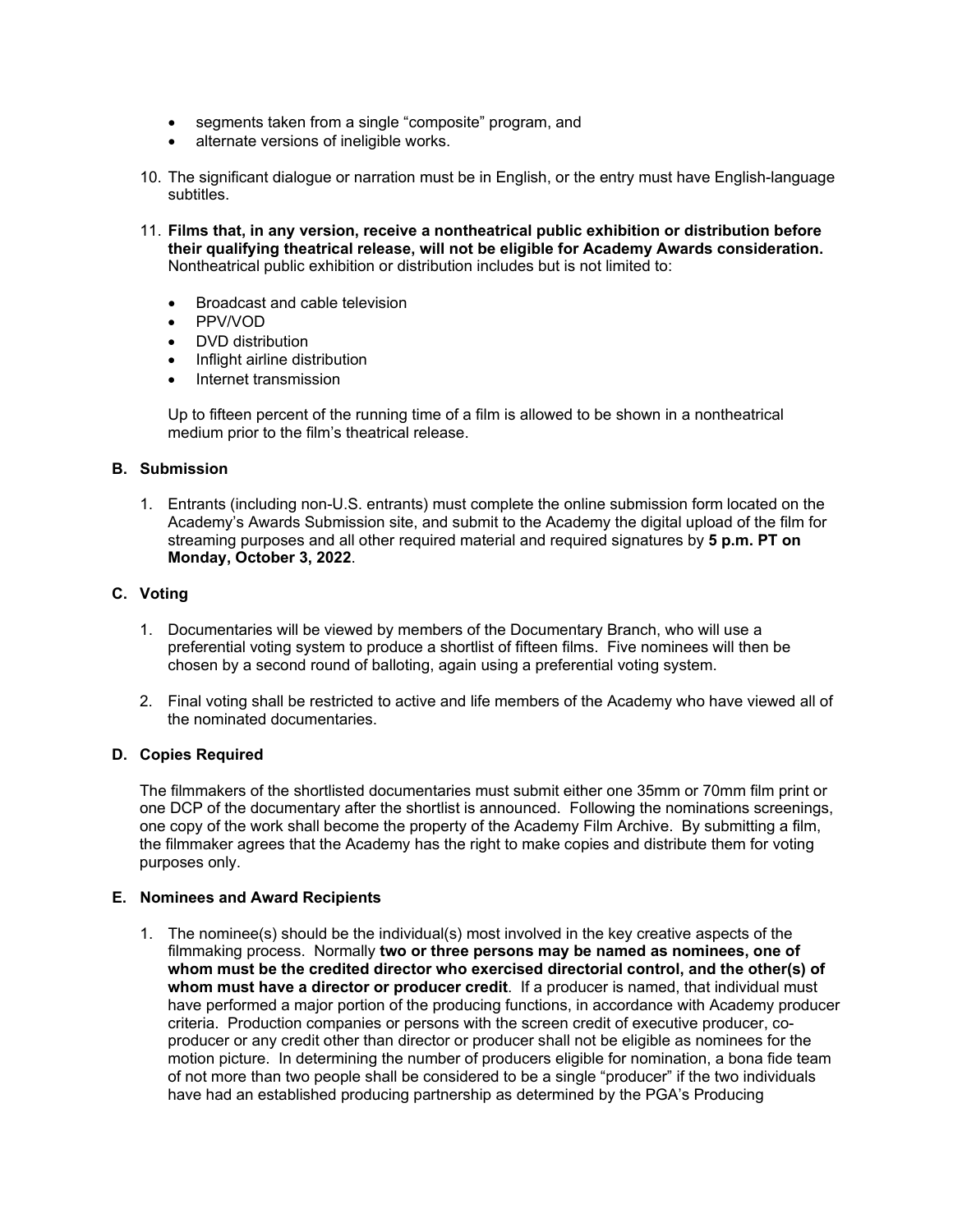- segments taken from a single "composite" program, and
- alternate versions of ineligible works.
- 10. The significant dialogue or narration must be in English, or the entry must have English-language subtitles.
- 11. **Films that, in any version, receive a nontheatrical public exhibition or distribution before their qualifying theatrical release, will not be eligible for Academy Awards consideration.** Nontheatrical public exhibition or distribution includes but is not limited to:
	- Broadcast and cable television
	- PPV/VOD
	- DVD distribution
	- Inflight airline distribution
	- Internet transmission

Up to fifteen percent of the running time of a film is allowed to be shown in a nontheatrical medium prior to the film's theatrical release.

#### **B. Submission**

1. Entrants (including non-U.S. entrants) must complete the online submission form located on the Academy's Awards Submission site, and submit to the Academy the digital upload of the film for streaming purposes and all other required material and required signatures by **5 p.m. PT on Monday, October 3, 2022**.

### **C. Voting**

- 1. Documentaries will be viewed by members of the Documentary Branch, who will use a preferential voting system to produce a shortlist of fifteen films. Five nominees will then be chosen by a second round of balloting, again using a preferential voting system.
- 2. Final voting shall be restricted to active and life members of the Academy who have viewed all of the nominated documentaries.

#### **D. Copies Required**

The filmmakers of the shortlisted documentaries must submit either one 35mm or 70mm film print or one DCP of the documentary after the shortlist is announced. Following the nominations screenings, one copy of the work shall become the property of the Academy Film Archive. By submitting a film, the filmmaker agrees that the Academy has the right to make copies and distribute them for voting purposes only.

## **E. Nominees and Award Recipients**

1. The nominee(s) should be the individual(s) most involved in the key creative aspects of the filmmaking process. Normally **two or three persons may be named as nominees, one of whom must be the credited director who exercised directorial control, and the other(s) of whom must have a director or producer credit**. If a producer is named, that individual must have performed a major portion of the producing functions, in accordance with Academy producer criteria. Production companies or persons with the screen credit of executive producer, coproducer or any credit other than director or producer shall not be eligible as nominees for the motion picture. In determining the number of producers eligible for nomination, a bona fide team of not more than two people shall be considered to be a single "producer" if the two individuals have had an established producing partnership as determined by the PGA's Producing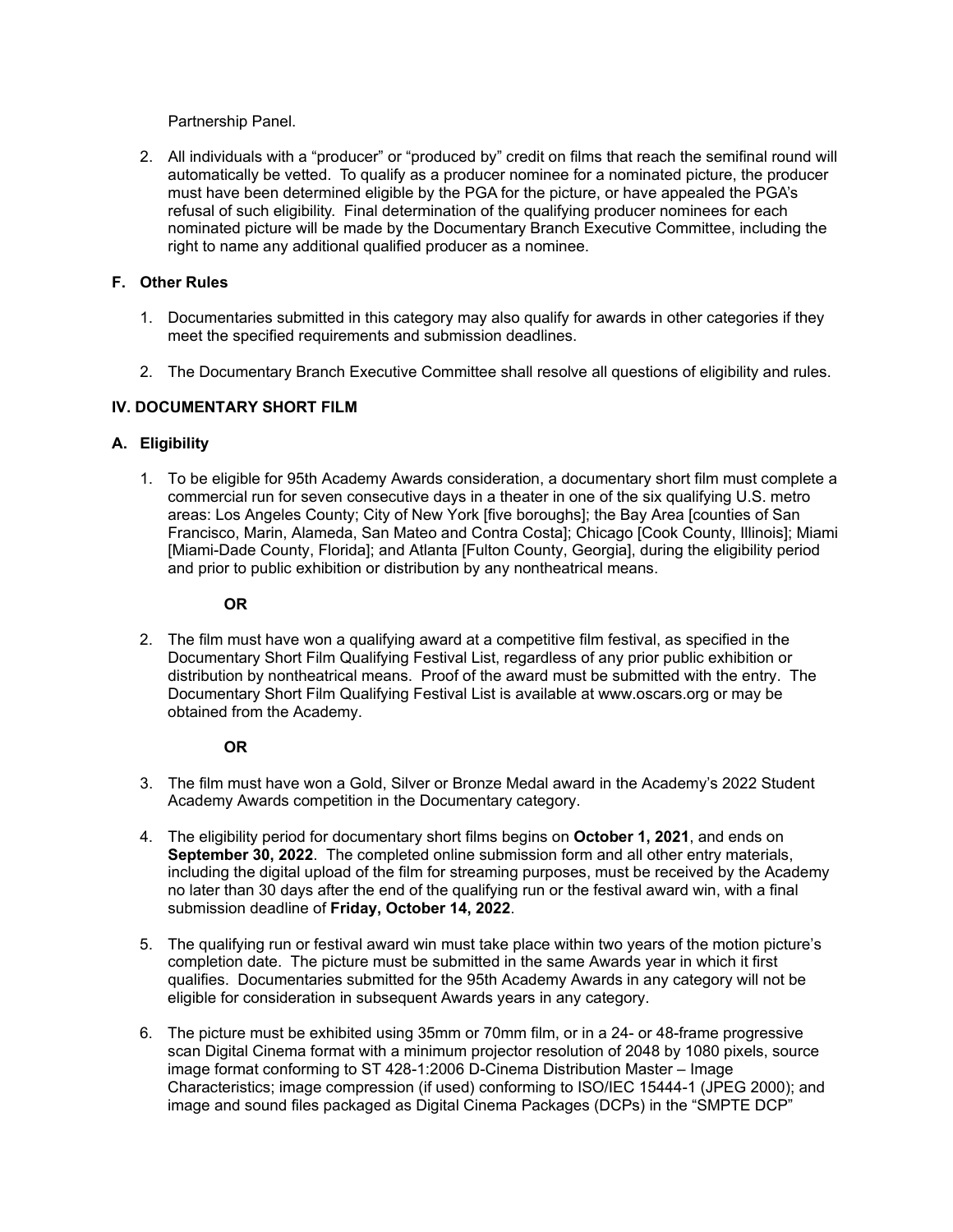Partnership Panel.

2. All individuals with a "producer" or "produced by" credit on films that reach the semifinal round will automatically be vetted. To qualify as a producer nominee for a nominated picture, the producer must have been determined eligible by the PGA for the picture, or have appealed the PGA's refusal of such eligibility. Final determination of the qualifying producer nominees for each nominated picture will be made by the Documentary Branch Executive Committee, including the right to name any additional qualified producer as a nominee.

# **F. Other Rules**

- 1. Documentaries submitted in this category may also qualify for awards in other categories if they meet the specified requirements and submission deadlines.
- 2. The Documentary Branch Executive Committee shall resolve all questions of eligibility and rules.

# **IV. DOCUMENTARY SHORT FILM**

### **A. Eligibility**

1. To be eligible for 95th Academy Awards consideration, a documentary short film must complete a commercial run for seven consecutive days in a theater in one of the six qualifying U.S. metro areas: Los Angeles County; City of New York [five boroughs]; the Bay Area [counties of San Francisco, Marin, Alameda, San Mateo and Contra Costa]; Chicago [Cook County, Illinois]; Miami [Miami-Dade County, Florida]; and Atlanta [Fulton County, Georgia], during the eligibility period and prior to public exhibition or distribution by any nontheatrical means.

### **OR**

2. The film must have won a qualifying award at a competitive film festival, as specified in the Documentary Short Film Qualifying Festival List, regardless of any prior public exhibition or distribution by nontheatrical means. Proof of the award must be submitted with the entry. The Documentary Short Film Qualifying Festival List is available at www.oscars.org or may be obtained from the Academy.

#### **OR**

- 3. The film must have won a Gold, Silver or Bronze Medal award in the Academy's 2022 Student Academy Awards competition in the Documentary category.
- 4. The eligibility period for documentary short films begins on **October 1, 2021**, and ends on **September 30, 2022**. The completed online submission form and all other entry materials, including the digital upload of the film for streaming purposes, must be received by the Academy no later than 30 days after the end of the qualifying run or the festival award win, with a final submission deadline of **Friday, October 14, 2022**.
- 5. The qualifying run or festival award win must take place within two years of the motion picture's completion date. The picture must be submitted in the same Awards year in which it first qualifies. Documentaries submitted for the 95th Academy Awards in any category will not be eligible for consideration in subsequent Awards years in any category.
- 6. The picture must be exhibited using 35mm or 70mm film, or in a 24- or 48-frame progressive scan Digital Cinema format with a minimum projector resolution of 2048 by 1080 pixels, source image format conforming to ST 428-1:2006 D-Cinema Distribution Master – Image Characteristics; image compression (if used) conforming to ISO/IEC 15444-1 (JPEG 2000); and image and sound files packaged as Digital Cinema Packages (DCPs) in the "SMPTE DCP"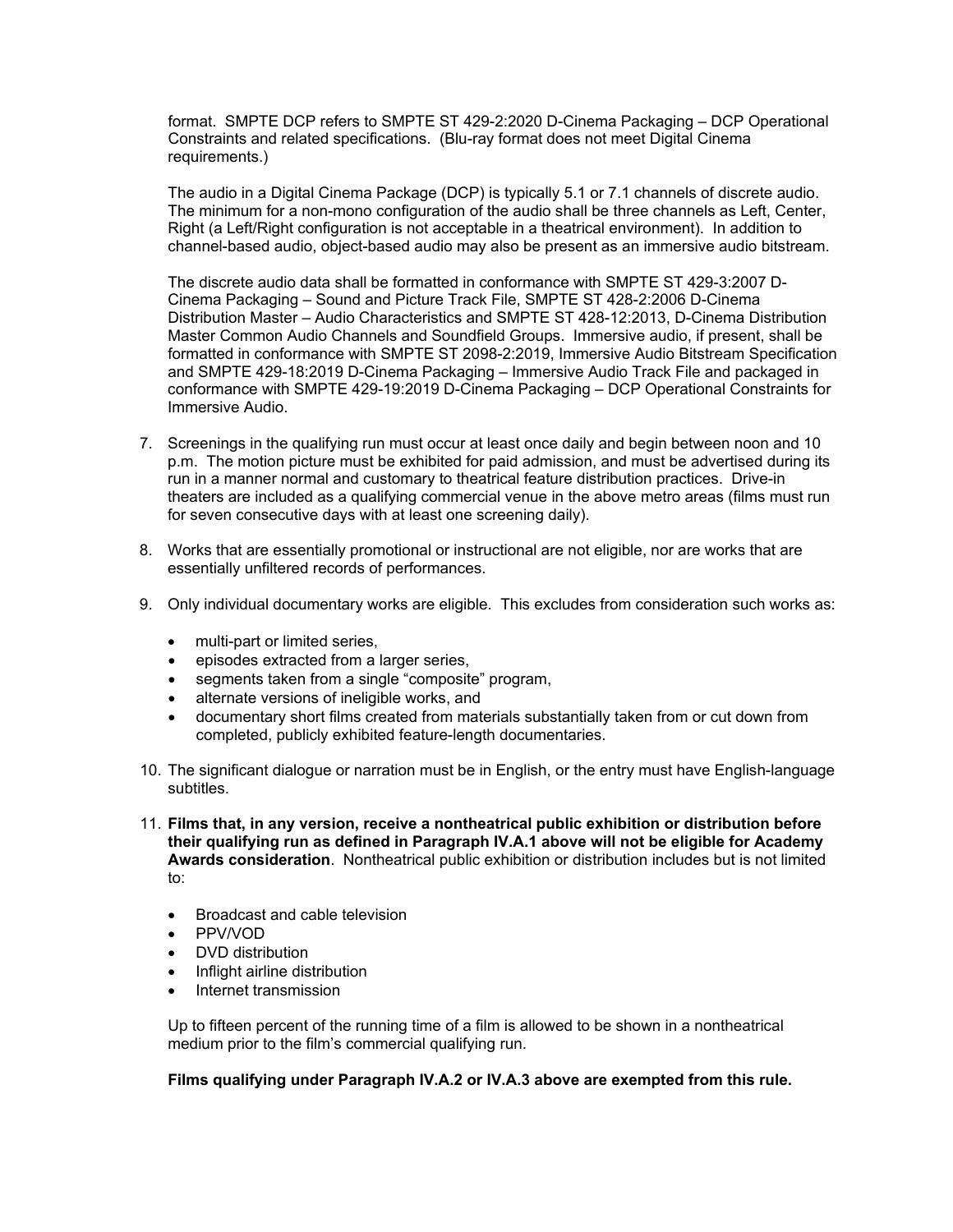format. SMPTE DCP refers to SMPTE ST 429-2:2020 D-Cinema Packaging – DCP Operational Constraints and related specifications. (Blu-ray format does not meet Digital Cinema requirements.)

The audio in a Digital Cinema Package (DCP) is typically 5.1 or 7.1 channels of discrete audio. The minimum for a non-mono configuration of the audio shall be three channels as Left, Center, Right (a Left/Right configuration is not acceptable in a theatrical environment). In addition to channel-based audio, object-based audio may also be present as an immersive audio bitstream.

The discrete audio data shall be formatted in conformance with SMPTE ST 429-3:2007 D-Cinema Packaging – Sound and Picture Track File, SMPTE ST 428-2:2006 D-Cinema Distribution Master – Audio Characteristics and SMPTE ST 428-12:2013, D-Cinema Distribution Master Common Audio Channels and Soundfield Groups. Immersive audio, if present, shall be formatted in conformance with SMPTE ST 2098-2:2019, Immersive Audio Bitstream Specification and SMPTE 429-18:2019 D-Cinema Packaging – Immersive Audio Track File and packaged in conformance with SMPTE 429-19:2019 D-Cinema Packaging – DCP Operational Constraints for Immersive Audio.

- 7. Screenings in the qualifying run must occur at least once daily and begin between noon and 10 p.m. The motion picture must be exhibited for paid admission, and must be advertised during its run in a manner normal and customary to theatrical feature distribution practices. Drive-in theaters are included as a qualifying commercial venue in the above metro areas (films must run for seven consecutive days with at least one screening daily).
- 8. Works that are essentially promotional or instructional are not eligible, nor are works that are essentially unfiltered records of performances.
- 9. Only individual documentary works are eligible. This excludes from consideration such works as:
	- multi-part or limited series,
	- episodes extracted from a larger series,
	- segments taken from a single "composite" program,
	- alternate versions of ineligible works, and
	- documentary short films created from materials substantially taken from or cut down from completed, publicly exhibited feature-length documentaries.
- 10. The significant dialogue or narration must be in English, or the entry must have English-language subtitles.
- 11. **Films that, in any version, receive a nontheatrical public exhibition or distribution before their qualifying run as defined in Paragraph IV.A.1 above will not be eligible for Academy Awards consideration**. Nontheatrical public exhibition or distribution includes but is not limited to:
	- Broadcast and cable television
	- PPV/VOD
	- DVD distribution
	- Inflight airline distribution
	- Internet transmission

Up to fifteen percent of the running time of a film is allowed to be shown in a nontheatrical medium prior to the film's commercial qualifying run.

**Films qualifying under Paragraph IV.A.2 or IV.A.3 above are exempted from this rule.**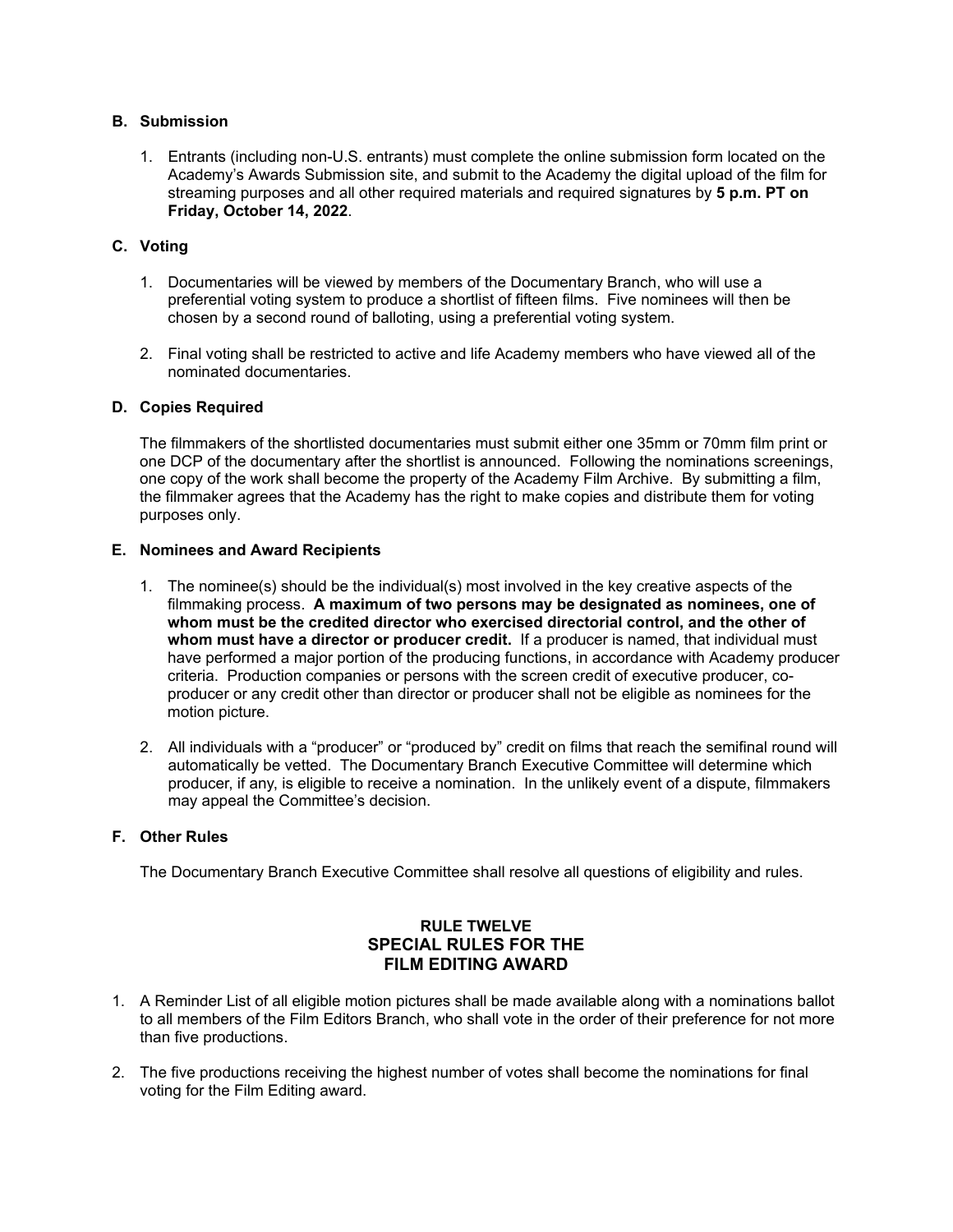### **B. Submission**

1. Entrants (including non-U.S. entrants) must complete the online submission form located on the Academy's Awards Submission site, and submit to the Academy the digital upload of the film for streaming purposes and all other required materials and required signatures by **5 p.m. PT on Friday, October 14, 2022**.

# **C. Voting**

- 1. Documentaries will be viewed by members of the Documentary Branch, who will use a preferential voting system to produce a shortlist of fifteen films. Five nominees will then be chosen by a second round of balloting, using a preferential voting system.
- 2. Final voting shall be restricted to active and life Academy members who have viewed all of the nominated documentaries.

### **D. Copies Required**

The filmmakers of the shortlisted documentaries must submit either one 35mm or 70mm film print or one DCP of the documentary after the shortlist is announced. Following the nominations screenings, one copy of the work shall become the property of the Academy Film Archive. By submitting a film, the filmmaker agrees that the Academy has the right to make copies and distribute them for voting purposes only.

### **E. Nominees and Award Recipients**

- 1. The nominee(s) should be the individual(s) most involved in the key creative aspects of the filmmaking process. **A maximum of two persons may be designated as nominees, one of whom must be the credited director who exercised directorial control, and the other of whom must have a director or producer credit.** If a producer is named, that individual must have performed a major portion of the producing functions, in accordance with Academy producer criteria. Production companies or persons with the screen credit of executive producer, coproducer or any credit other than director or producer shall not be eligible as nominees for the motion picture.
- 2. All individuals with a "producer" or "produced by" credit on films that reach the semifinal round will automatically be vetted. The Documentary Branch Executive Committee will determine which producer, if any, is eligible to receive a nomination. In the unlikely event of a dispute, filmmakers may appeal the Committee's decision.

#### **F. Other Rules**

The Documentary Branch Executive Committee shall resolve all questions of eligibility and rules.

# **RULE TWELVE SPECIAL RULES FOR THE FILM EDITING AWARD**

- 1. A Reminder List of all eligible motion pictures shall be made available along with a nominations ballot to all members of the Film Editors Branch, who shall vote in the order of their preference for not more than five productions.
- 2. The five productions receiving the highest number of votes shall become the nominations for final voting for the Film Editing award.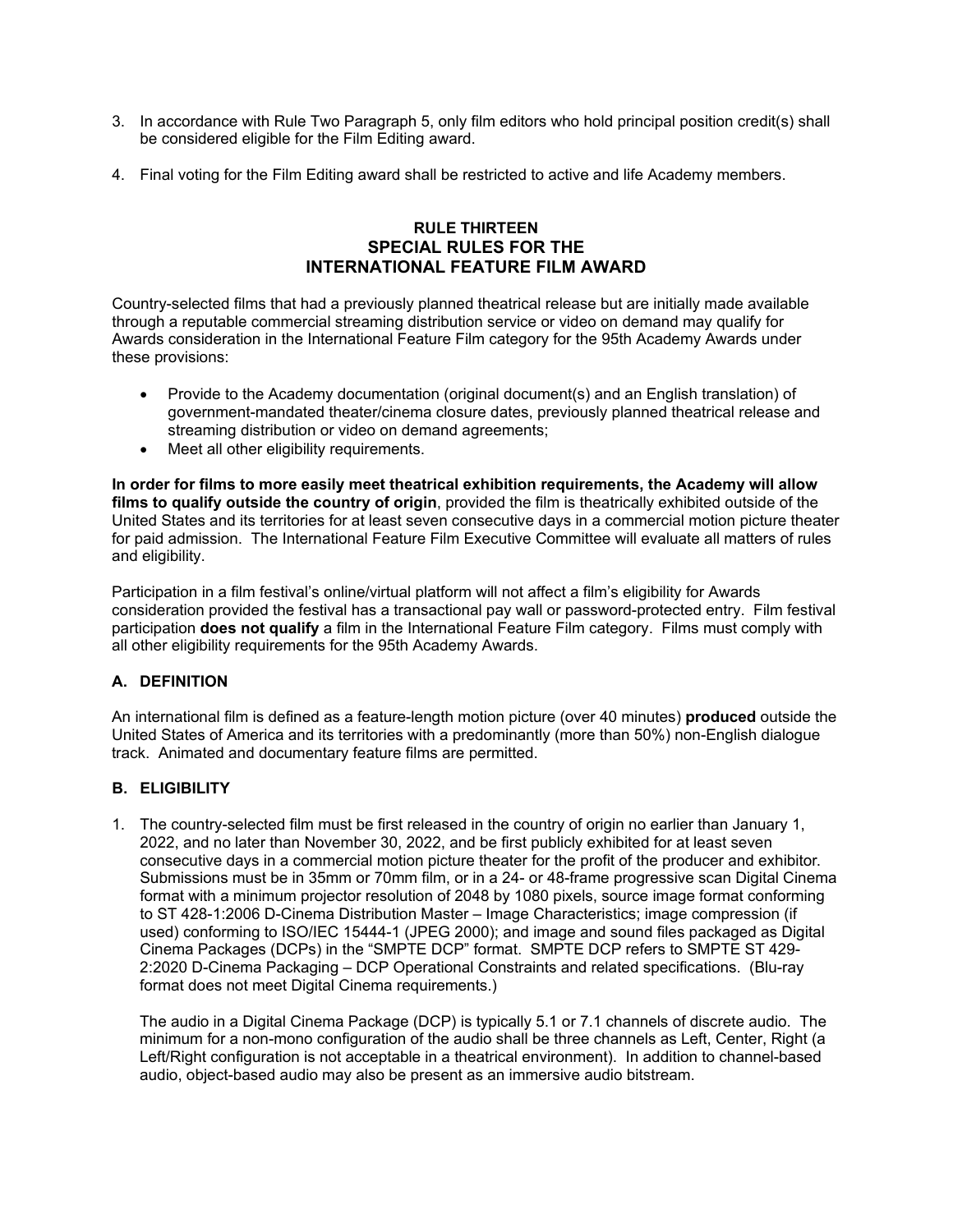- 3. In accordance with Rule Two Paragraph 5, only film editors who hold principal position credit(s) shall be considered eligible for the Film Editing award.
- 4. Final voting for the Film Editing award shall be restricted to active and life Academy members.

# **RULE THIRTEEN SPECIAL RULES FOR THE INTERNATIONAL FEATURE FILM AWARD**

Country-selected films that had a previously planned theatrical release but are initially made available through a reputable commercial streaming distribution service or video on demand may qualify for Awards consideration in the International Feature Film category for the 95th Academy Awards under these provisions:

- Provide to the Academy documentation (original document(s) and an English translation) of government-mandated theater/cinema closure dates, previously planned theatrical release and streaming distribution or video on demand agreements;
- Meet all other eligibility requirements.

**In order for films to more easily meet theatrical exhibition requirements, the Academy will allow films to qualify outside the country of origin**, provided the film is theatrically exhibited outside of the United States and its territories for at least seven consecutive days in a commercial motion picture theater for paid admission. The International Feature Film Executive Committee will evaluate all matters of rules and eligibility.

Participation in a film festival's online/virtual platform will not affect a film's eligibility for Awards consideration provided the festival has a transactional pay wall or password-protected entry. Film festival participation **does not qualify** a film in the International Feature Film category. Films must comply with all other eligibility requirements for the 95th Academy Awards.

# **A. DEFINITION**

An international film is defined as a feature-length motion picture (over 40 minutes) **produced** outside the United States of America and its territories with a predominantly (more than 50%) non-English dialogue track. Animated and documentary feature films are permitted.

# **B. ELIGIBILITY**

1. The country-selected film must be first released in the country of origin no earlier than January 1, 2022, and no later than November 30, 2022, and be first publicly exhibited for at least seven consecutive days in a commercial motion picture theater for the profit of the producer and exhibitor. Submissions must be in 35mm or 70mm film, or in a 24- or 48-frame progressive scan Digital Cinema format with a minimum projector resolution of 2048 by 1080 pixels, source image format conforming to ST 428-1:2006 D-Cinema Distribution Master – Image Characteristics; image compression (if used) conforming to ISO/IEC 15444-1 (JPEG 2000); and image and sound files packaged as Digital Cinema Packages (DCPs) in the "SMPTE DCP" format. SMPTE DCP refers to SMPTE ST 429- 2:2020 D-Cinema Packaging – DCP Operational Constraints and related specifications. (Blu-ray format does not meet Digital Cinema requirements.)

The audio in a Digital Cinema Package (DCP) is typically 5.1 or 7.1 channels of discrete audio. The minimum for a non-mono configuration of the audio shall be three channels as Left, Center, Right (a Left/Right configuration is not acceptable in a theatrical environment). In addition to channel-based audio, object-based audio may also be present as an immersive audio bitstream.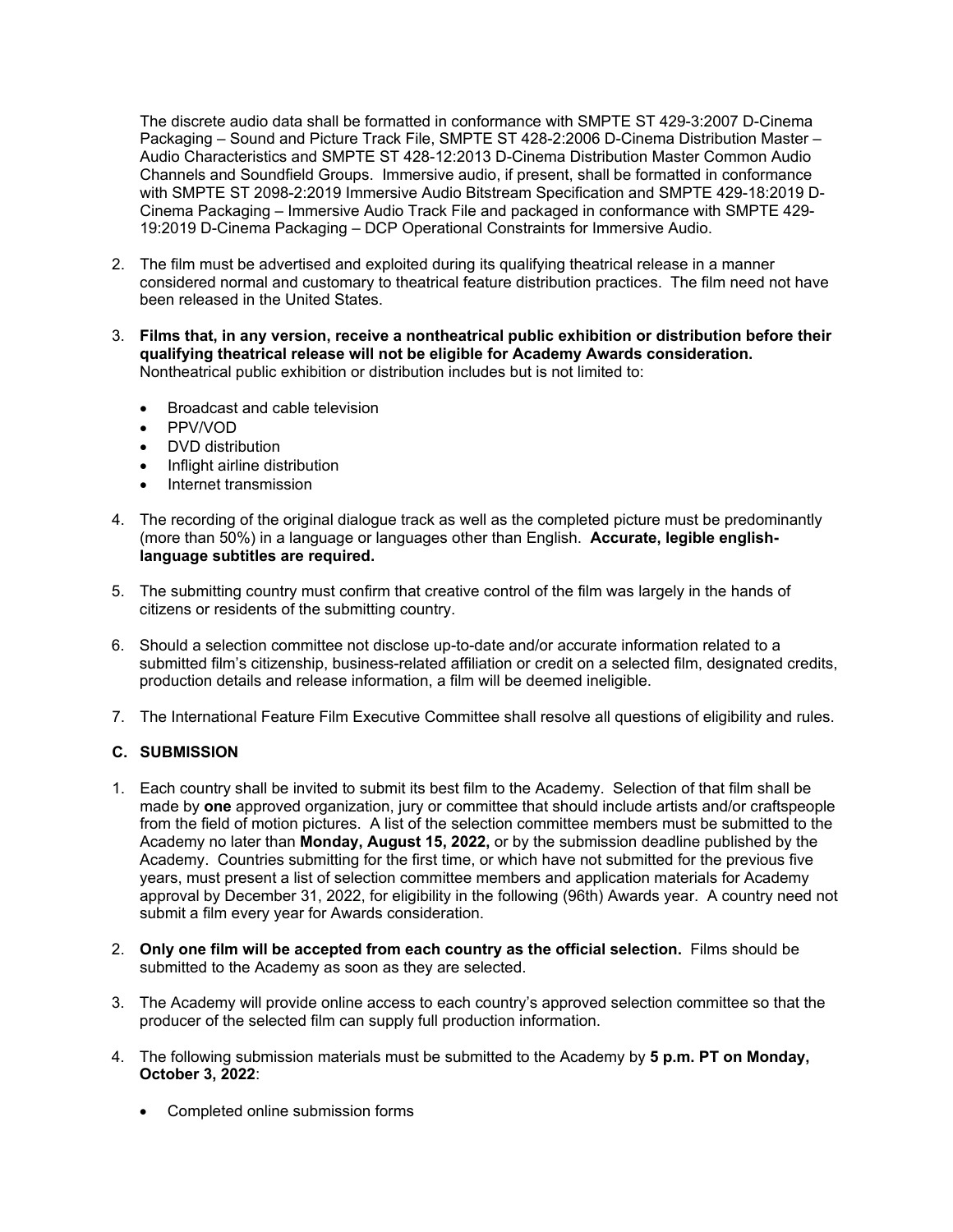The discrete audio data shall be formatted in conformance with SMPTE ST 429-3:2007 D-Cinema Packaging – Sound and Picture Track File, SMPTE ST 428-2:2006 D-Cinema Distribution Master – Audio Characteristics and SMPTE ST 428-12:2013 D-Cinema Distribution Master Common Audio Channels and Soundfield Groups. Immersive audio, if present, shall be formatted in conformance with SMPTE ST 2098-2:2019 Immersive Audio Bitstream Specification and SMPTE 429-18:2019 D-Cinema Packaging – Immersive Audio Track File and packaged in conformance with SMPTE 429- 19:2019 D-Cinema Packaging – DCP Operational Constraints for Immersive Audio.

- 2. The film must be advertised and exploited during its qualifying theatrical release in a manner considered normal and customary to theatrical feature distribution practices. The film need not have been released in the United States.
- 3. **Films that, in any version, receive a nontheatrical public exhibition or distribution before their qualifying theatrical release will not be eligible for Academy Awards consideration.** Nontheatrical public exhibition or distribution includes but is not limited to:
	- Broadcast and cable television
	- PPV/VOD
	- DVD distribution
	- Inflight airline distribution
	- Internet transmission
- 4. The recording of the original dialogue track as well as the completed picture must be predominantly (more than 50%) in a language or languages other than English. **Accurate, legible englishlanguage subtitles are required.**
- 5. The submitting country must confirm that creative control of the film was largely in the hands of citizens or residents of the submitting country.
- 6. Should a selection committee not disclose up-to-date and/or accurate information related to a submitted film's citizenship, business-related affiliation or credit on a selected film, designated credits, production details and release information, a film will be deemed ineligible.
- 7. The International Feature Film Executive Committee shall resolve all questions of eligibility and rules.

#### **C. SUBMISSION**

- 1. Each country shall be invited to submit its best film to the Academy. Selection of that film shall be made by **one** approved organization, jury or committee that should include artists and/or craftspeople from the field of motion pictures. A list of the selection committee members must be submitted to the Academy no later than **Monday, August 15, 2022,** or by the submission deadline published by the Academy. Countries submitting for the first time, or which have not submitted for the previous five years, must present a list of selection committee members and application materials for Academy approval by December 31, 2022, for eligibility in the following (96th) Awards year. A country need not submit a film every year for Awards consideration.
- 2. **Only one film will be accepted from each country as the official selection.** Films should be submitted to the Academy as soon as they are selected.
- 3. The Academy will provide online access to each country's approved selection committee so that the producer of the selected film can supply full production information.
- 4. The following submission materials must be submitted to the Academy by **5 p.m. PT on Monday, October 3, 2022**:
	- Completed online submission forms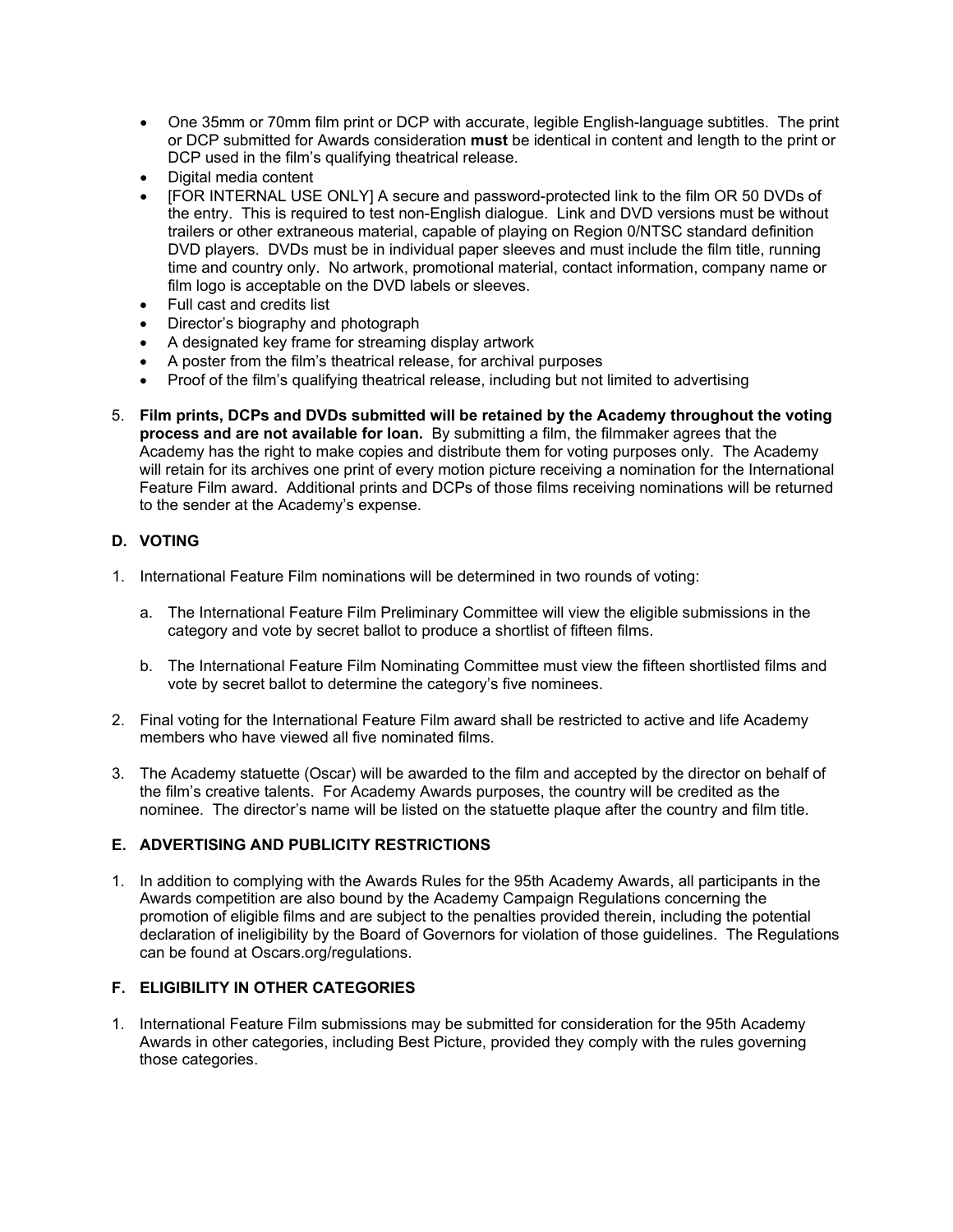- One 35mm or 70mm film print or DCP with accurate, legible English-language subtitles. The print or DCP submitted for Awards consideration **must** be identical in content and length to the print or DCP used in the film's qualifying theatrical release.
- Digital media content
- [FOR INTERNAL USE ONLY] A secure and password-protected link to the film OR 50 DVDs of the entry. This is required to test non-English dialogue. Link and DVD versions must be without trailers or other extraneous material, capable of playing on Region 0/NTSC standard definition DVD players. DVDs must be in individual paper sleeves and must include the film title, running time and country only. No artwork, promotional material, contact information, company name or film logo is acceptable on the DVD labels or sleeves.
- Full cast and credits list
- Director's biography and photograph
- A designated key frame for streaming display artwork
- A poster from the film's theatrical release, for archival purposes
- Proof of the film's qualifying theatrical release, including but not limited to advertising
- 5. **Film prints, DCPs and DVDs submitted will be retained by the Academy throughout the voting process and are not available for loan.** By submitting a film, the filmmaker agrees that the Academy has the right to make copies and distribute them for voting purposes only. The Academy will retain for its archives one print of every motion picture receiving a nomination for the International Feature Film award. Additional prints and DCPs of those films receiving nominations will be returned to the sender at the Academy's expense.

# **D. VOTING**

- 1. International Feature Film nominations will be determined in two rounds of voting:
	- a. The International Feature Film Preliminary Committee will view the eligible submissions in the category and vote by secret ballot to produce a shortlist of fifteen films.
	- b. The International Feature Film Nominating Committee must view the fifteen shortlisted films and vote by secret ballot to determine the category's five nominees.
- 2. Final voting for the International Feature Film award shall be restricted to active and life Academy members who have viewed all five nominated films.
- 3. The Academy statuette (Oscar) will be awarded to the film and accepted by the director on behalf of the film's creative talents. For Academy Awards purposes, the country will be credited as the nominee. The director's name will be listed on the statuette plaque after the country and film title.

# **E. ADVERTISING AND PUBLICITY RESTRICTIONS**

1. In addition to complying with the Awards Rules for the 95th Academy Awards, all participants in the Awards competition are also bound by the Academy Campaign Regulations concerning the promotion of eligible films and are subject to the penalties provided therein, including the potential declaration of ineligibility by the Board of Governors for violation of those guidelines. The Regulations can be found at Oscars.org/regulations.

# **F. ELIGIBILITY IN OTHER CATEGORIES**

1. International Feature Film submissions may be submitted for consideration for the 95th Academy Awards in other categories, including Best Picture, provided they comply with the rules governing those categories.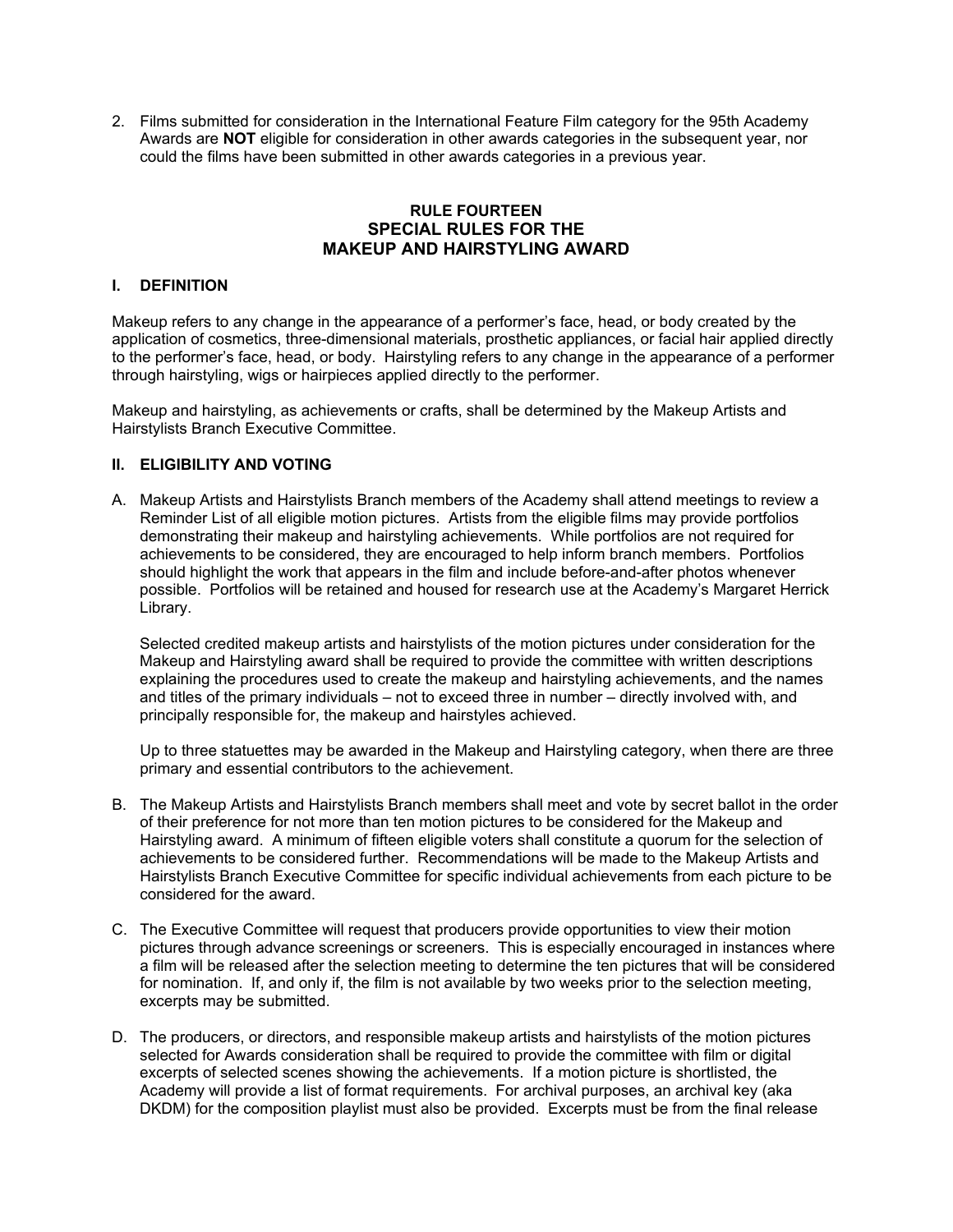2. Films submitted for consideration in the International Feature Film category for the 95th Academy Awards are **NOT** eligible for consideration in other awards categories in the subsequent year, nor could the films have been submitted in other awards categories in a previous year.

# **RULE FOURTEEN SPECIAL RULES FOR THE MAKEUP AND HAIRSTYLING AWARD**

#### **I. DEFINITION**

Makeup refers to any change in the appearance of a performer's face, head, or body created by the application of cosmetics, three-dimensional materials, prosthetic appliances, or facial hair applied directly to the performer's face, head, or body. Hairstyling refers to any change in the appearance of a performer through hairstyling, wigs or hairpieces applied directly to the performer.

Makeup and hairstyling, as achievements or crafts, shall be determined by the Makeup Artists and Hairstylists Branch Executive Committee.

## **II. ELIGIBILITY AND VOTING**

A. Makeup Artists and Hairstylists Branch members of the Academy shall attend meetings to review a Reminder List of all eligible motion pictures. Artists from the eligible films may provide portfolios demonstrating their makeup and hairstyling achievements. While portfolios are not required for achievements to be considered, they are encouraged to help inform branch members. Portfolios should highlight the work that appears in the film and include before-and-after photos whenever possible. Portfolios will be retained and housed for research use at the Academy's Margaret Herrick Library.

Selected credited makeup artists and hairstylists of the motion pictures under consideration for the Makeup and Hairstyling award shall be required to provide the committee with written descriptions explaining the procedures used to create the makeup and hairstyling achievements, and the names and titles of the primary individuals – not to exceed three in number – directly involved with, and principally responsible for, the makeup and hairstyles achieved.

Up to three statuettes may be awarded in the Makeup and Hairstyling category, when there are three primary and essential contributors to the achievement.

- B. The Makeup Artists and Hairstylists Branch members shall meet and vote by secret ballot in the order of their preference for not more than ten motion pictures to be considered for the Makeup and Hairstyling award. A minimum of fifteen eligible voters shall constitute a quorum for the selection of achievements to be considered further. Recommendations will be made to the Makeup Artists and Hairstylists Branch Executive Committee for specific individual achievements from each picture to be considered for the award.
- C. The Executive Committee will request that producers provide opportunities to view their motion pictures through advance screenings or screeners. This is especially encouraged in instances where a film will be released after the selection meeting to determine the ten pictures that will be considered for nomination. If, and only if, the film is not available by two weeks prior to the selection meeting, excerpts may be submitted.
- D. The producers, or directors, and responsible makeup artists and hairstylists of the motion pictures selected for Awards consideration shall be required to provide the committee with film or digital excerpts of selected scenes showing the achievements. If a motion picture is shortlisted, the Academy will provide a list of format requirements. For archival purposes, an archival key (aka DKDM) for the composition playlist must also be provided. Excerpts must be from the final release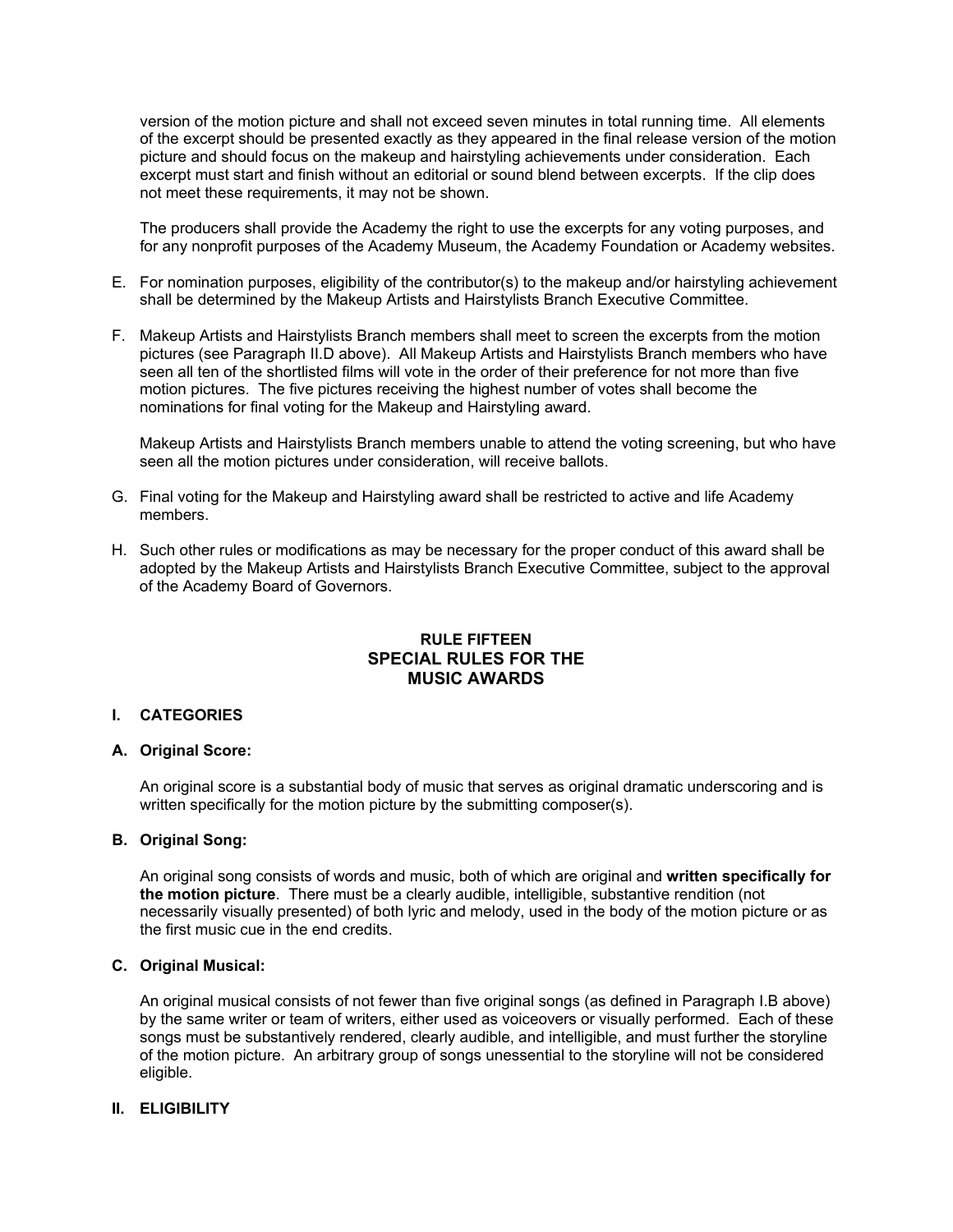version of the motion picture and shall not exceed seven minutes in total running time. All elements of the excerpt should be presented exactly as they appeared in the final release version of the motion picture and should focus on the makeup and hairstyling achievements under consideration. Each excerpt must start and finish without an editorial or sound blend between excerpts. If the clip does not meet these requirements, it may not be shown.

The producers shall provide the Academy the right to use the excerpts for any voting purposes, and for any nonprofit purposes of the Academy Museum, the Academy Foundation or Academy websites.

- E. For nomination purposes, eligibility of the contributor(s) to the makeup and/or hairstyling achievement shall be determined by the Makeup Artists and Hairstylists Branch Executive Committee.
- F. Makeup Artists and Hairstylists Branch members shall meet to screen the excerpts from the motion pictures (see Paragraph II.D above). All Makeup Artists and Hairstylists Branch members who have seen all ten of the shortlisted films will vote in the order of their preference for not more than five motion pictures. The five pictures receiving the highest number of votes shall become the nominations for final voting for the Makeup and Hairstyling award.

Makeup Artists and Hairstylists Branch members unable to attend the voting screening, but who have seen all the motion pictures under consideration, will receive ballots.

- G. Final voting for the Makeup and Hairstyling award shall be restricted to active and life Academy members.
- H. Such other rules or modifications as may be necessary for the proper conduct of this award shall be adopted by the Makeup Artists and Hairstylists Branch Executive Committee, subject to the approval of the Academy Board of Governors.

# **RULE FIFTEEN SPECIAL RULES FOR THE MUSIC AWARDS**

#### **I. CATEGORIES**

#### **A. Original Score:**

An original score is a substantial body of music that serves as original dramatic underscoring and is written specifically for the motion picture by the submitting composer(s).

#### **B. Original Song:**

An original song consists of words and music, both of which are original and **written specifically for the motion picture**. There must be a clearly audible, intelligible, substantive rendition (not necessarily visually presented) of both lyric and melody, used in the body of the motion picture or as the first music cue in the end credits.

#### **C. Original Musical:**

An original musical consists of not fewer than five original songs (as defined in Paragraph I.B above) by the same writer or team of writers, either used as voiceovers or visually performed. Each of these songs must be substantively rendered, clearly audible, and intelligible, and must further the storyline of the motion picture. An arbitrary group of songs unessential to the storyline will not be considered eligible.

#### **II. ELIGIBILITY**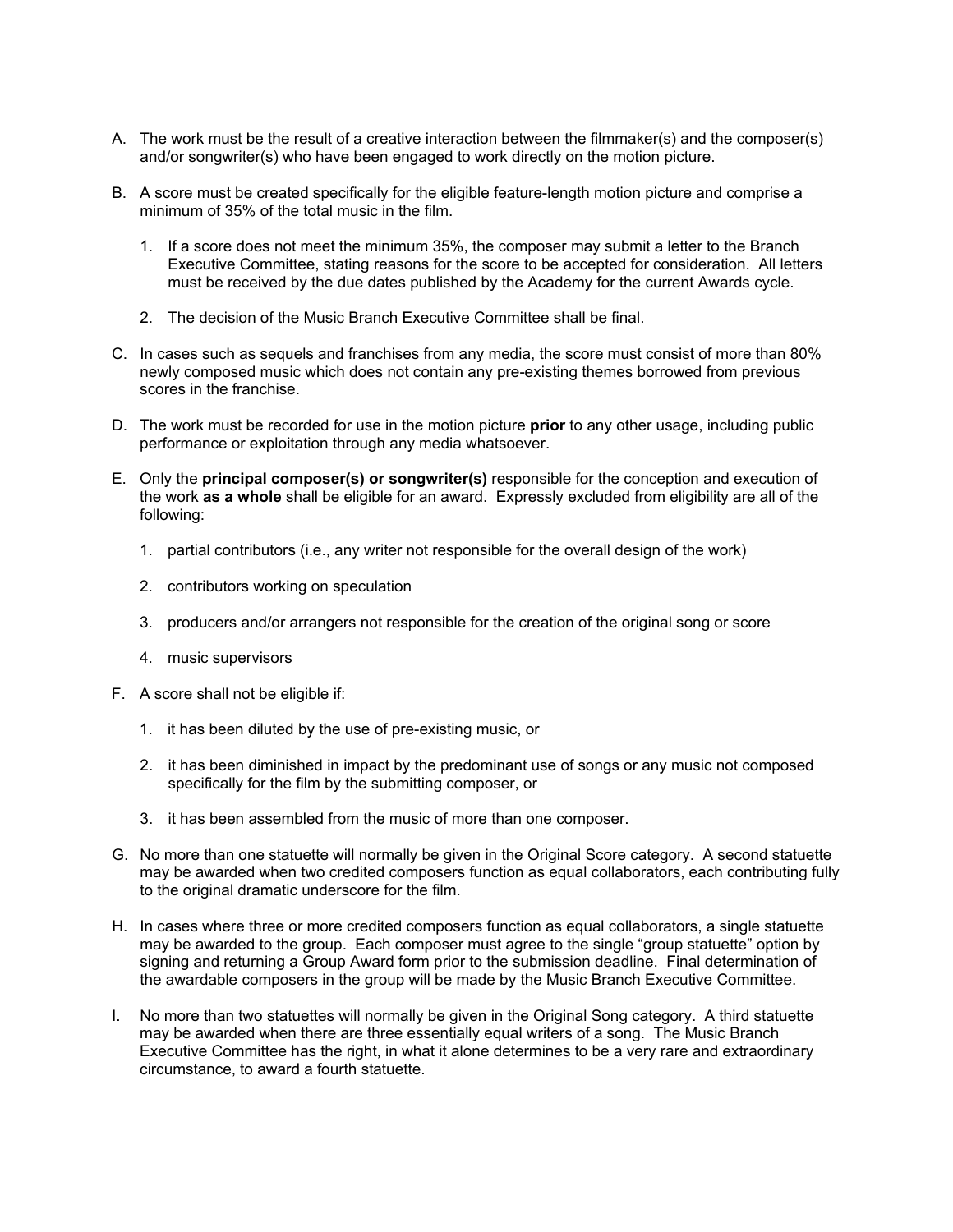- A. The work must be the result of a creative interaction between the filmmaker(s) and the composer(s) and/or songwriter(s) who have been engaged to work directly on the motion picture.
- B. A score must be created specifically for the eligible feature-length motion picture and comprise a minimum of 35% of the total music in the film.
	- 1. If a score does not meet the minimum 35%, the composer may submit a letter to the Branch Executive Committee, stating reasons for the score to be accepted for consideration. All letters must be received by the due dates published by the Academy for the current Awards cycle.
	- 2. The decision of the Music Branch Executive Committee shall be final.
- C. In cases such as sequels and franchises from any media, the score must consist of more than 80% newly composed music which does not contain any pre-existing themes borrowed from previous scores in the franchise.
- D. The work must be recorded for use in the motion picture **prior** to any other usage, including public performance or exploitation through any media whatsoever.
- E. Only the **principal composer(s) or songwriter(s)** responsible for the conception and execution of the work **as a whole** shall be eligible for an award. Expressly excluded from eligibility are all of the following:
	- 1. partial contributors (i.e., any writer not responsible for the overall design of the work)
	- 2. contributors working on speculation
	- 3. producers and/or arrangers not responsible for the creation of the original song or score
	- 4. music supervisors
- F. A score shall not be eligible if:
	- 1. it has been diluted by the use of pre-existing music, or
	- 2. it has been diminished in impact by the predominant use of songs or any music not composed specifically for the film by the submitting composer, or
	- 3. it has been assembled from the music of more than one composer.
- G. No more than one statuette will normally be given in the Original Score category. A second statuette may be awarded when two credited composers function as equal collaborators, each contributing fully to the original dramatic underscore for the film.
- H. In cases where three or more credited composers function as equal collaborators, a single statuette may be awarded to the group. Each composer must agree to the single "group statuette" option by signing and returning a Group Award form prior to the submission deadline. Final determination of the awardable composers in the group will be made by the Music Branch Executive Committee.
- I. No more than two statuettes will normally be given in the Original Song category. A third statuette may be awarded when there are three essentially equal writers of a song. The Music Branch Executive Committee has the right, in what it alone determines to be a very rare and extraordinary circumstance, to award a fourth statuette.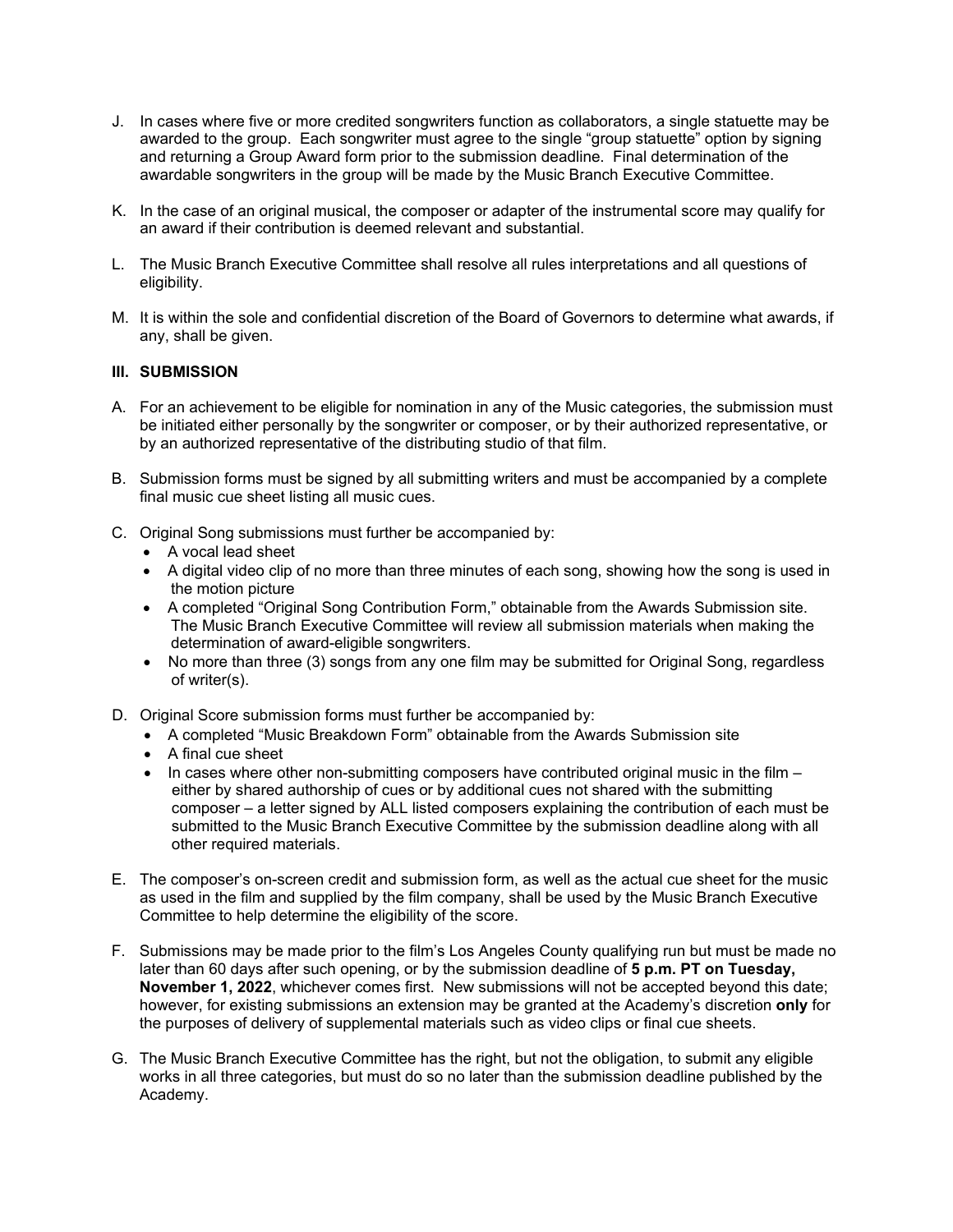- J. In cases where five or more credited songwriters function as collaborators, a single statuette may be awarded to the group. Each songwriter must agree to the single "group statuette" option by signing and returning a Group Award form prior to the submission deadline. Final determination of the awardable songwriters in the group will be made by the Music Branch Executive Committee.
- K. In the case of an original musical, the composer or adapter of the instrumental score may qualify for an award if their contribution is deemed relevant and substantial.
- L. The Music Branch Executive Committee shall resolve all rules interpretations and all questions of eligibility.
- M. It is within the sole and confidential discretion of the Board of Governors to determine what awards, if any, shall be given.

### **III. SUBMISSION**

- A. For an achievement to be eligible for nomination in any of the Music categories, the submission must be initiated either personally by the songwriter or composer, or by their authorized representative, or by an authorized representative of the distributing studio of that film.
- B. Submission forms must be signed by all submitting writers and must be accompanied by a complete final music cue sheet listing all music cues.
- C. Original Song submissions must further be accompanied by:
	- A vocal lead sheet
	- A digital video clip of no more than three minutes of each song, showing how the song is used in the motion picture
	- A completed "Original Song Contribution Form," obtainable from the Awards Submission site. The Music Branch Executive Committee will review all submission materials when making the determination of award-eligible songwriters.
	- No more than three (3) songs from any one film may be submitted for Original Song, regardless of writer(s).
- D. Original Score submission forms must further be accompanied by:
	- A completed "Music Breakdown Form" obtainable from the Awards Submission site
	- A final cue sheet
	- In cases where other non-submitting composers have contributed original music in the film  $$ either by shared authorship of cues or by additional cues not shared with the submitting composer – a letter signed by ALL listed composers explaining the contribution of each must be submitted to the Music Branch Executive Committee by the submission deadline along with all other required materials.
- E. The composer's on-screen credit and submission form, as well as the actual cue sheet for the music as used in the film and supplied by the film company, shall be used by the Music Branch Executive Committee to help determine the eligibility of the score.
- F. Submissions may be made prior to the film's Los Angeles County qualifying run but must be made no later than 60 days after such opening, or by the submission deadline of **5 p.m. PT on Tuesday, November 1, 2022**, whichever comes first. New submissions will not be accepted beyond this date; however, for existing submissions an extension may be granted at the Academy's discretion **only** for the purposes of delivery of supplemental materials such as video clips or final cue sheets.
- G. The Music Branch Executive Committee has the right, but not the obligation, to submit any eligible works in all three categories, but must do so no later than the submission deadline published by the Academy.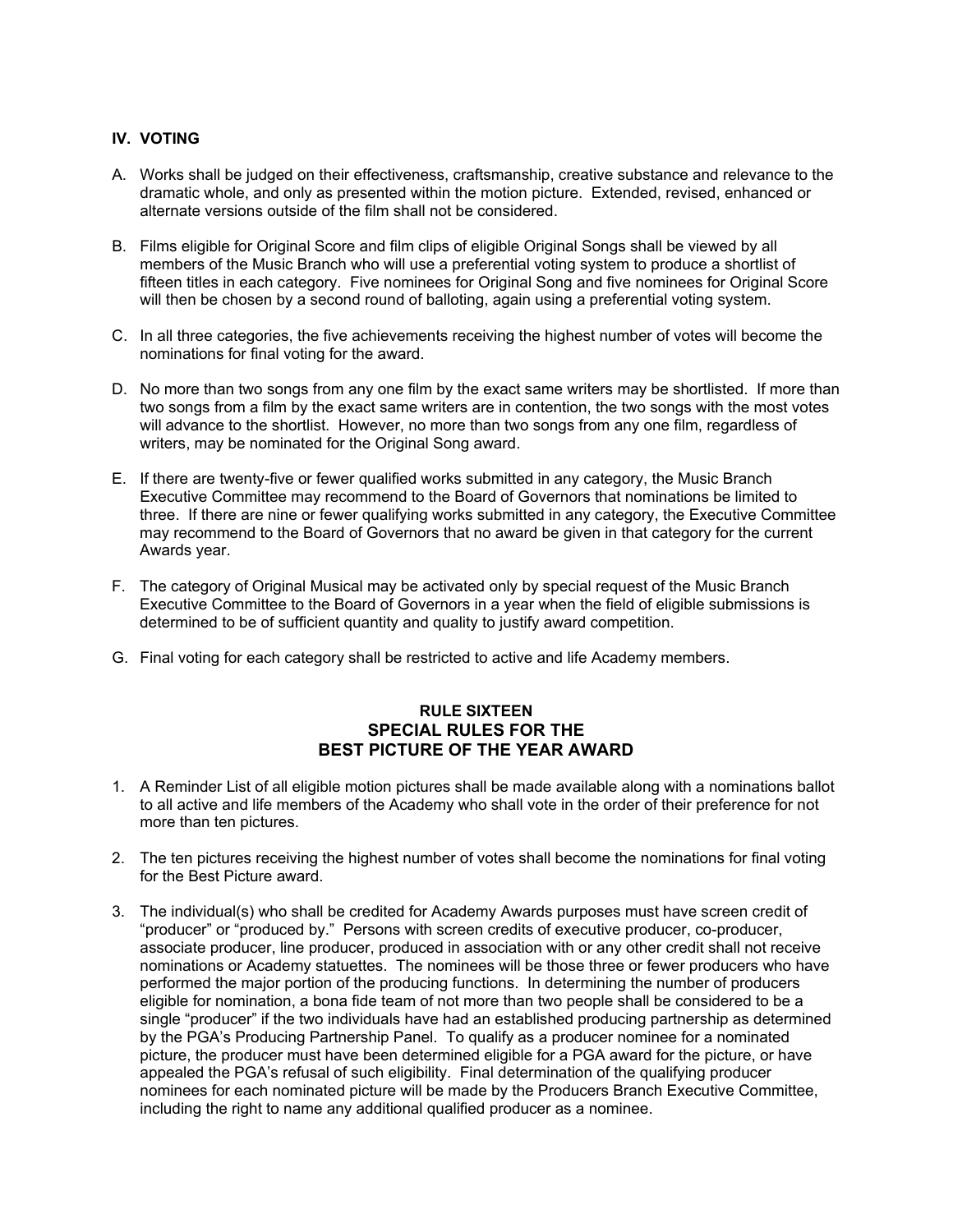# **IV. VOTING**

- A. Works shall be judged on their effectiveness, craftsmanship, creative substance and relevance to the dramatic whole, and only as presented within the motion picture. Extended, revised, enhanced or alternate versions outside of the film shall not be considered.
- B. Films eligible for Original Score and film clips of eligible Original Songs shall be viewed by all members of the Music Branch who will use a preferential voting system to produce a shortlist of fifteen titles in each category. Five nominees for Original Song and five nominees for Original Score will then be chosen by a second round of balloting, again using a preferential voting system.
- C. In all three categories, the five achievements receiving the highest number of votes will become the nominations for final voting for the award.
- D. No more than two songs from any one film by the exact same writers may be shortlisted. If more than two songs from a film by the exact same writers are in contention, the two songs with the most votes will advance to the shortlist. However, no more than two songs from any one film, regardless of writers, may be nominated for the Original Song award.
- E. If there are twenty-five or fewer qualified works submitted in any category, the Music Branch Executive Committee may recommend to the Board of Governors that nominations be limited to three. If there are nine or fewer qualifying works submitted in any category, the Executive Committee may recommend to the Board of Governors that no award be given in that category for the current Awards year.
- F. The category of Original Musical may be activated only by special request of the Music Branch Executive Committee to the Board of Governors in a year when the field of eligible submissions is determined to be of sufficient quantity and quality to justify award competition.
- G. Final voting for each category shall be restricted to active and life Academy members.

# **RULE SIXTEEN SPECIAL RULES FOR THE BEST PICTURE OF THE YEAR AWARD**

- 1. A Reminder List of all eligible motion pictures shall be made available along with a nominations ballot to all active and life members of the Academy who shall vote in the order of their preference for not more than ten pictures.
- 2. The ten pictures receiving the highest number of votes shall become the nominations for final voting for the Best Picture award.
- 3. The individual(s) who shall be credited for Academy Awards purposes must have screen credit of "producer" or "produced by." Persons with screen credits of executive producer, co-producer, associate producer, line producer, produced in association with or any other credit shall not receive nominations or Academy statuettes. The nominees will be those three or fewer producers who have performed the major portion of the producing functions. In determining the number of producers eligible for nomination, a bona fide team of not more than two people shall be considered to be a single "producer" if the two individuals have had an established producing partnership as determined by the PGA's Producing Partnership Panel. To qualify as a producer nominee for a nominated picture, the producer must have been determined eligible for a PGA award for the picture, or have appealed the PGA's refusal of such eligibility. Final determination of the qualifying producer nominees for each nominated picture will be made by the Producers Branch Executive Committee, including the right to name any additional qualified producer as a nominee.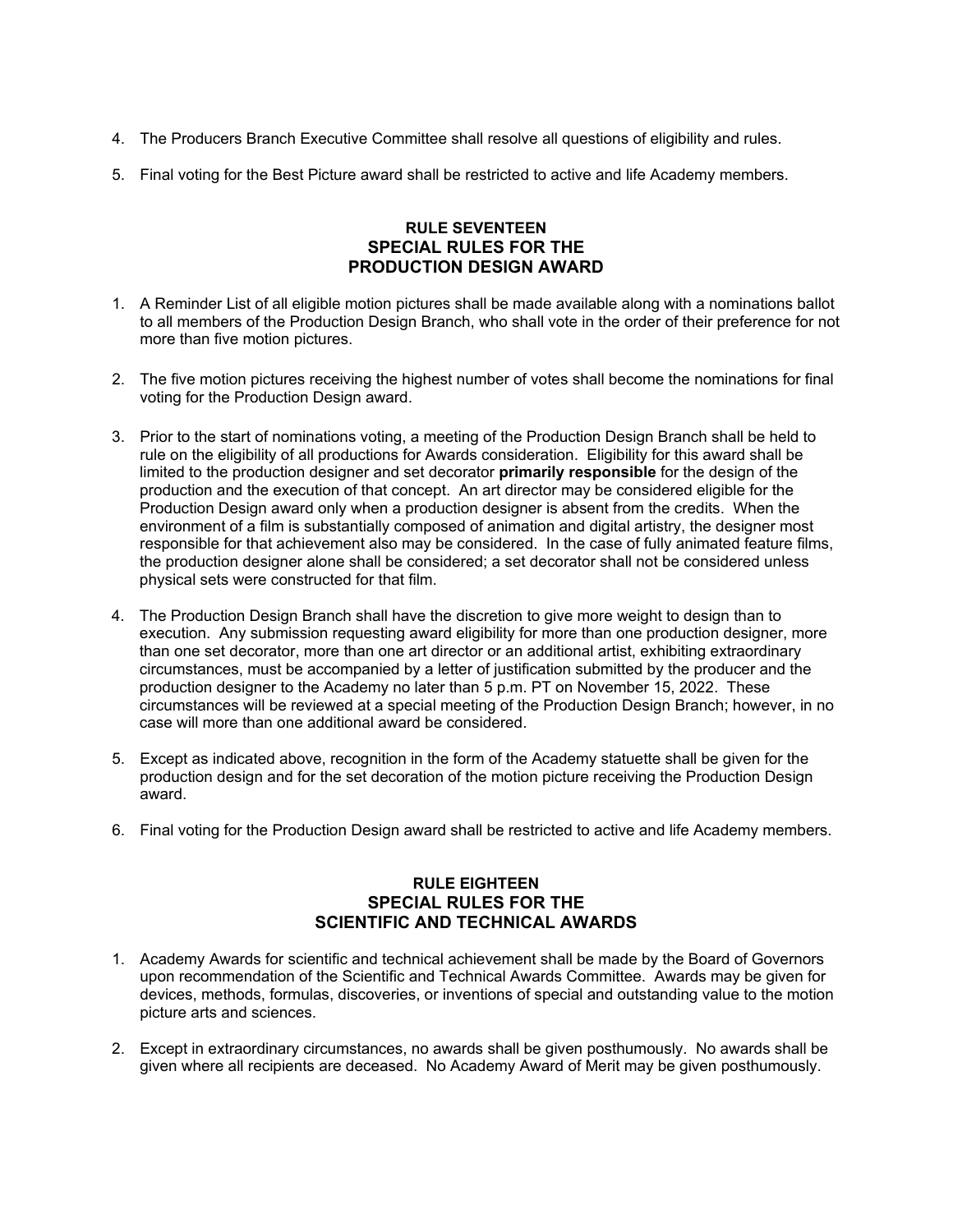- 4. The Producers Branch Executive Committee shall resolve all questions of eligibility and rules.
- 5. Final voting for the Best Picture award shall be restricted to active and life Academy members.

# **RULE SEVENTEEN SPECIAL RULES FOR THE PRODUCTION DESIGN AWARD**

- 1. A Reminder List of all eligible motion pictures shall be made available along with a nominations ballot to all members of the Production Design Branch, who shall vote in the order of their preference for not more than five motion pictures.
- 2. The five motion pictures receiving the highest number of votes shall become the nominations for final voting for the Production Design award.
- 3. Prior to the start of nominations voting, a meeting of the Production Design Branch shall be held to rule on the eligibility of all productions for Awards consideration. Eligibility for this award shall be limited to the production designer and set decorator **primarily responsible** for the design of the production and the execution of that concept. An art director may be considered eligible for the Production Design award only when a production designer is absent from the credits. When the environment of a film is substantially composed of animation and digital artistry, the designer most responsible for that achievement also may be considered. In the case of fully animated feature films, the production designer alone shall be considered; a set decorator shall not be considered unless physical sets were constructed for that film.
- 4. The Production Design Branch shall have the discretion to give more weight to design than to execution. Any submission requesting award eligibility for more than one production designer, more than one set decorator, more than one art director or an additional artist, exhibiting extraordinary circumstances, must be accompanied by a letter of justification submitted by the producer and the production designer to the Academy no later than 5 p.m. PT on November 15, 2022. These circumstances will be reviewed at a special meeting of the Production Design Branch; however, in no case will more than one additional award be considered.
- 5. Except as indicated above, recognition in the form of the Academy statuette shall be given for the production design and for the set decoration of the motion picture receiving the Production Design award.
- 6. Final voting for the Production Design award shall be restricted to active and life Academy members.

# **RULE EIGHTEEN SPECIAL RULES FOR THE SCIENTIFIC AND TECHNICAL AWARDS**

- 1. Academy Awards for scientific and technical achievement shall be made by the Board of Governors upon recommendation of the Scientific and Technical Awards Committee. Awards may be given for devices, methods, formulas, discoveries, or inventions of special and outstanding value to the motion picture arts and sciences.
- 2. Except in extraordinary circumstances, no awards shall be given posthumously. No awards shall be given where all recipients are deceased. No Academy Award of Merit may be given posthumously.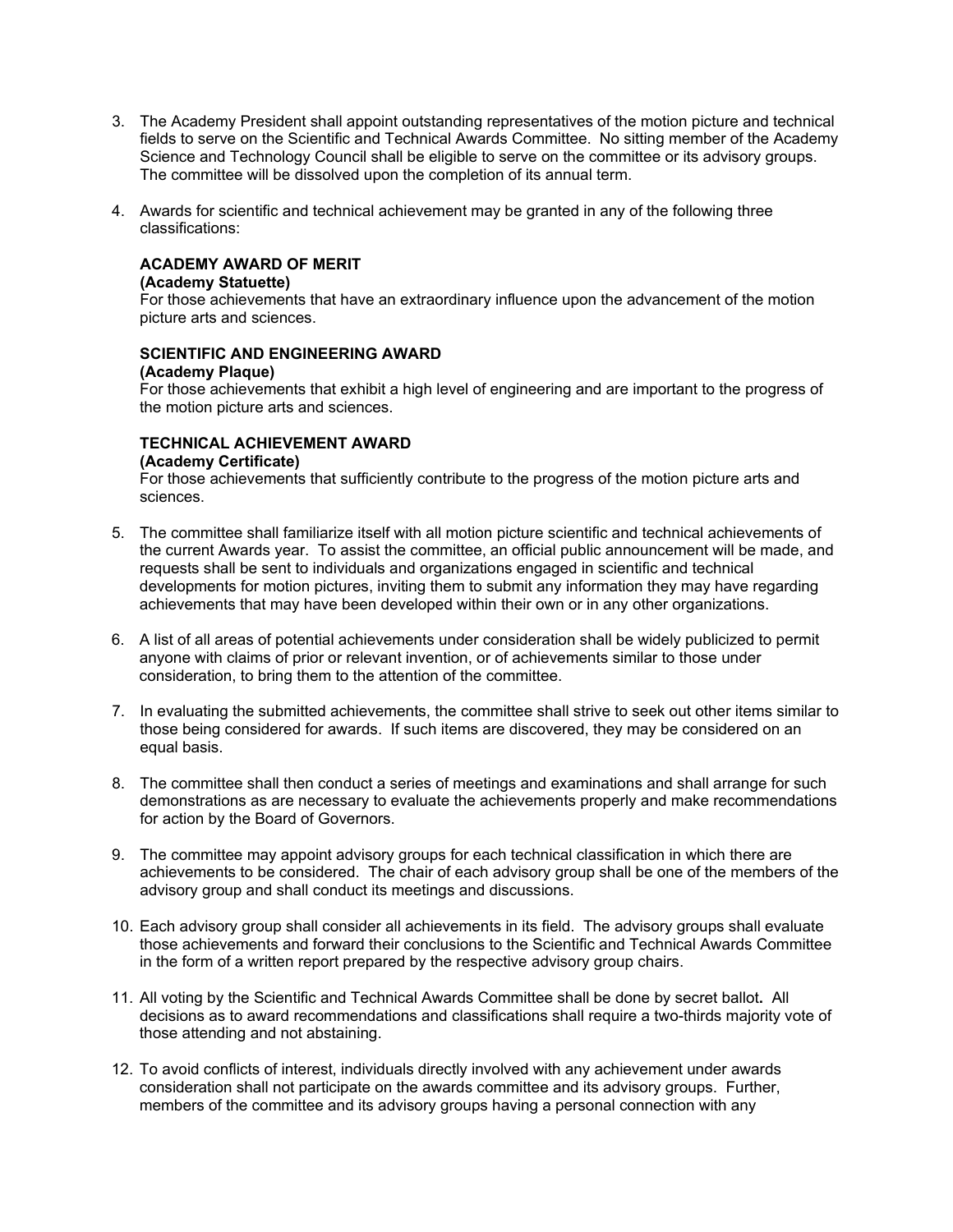- 3. The Academy President shall appoint outstanding representatives of the motion picture and technical fields to serve on the Scientific and Technical Awards Committee. No sitting member of the Academy Science and Technology Council shall be eligible to serve on the committee or its advisory groups. The committee will be dissolved upon the completion of its annual term.
- 4. Awards for scientific and technical achievement may be granted in any of the following three classifications:

#### **ACADEMY AWARD OF MERIT**

#### **(Academy Statuette)**

For those achievements that have an extraordinary influence upon the advancement of the motion picture arts and sciences.

#### **SCIENTIFIC AND ENGINEERING AWARD (Academy Plaque)**

For those achievements that exhibit a high level of engineering and are important to the progress of the motion picture arts and sciences.

#### **TECHNICAL ACHIEVEMENT AWARD (Academy Certificate)**

For those achievements that sufficiently contribute to the progress of the motion picture arts and sciences.

- 5. The committee shall familiarize itself with all motion picture scientific and technical achievements of the current Awards year. To assist the committee, an official public announcement will be made, and requests shall be sent to individuals and organizations engaged in scientific and technical developments for motion pictures, inviting them to submit any information they may have regarding achievements that may have been developed within their own or in any other organizations.
- 6. A list of all areas of potential achievements under consideration shall be widely publicized to permit anyone with claims of prior or relevant invention, or of achievements similar to those under consideration, to bring them to the attention of the committee.
- 7. In evaluating the submitted achievements, the committee shall strive to seek out other items similar to those being considered for awards. If such items are discovered, they may be considered on an equal basis.
- 8. The committee shall then conduct a series of meetings and examinations and shall arrange for such demonstrations as are necessary to evaluate the achievements properly and make recommendations for action by the Board of Governors.
- 9. The committee may appoint advisory groups for each technical classification in which there are achievements to be considered. The chair of each advisory group shall be one of the members of the advisory group and shall conduct its meetings and discussions.
- 10. Each advisory group shall consider all achievements in its field. The advisory groups shall evaluate those achievements and forward their conclusions to the Scientific and Technical Awards Committee in the form of a written report prepared by the respective advisory group chairs.
- 11. All voting by the Scientific and Technical Awards Committee shall be done by secret ballot**.** All decisions as to award recommendations and classifications shall require a two-thirds majority vote of those attending and not abstaining.
- 12. To avoid conflicts of interest, individuals directly involved with any achievement under awards consideration shall not participate on the awards committee and its advisory groups. Further, members of the committee and its advisory groups having a personal connection with any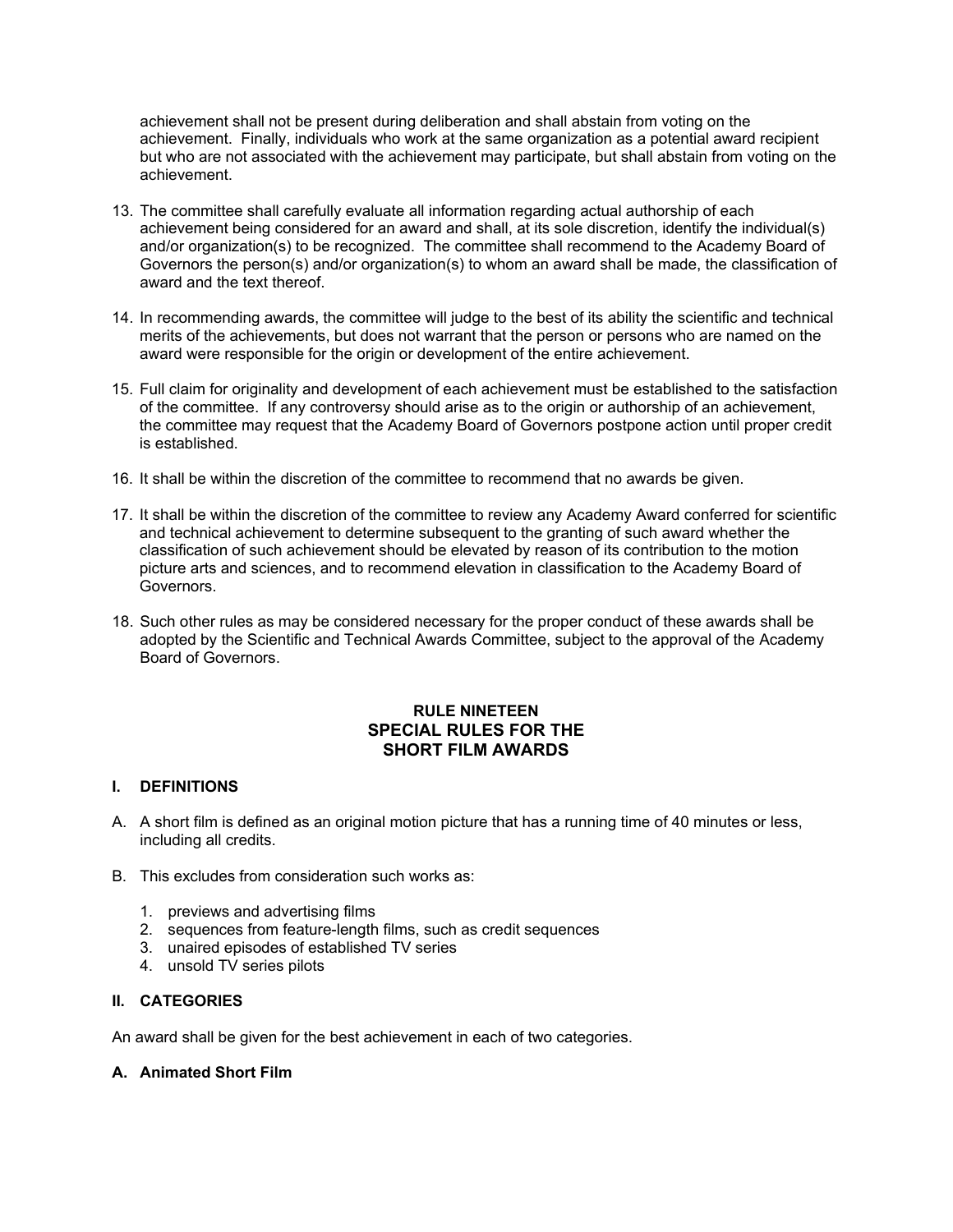achievement shall not be present during deliberation and shall abstain from voting on the achievement. Finally, individuals who work at the same organization as a potential award recipient but who are not associated with the achievement may participate, but shall abstain from voting on the achievement.

- 13. The committee shall carefully evaluate all information regarding actual authorship of each achievement being considered for an award and shall, at its sole discretion, identify the individual(s) and/or organization(s) to be recognized. The committee shall recommend to the Academy Board of Governors the person(s) and/or organization(s) to whom an award shall be made, the classification of award and the text thereof.
- 14. In recommending awards, the committee will judge to the best of its ability the scientific and technical merits of the achievements, but does not warrant that the person or persons who are named on the award were responsible for the origin or development of the entire achievement.
- 15. Full claim for originality and development of each achievement must be established to the satisfaction of the committee. If any controversy should arise as to the origin or authorship of an achievement, the committee may request that the Academy Board of Governors postpone action until proper credit is established.
- 16. It shall be within the discretion of the committee to recommend that no awards be given.
- 17. It shall be within the discretion of the committee to review any Academy Award conferred for scientific and technical achievement to determine subsequent to the granting of such award whether the classification of such achievement should be elevated by reason of its contribution to the motion picture arts and sciences, and to recommend elevation in classification to the Academy Board of Governors.
- 18. Such other rules as may be considered necessary for the proper conduct of these awards shall be adopted by the Scientific and Technical Awards Committee, subject to the approval of the Academy Board of Governors.

# **RULE NINETEEN SPECIAL RULES FOR THE SHORT FILM AWARDS**

# **I. DEFINITIONS**

- A. A short film is defined as an original motion picture that has a running time of 40 minutes or less, including all credits.
- B. This excludes from consideration such works as:
	- 1. previews and advertising films
	- 2. sequences from feature-length films, such as credit sequences
	- 3. unaired episodes of established TV series
	- 4. unsold TV series pilots

# **II. CATEGORIES**

An award shall be given for the best achievement in each of two categories.

# **A. Animated Short Film**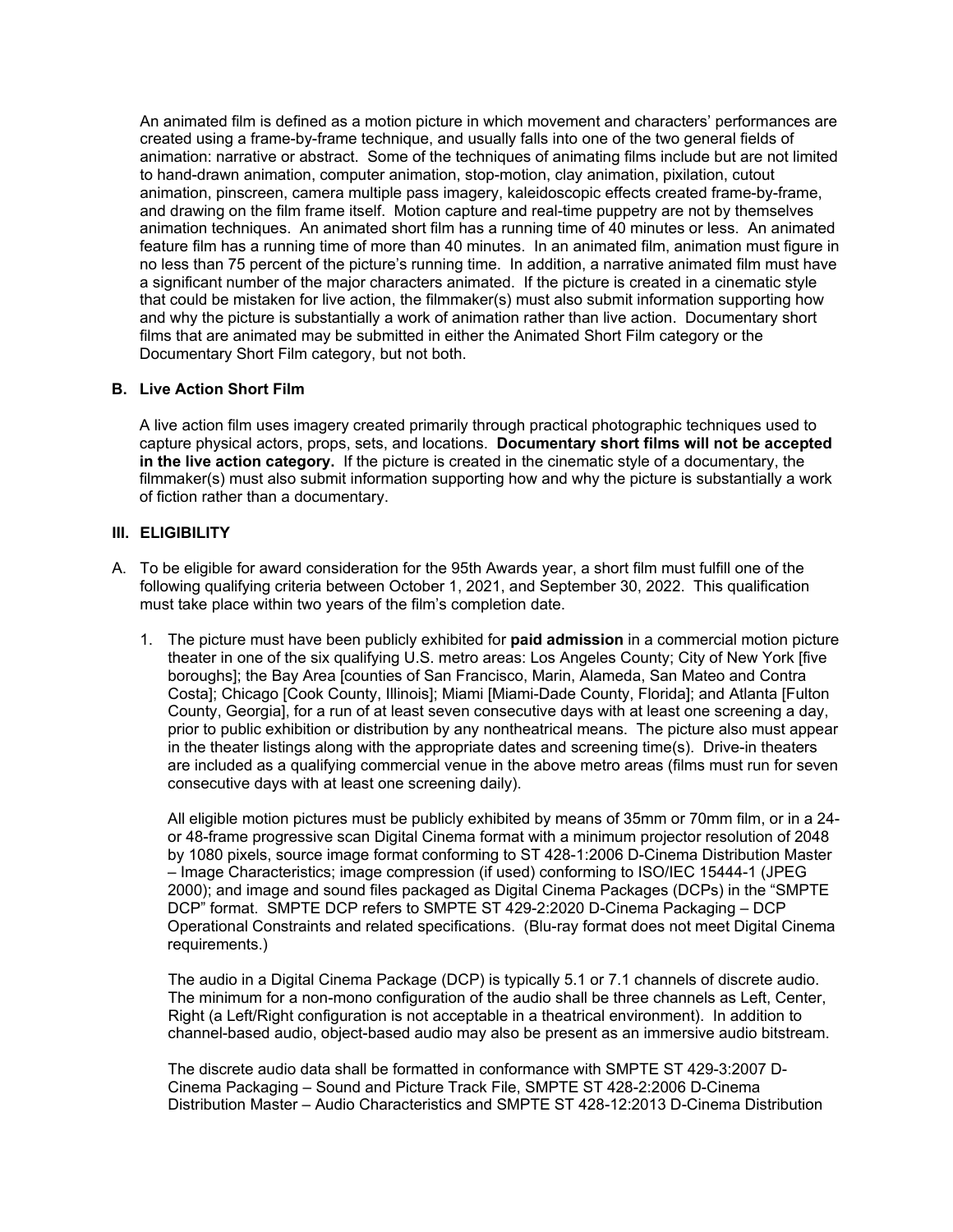An animated film is defined as a motion picture in which movement and characters' performances are created using a frame-by-frame technique, and usually falls into one of the two general fields of animation: narrative or abstract. Some of the techniques of animating films include but are not limited to hand-drawn animation, computer animation, stop-motion, clay animation, pixilation, cutout animation, pinscreen, camera multiple pass imagery, kaleidoscopic effects created frame-by-frame, and drawing on the film frame itself. Motion capture and real-time puppetry are not by themselves animation techniques. An animated short film has a running time of 40 minutes or less. An animated feature film has a running time of more than 40 minutes. In an animated film, animation must figure in no less than 75 percent of the picture's running time. In addition, a narrative animated film must have a significant number of the major characters animated. If the picture is created in a cinematic style that could be mistaken for live action, the filmmaker(s) must also submit information supporting how and why the picture is substantially a work of animation rather than live action. Documentary short films that are animated may be submitted in either the Animated Short Film category or the Documentary Short Film category, but not both.

### **B. Live Action Short Film**

A live action film uses imagery created primarily through practical photographic techniques used to capture physical actors, props, sets, and locations. **Documentary short films will not be accepted in the live action category.** If the picture is created in the cinematic style of a documentary, the filmmaker(s) must also submit information supporting how and why the picture is substantially a work of fiction rather than a documentary.

#### **III. ELIGIBILITY**

- A. To be eligible for award consideration for the 95th Awards year, a short film must fulfill one of the following qualifying criteria between October 1, 2021, and September 30, 2022. This qualification must take place within two years of the film's completion date.
	- 1. The picture must have been publicly exhibited for **paid admission** in a commercial motion picture theater in one of the six qualifying U.S. metro areas: Los Angeles County; City of New York [five boroughs]; the Bay Area [counties of San Francisco, Marin, Alameda, San Mateo and Contra Costa]; Chicago [Cook County, Illinois]; Miami [Miami-Dade County, Florida]; and Atlanta [Fulton County, Georgia], for a run of at least seven consecutive days with at least one screening a day, prior to public exhibition or distribution by any nontheatrical means. The picture also must appear in the theater listings along with the appropriate dates and screening time(s). Drive-in theaters are included as a qualifying commercial venue in the above metro areas (films must run for seven consecutive days with at least one screening daily).

All eligible motion pictures must be publicly exhibited by means of 35mm or 70mm film, or in a 24 or 48-frame progressive scan Digital Cinema format with a minimum projector resolution of 2048 by 1080 pixels, source image format conforming to ST 428-1:2006 D-Cinema Distribution Master – Image Characteristics; image compression (if used) conforming to ISO/IEC 15444-1 (JPEG 2000); and image and sound files packaged as Digital Cinema Packages (DCPs) in the "SMPTE DCP" format. SMPTE DCP refers to SMPTE ST 429-2:2020 D-Cinema Packaging – DCP Operational Constraints and related specifications. (Blu-ray format does not meet Digital Cinema requirements.)

The audio in a Digital Cinema Package (DCP) is typically 5.1 or 7.1 channels of discrete audio. The minimum for a non-mono configuration of the audio shall be three channels as Left, Center, Right (a Left/Right configuration is not acceptable in a theatrical environment). In addition to channel-based audio, object-based audio may also be present as an immersive audio bitstream.

The discrete audio data shall be formatted in conformance with SMPTE ST 429-3:2007 D-Cinema Packaging – Sound and Picture Track File, SMPTE ST 428-2:2006 D-Cinema Distribution Master – Audio Characteristics and SMPTE ST 428-12:2013 D-Cinema Distribution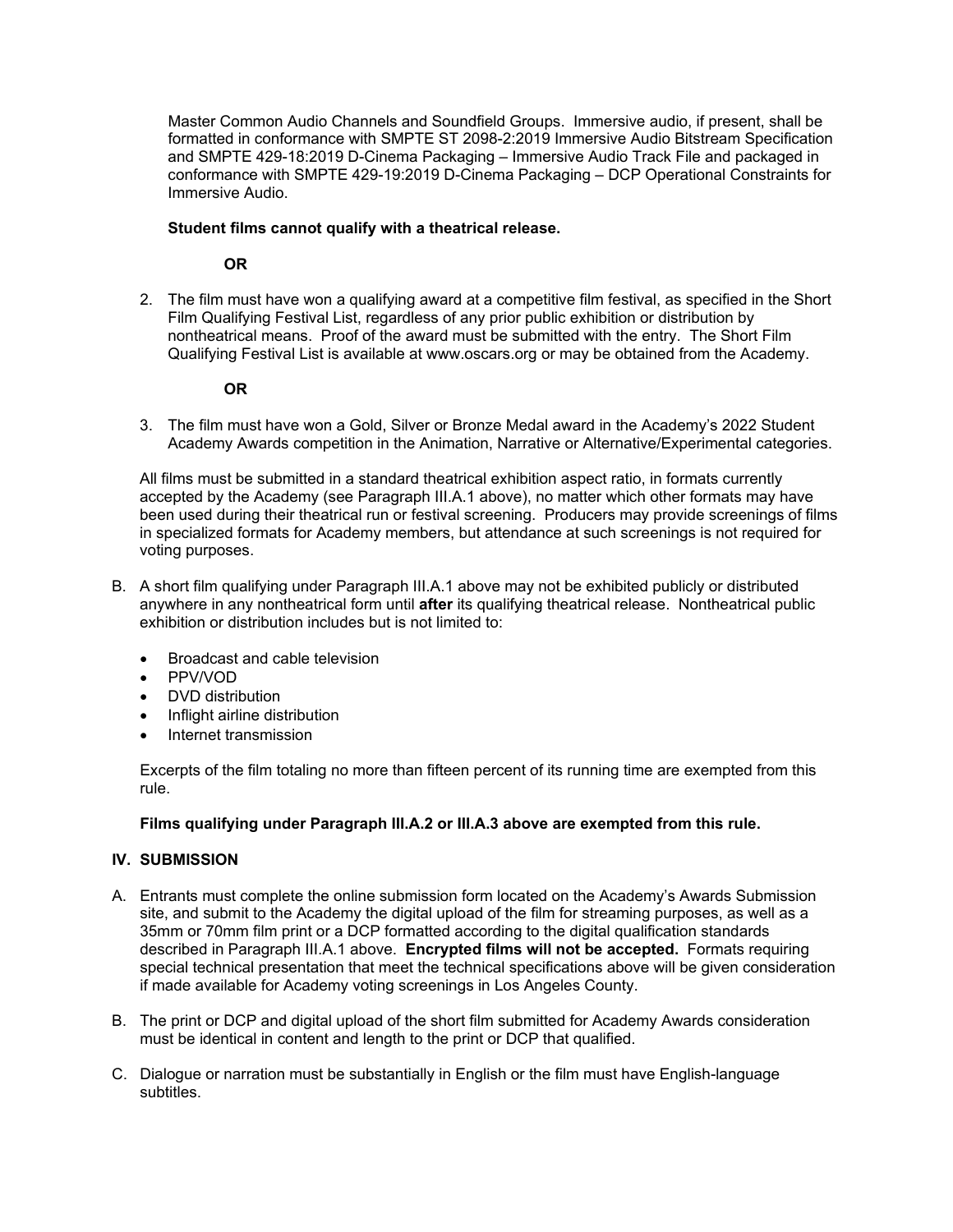Master Common Audio Channels and Soundfield Groups. Immersive audio, if present, shall be formatted in conformance with SMPTE ST 2098-2:2019 Immersive Audio Bitstream Specification and SMPTE 429-18:2019 D-Cinema Packaging – Immersive Audio Track File and packaged in conformance with SMPTE 429-19:2019 D-Cinema Packaging – DCP Operational Constraints for Immersive Audio.

### **Student films cannot qualify with a theatrical release.**

### **OR**

2. The film must have won a qualifying award at a competitive film festival, as specified in the Short Film Qualifying Festival List, regardless of any prior public exhibition or distribution by nontheatrical means. Proof of the award must be submitted with the entry. The Short Film Qualifying Festival List is available at www.oscars.org or may be obtained from the Academy.

# **OR**

3. The film must have won a Gold, Silver or Bronze Medal award in the Academy's 2022 Student Academy Awards competition in the Animation, Narrative or Alternative/Experimental categories.

All films must be submitted in a standard theatrical exhibition aspect ratio, in formats currently accepted by the Academy (see Paragraph III.A.1 above), no matter which other formats may have been used during their theatrical run or festival screening. Producers may provide screenings of films in specialized formats for Academy members, but attendance at such screenings is not required for voting purposes.

- B. A short film qualifying under Paragraph III.A.1 above may not be exhibited publicly or distributed anywhere in any nontheatrical form until **after** its qualifying theatrical release. Nontheatrical public exhibition or distribution includes but is not limited to:
	- Broadcast and cable television
	- PPV/VOD
	- DVD distribution
	- Inflight airline distribution
	- Internet transmission

Excerpts of the film totaling no more than fifteen percent of its running time are exempted from this rule.

# **Films qualifying under Paragraph III.A.2 or III.A.3 above are exempted from this rule.**

# **IV. SUBMISSION**

- A. Entrants must complete the online submission form located on the Academy's Awards Submission site, and submit to the Academy the digital upload of the film for streaming purposes, as well as a 35mm or 70mm film print or a DCP formatted according to the digital qualification standards described in Paragraph III.A.1 above. **Encrypted films will not be accepted.** Formats requiring special technical presentation that meet the technical specifications above will be given consideration if made available for Academy voting screenings in Los Angeles County.
- B. The print or DCP and digital upload of the short film submitted for Academy Awards consideration must be identical in content and length to the print or DCP that qualified.
- C. Dialogue or narration must be substantially in English or the film must have English-language subtitles.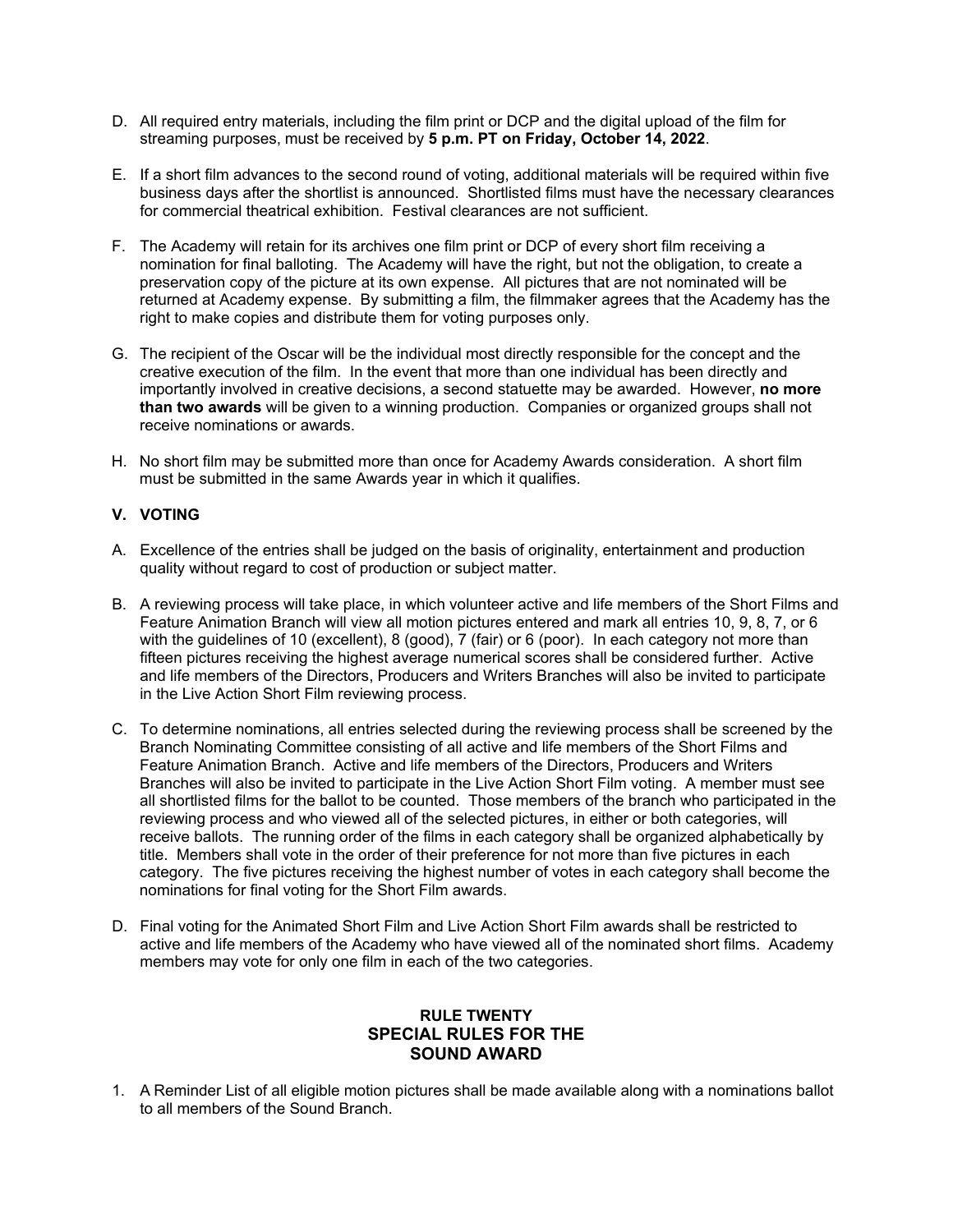- D. All required entry materials, including the film print or DCP and the digital upload of the film for streaming purposes, must be received by **5 p.m. PT on Friday, October 14, 2022**.
- E. If a short film advances to the second round of voting, additional materials will be required within five business days after the shortlist is announced. Shortlisted films must have the necessary clearances for commercial theatrical exhibition. Festival clearances are not sufficient.
- F. The Academy will retain for its archives one film print or DCP of every short film receiving a nomination for final balloting. The Academy will have the right, but not the obligation, to create a preservation copy of the picture at its own expense. All pictures that are not nominated will be returned at Academy expense. By submitting a film, the filmmaker agrees that the Academy has the right to make copies and distribute them for voting purposes only.
- G. The recipient of the Oscar will be the individual most directly responsible for the concept and the creative execution of the film. In the event that more than one individual has been directly and importantly involved in creative decisions, a second statuette may be awarded. However, **no more than two awards** will be given to a winning production. Companies or organized groups shall not receive nominations or awards.
- H. No short film may be submitted more than once for Academy Awards consideration. A short film must be submitted in the same Awards year in which it qualifies.

# **V. VOTING**

- A. Excellence of the entries shall be judged on the basis of originality, entertainment and production quality without regard to cost of production or subject matter.
- B. A reviewing process will take place, in which volunteer active and life members of the Short Films and Feature Animation Branch will view all motion pictures entered and mark all entries 10, 9, 8, 7, or 6 with the guidelines of 10 (excellent), 8 (good), 7 (fair) or 6 (poor). In each category not more than fifteen pictures receiving the highest average numerical scores shall be considered further. Active and life members of the Directors, Producers and Writers Branches will also be invited to participate in the Live Action Short Film reviewing process.
- C. To determine nominations, all entries selected during the reviewing process shall be screened by the Branch Nominating Committee consisting of all active and life members of the Short Films and Feature Animation Branch. Active and life members of the Directors, Producers and Writers Branches will also be invited to participate in the Live Action Short Film voting. A member must see all shortlisted films for the ballot to be counted. Those members of the branch who participated in the reviewing process and who viewed all of the selected pictures, in either or both categories, will receive ballots. The running order of the films in each category shall be organized alphabetically by title. Members shall vote in the order of their preference for not more than five pictures in each category. The five pictures receiving the highest number of votes in each category shall become the nominations for final voting for the Short Film awards.
- D. Final voting for the Animated Short Film and Live Action Short Film awards shall be restricted to active and life members of the Academy who have viewed all of the nominated short films. Academy members may vote for only one film in each of the two categories.

# **RULE TWENTY SPECIAL RULES FOR THE SOUND AWARD**

1. A Reminder List of all eligible motion pictures shall be made available along with a nominations ballot to all members of the Sound Branch.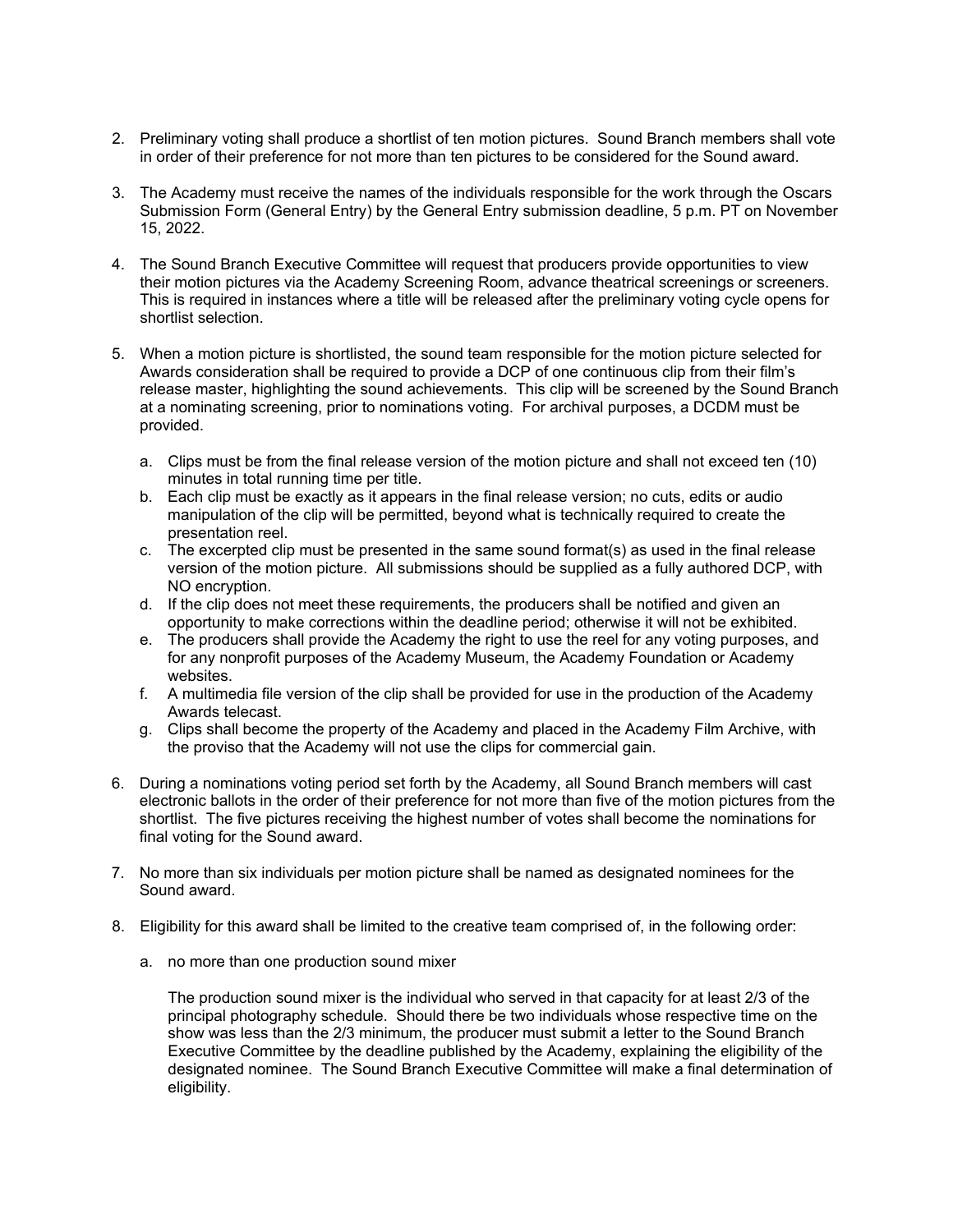- 2. Preliminary voting shall produce a shortlist of ten motion pictures. Sound Branch members shall vote in order of their preference for not more than ten pictures to be considered for the Sound award.
- 3. The Academy must receive the names of the individuals responsible for the work through the Oscars Submission Form (General Entry) by the General Entry submission deadline, 5 p.m. PT on November 15, 2022.
- 4. The Sound Branch Executive Committee will request that producers provide opportunities to view their motion pictures via the Academy Screening Room, advance theatrical screenings or screeners. This is required in instances where a title will be released after the preliminary voting cycle opens for shortlist selection.
- 5. When a motion picture is shortlisted, the sound team responsible for the motion picture selected for Awards consideration shall be required to provide a DCP of one continuous clip from their film's release master, highlighting the sound achievements. This clip will be screened by the Sound Branch at a nominating screening, prior to nominations voting. For archival purposes, a DCDM must be provided.
	- a. Clips must be from the final release version of the motion picture and shall not exceed ten (10) minutes in total running time per title.
	- b. Each clip must be exactly as it appears in the final release version; no cuts, edits or audio manipulation of the clip will be permitted, beyond what is technically required to create the presentation reel.
	- c. The excerpted clip must be presented in the same sound format(s) as used in the final release version of the motion picture. All submissions should be supplied as a fully authored DCP, with NO encryption.
	- d. If the clip does not meet these requirements, the producers shall be notified and given an opportunity to make corrections within the deadline period; otherwise it will not be exhibited.
	- e. The producers shall provide the Academy the right to use the reel for any voting purposes, and for any nonprofit purposes of the Academy Museum, the Academy Foundation or Academy websites.
	- f. A multimedia file version of the clip shall be provided for use in the production of the Academy Awards telecast.
	- g. Clips shall become the property of the Academy and placed in the Academy Film Archive, with the proviso that the Academy will not use the clips for commercial gain.
- 6. During a nominations voting period set forth by the Academy, all Sound Branch members will cast electronic ballots in the order of their preference for not more than five of the motion pictures from the shortlist. The five pictures receiving the highest number of votes shall become the nominations for final voting for the Sound award.
- 7. No more than six individuals per motion picture shall be named as designated nominees for the Sound award.
- 8. Eligibility for this award shall be limited to the creative team comprised of, in the following order:
	- a. no more than one production sound mixer

The production sound mixer is the individual who served in that capacity for at least 2/3 of the principal photography schedule. Should there be two individuals whose respective time on the show was less than the 2/3 minimum, the producer must submit a letter to the Sound Branch Executive Committee by the deadline published by the Academy, explaining the eligibility of the designated nominee. The Sound Branch Executive Committee will make a final determination of eligibility.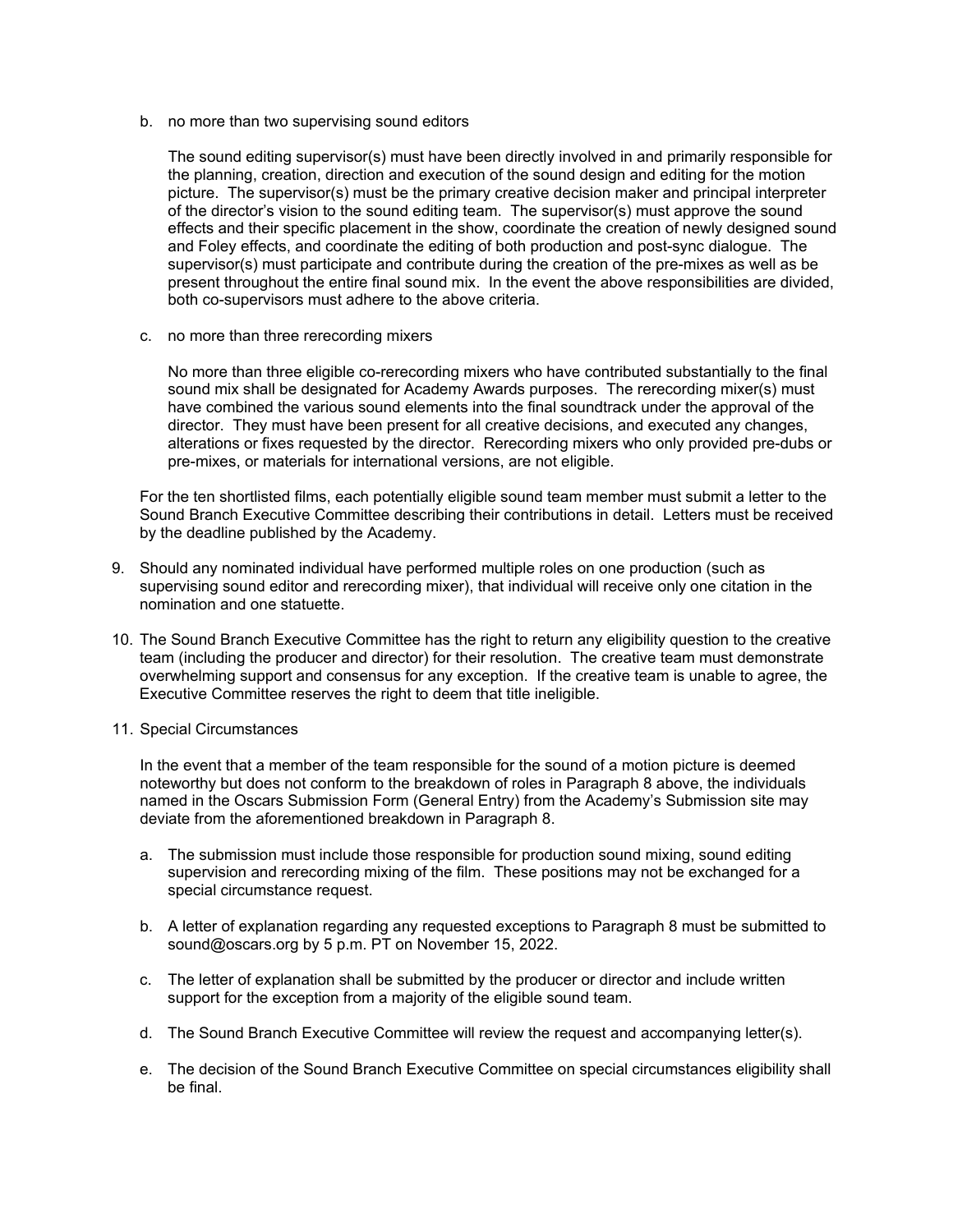b. no more than two supervising sound editors

The sound editing supervisor(s) must have been directly involved in and primarily responsible for the planning, creation, direction and execution of the sound design and editing for the motion picture. The supervisor(s) must be the primary creative decision maker and principal interpreter of the director's vision to the sound editing team. The supervisor(s) must approve the sound effects and their specific placement in the show, coordinate the creation of newly designed sound and Foley effects, and coordinate the editing of both production and post-sync dialogue. The supervisor(s) must participate and contribute during the creation of the pre-mixes as well as be present throughout the entire final sound mix. In the event the above responsibilities are divided, both co-supervisors must adhere to the above criteria.

c. no more than three rerecording mixers

No more than three eligible co-rerecording mixers who have contributed substantially to the final sound mix shall be designated for Academy Awards purposes. The rerecording mixer(s) must have combined the various sound elements into the final soundtrack under the approval of the director. They must have been present for all creative decisions, and executed any changes, alterations or fixes requested by the director. Rerecording mixers who only provided pre-dubs or pre-mixes, or materials for international versions, are not eligible.

For the ten shortlisted films, each potentially eligible sound team member must submit a letter to the Sound Branch Executive Committee describing their contributions in detail. Letters must be received by the deadline published by the Academy.

- 9. Should any nominated individual have performed multiple roles on one production (such as supervising sound editor and rerecording mixer), that individual will receive only one citation in the nomination and one statuette.
- 10. The Sound Branch Executive Committee has the right to return any eligibility question to the creative team (including the producer and director) for their resolution. The creative team must demonstrate overwhelming support and consensus for any exception. If the creative team is unable to agree, the Executive Committee reserves the right to deem that title ineligible.
- 11. Special Circumstances

In the event that a member of the team responsible for the sound of a motion picture is deemed noteworthy but does not conform to the breakdown of roles in Paragraph 8 above, the individuals named in the Oscars Submission Form (General Entry) from the Academy's Submission site may deviate from the aforementioned breakdown in Paragraph 8.

- a. The submission must include those responsible for production sound mixing, sound editing supervision and rerecording mixing of the film. These positions may not be exchanged for a special circumstance request.
- b. A letter of explanation regarding any requested exceptions to Paragraph 8 must be submitted to sound@oscars.org by 5 p.m. PT on November 15, 2022.
- c. The letter of explanation shall be submitted by the producer or director and include written support for the exception from a majority of the eligible sound team.
- d. The Sound Branch Executive Committee will review the request and accompanying letter(s).
- e. The decision of the Sound Branch Executive Committee on special circumstances eligibility shall be final.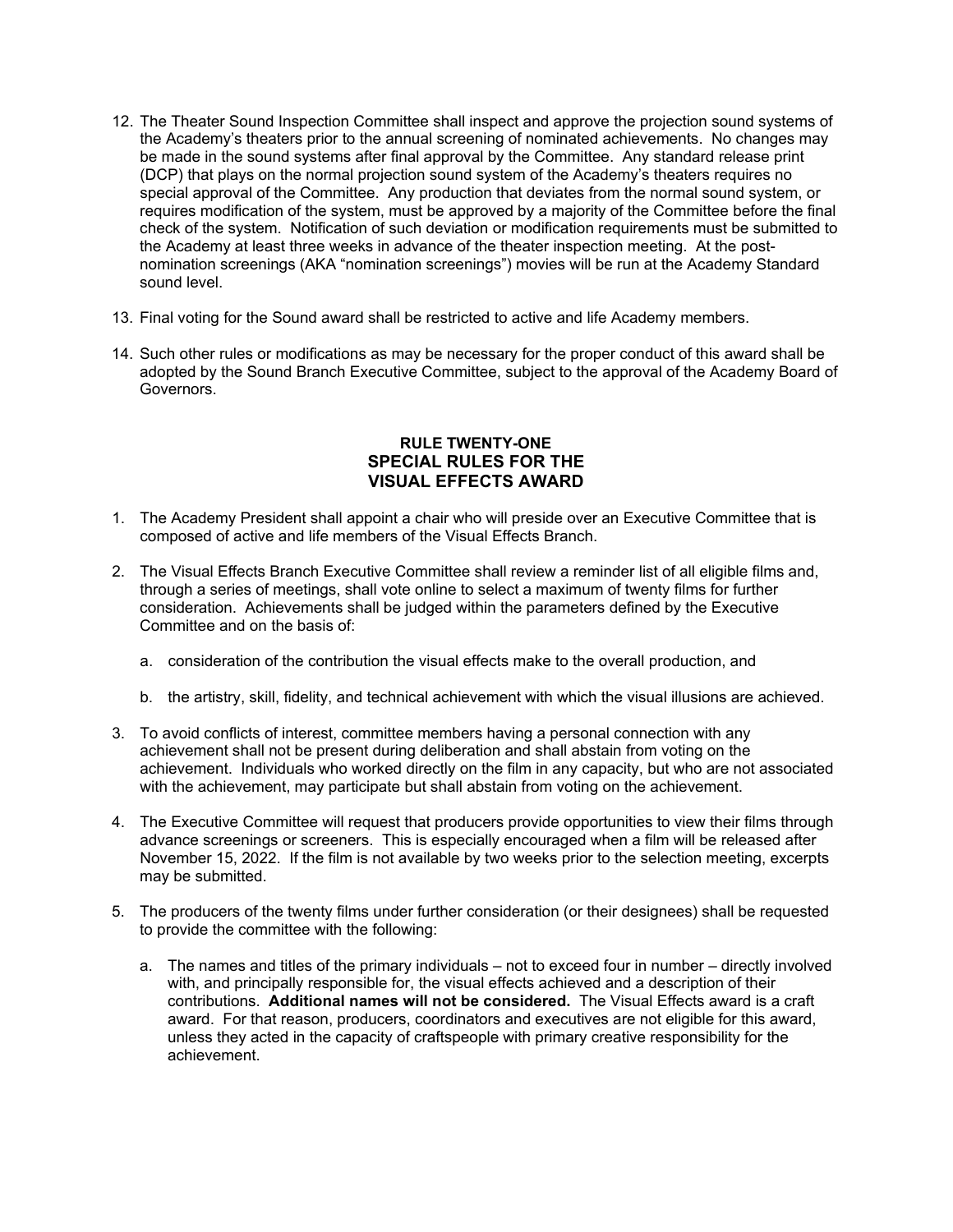- 12. The Theater Sound Inspection Committee shall inspect and approve the projection sound systems of the Academy's theaters prior to the annual screening of nominated achievements. No changes may be made in the sound systems after final approval by the Committee. Any standard release print (DCP) that plays on the normal projection sound system of the Academy's theaters requires no special approval of the Committee. Any production that deviates from the normal sound system, or requires modification of the system, must be approved by a majority of the Committee before the final check of the system. Notification of such deviation or modification requirements must be submitted to the Academy at least three weeks in advance of the theater inspection meeting. At the postnomination screenings (AKA "nomination screenings") movies will be run at the Academy Standard sound level.
- 13. Final voting for the Sound award shall be restricted to active and life Academy members.
- 14. Such other rules or modifications as may be necessary for the proper conduct of this award shall be adopted by the Sound Branch Executive Committee, subject to the approval of the Academy Board of Governors.

# **RULE TWENTY-ONE SPECIAL RULES FOR THE VISUAL EFFECTS AWARD**

- 1. The Academy President shall appoint a chair who will preside over an Executive Committee that is composed of active and life members of the Visual Effects Branch.
- 2. The Visual Effects Branch Executive Committee shall review a reminder list of all eligible films and, through a series of meetings, shall vote online to select a maximum of twenty films for further consideration. Achievements shall be judged within the parameters defined by the Executive Committee and on the basis of:
	- a. consideration of the contribution the visual effects make to the overall production, and
	- b. the artistry, skill, fidelity, and technical achievement with which the visual illusions are achieved.
- 3. To avoid conflicts of interest, committee members having a personal connection with any achievement shall not be present during deliberation and shall abstain from voting on the achievement. Individuals who worked directly on the film in any capacity, but who are not associated with the achievement, may participate but shall abstain from voting on the achievement.
- 4. The Executive Committee will request that producers provide opportunities to view their films through advance screenings or screeners. This is especially encouraged when a film will be released after November 15, 2022. If the film is not available by two weeks prior to the selection meeting, excerpts may be submitted.
- 5. The producers of the twenty films under further consideration (or their designees) shall be requested to provide the committee with the following:
	- a. The names and titles of the primary individuals not to exceed four in number directly involved with, and principally responsible for, the visual effects achieved and a description of their contributions. **Additional names will not be considered.** The Visual Effects award is a craft award. For that reason, producers, coordinators and executives are not eligible for this award, unless they acted in the capacity of craftspeople with primary creative responsibility for the achievement.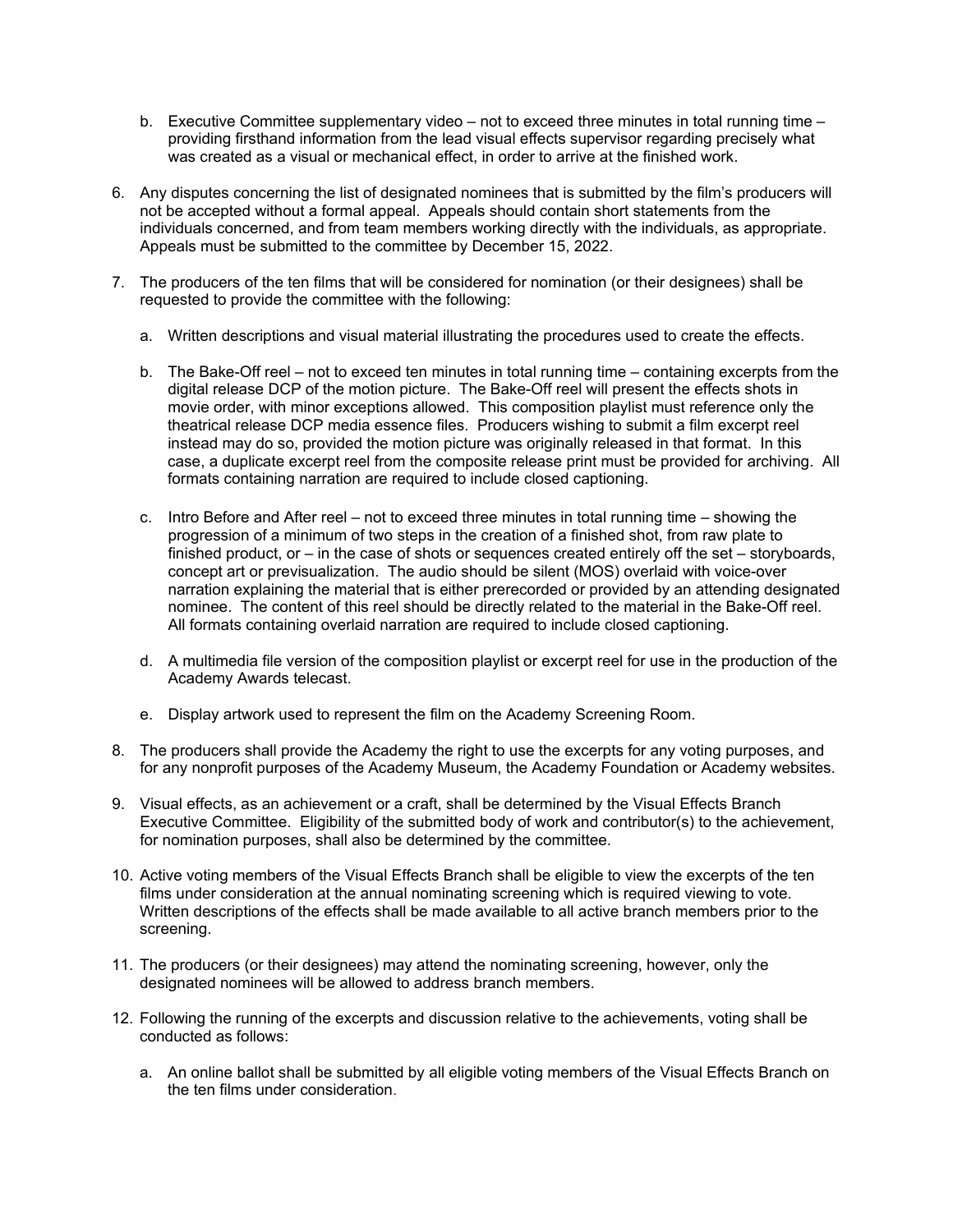- b. Executive Committee supplementary video not to exceed three minutes in total running time providing firsthand information from the lead visual effects supervisor regarding precisely what was created as a visual or mechanical effect, in order to arrive at the finished work.
- 6. Any disputes concerning the list of designated nominees that is submitted by the film's producers will not be accepted without a formal appeal. Appeals should contain short statements from the individuals concerned, and from team members working directly with the individuals, as appropriate. Appeals must be submitted to the committee by December 15, 2022.
- 7. The producers of the ten films that will be considered for nomination (or their designees) shall be requested to provide the committee with the following:
	- a. Written descriptions and visual material illustrating the procedures used to create the effects.
	- b. The Bake-Off reel not to exceed ten minutes in total running time containing excerpts from the digital release DCP of the motion picture. The Bake-Off reel will present the effects shots in movie order, with minor exceptions allowed. This composition playlist must reference only the theatrical release DCP media essence files. Producers wishing to submit a film excerpt reel instead may do so, provided the motion picture was originally released in that format. In this case, a duplicate excerpt reel from the composite release print must be provided for archiving. All formats containing narration are required to include closed captioning.
	- c. Intro Before and After reel not to exceed three minutes in total running time showing the progression of a minimum of two steps in the creation of a finished shot, from raw plate to finished product, or – in the case of shots or sequences created entirely off the set – storyboards, concept art or previsualization. The audio should be silent (MOS) overlaid with voice-over narration explaining the material that is either prerecorded or provided by an attending designated nominee. The content of this reel should be directly related to the material in the Bake-Off reel. All formats containing overlaid narration are required to include closed captioning.
	- d. A multimedia file version of the composition playlist or excerpt reel for use in the production of the Academy Awards telecast.
	- e. Display artwork used to represent the film on the Academy Screening Room.
- 8. The producers shall provide the Academy the right to use the excerpts for any voting purposes, and for any nonprofit purposes of the Academy Museum, the Academy Foundation or Academy websites.
- 9. Visual effects, as an achievement or a craft, shall be determined by the Visual Effects Branch Executive Committee. Eligibility of the submitted body of work and contributor(s) to the achievement, for nomination purposes, shall also be determined by the committee.
- 10. Active voting members of the Visual Effects Branch shall be eligible to view the excerpts of the ten films under consideration at the annual nominating screening which is required viewing to vote. Written descriptions of the effects shall be made available to all active branch members prior to the screening.
- 11. The producers (or their designees) may attend the nominating screening, however, only the designated nominees will be allowed to address branch members.
- 12. Following the running of the excerpts and discussion relative to the achievements, voting shall be conducted as follows:
	- a. An online ballot shall be submitted by all eligible voting members of the Visual Effects Branch on the ten films under consideration.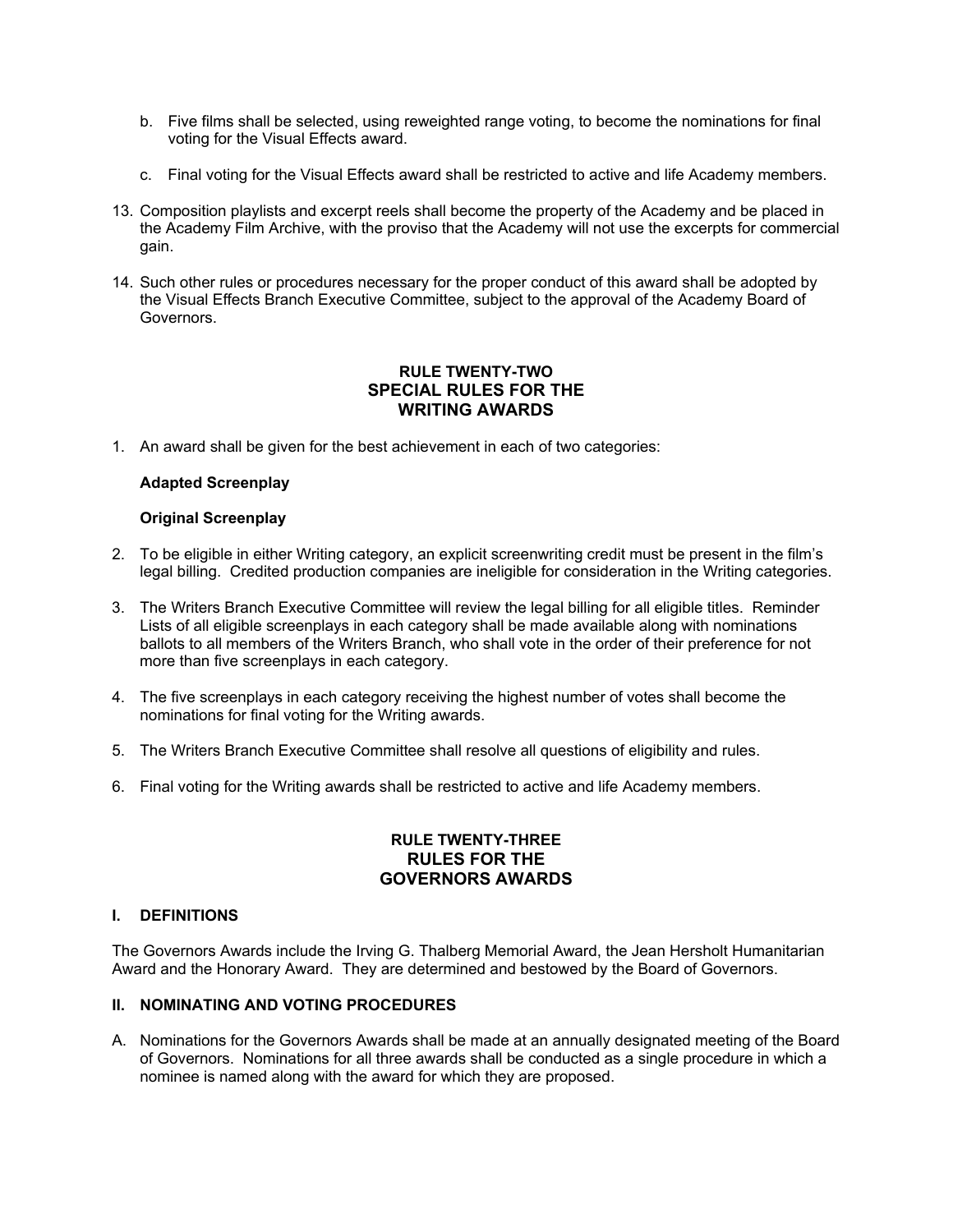- b. Five films shall be selected, using reweighted range voting, to become the nominations for final voting for the Visual Effects award.
- c. Final voting for the Visual Effects award shall be restricted to active and life Academy members.
- 13. Composition playlists and excerpt reels shall become the property of the Academy and be placed in the Academy Film Archive, with the proviso that the Academy will not use the excerpts for commercial gain.
- 14. Such other rules or procedures necessary for the proper conduct of this award shall be adopted by the Visual Effects Branch Executive Committee, subject to the approval of the Academy Board of Governors.

# **RULE TWENTY-TWO SPECIAL RULES FOR THE WRITING AWARDS**

1. An award shall be given for the best achievement in each of two categories:

# **Adapted Screenplay**

# **Original Screenplay**

- 2. To be eligible in either Writing category, an explicit screenwriting credit must be present in the film's legal billing. Credited production companies are ineligible for consideration in the Writing categories.
- 3. The Writers Branch Executive Committee will review the legal billing for all eligible titles. Reminder Lists of all eligible screenplays in each category shall be made available along with nominations ballots to all members of the Writers Branch, who shall vote in the order of their preference for not more than five screenplays in each category.
- 4. The five screenplays in each category receiving the highest number of votes shall become the nominations for final voting for the Writing awards.
- 5. The Writers Branch Executive Committee shall resolve all questions of eligibility and rules.
- 6. Final voting for the Writing awards shall be restricted to active and life Academy members.

## **RULE TWENTY-THREE RULES FOR THE GOVERNORS AWARDS**

# **I. DEFINITIONS**

The Governors Awards include the Irving G. Thalberg Memorial Award, the Jean Hersholt Humanitarian Award and the Honorary Award. They are determined and bestowed by the Board of Governors.

# **II. NOMINATING AND VOTING PROCEDURES**

A. Nominations for the Governors Awards shall be made at an annually designated meeting of the Board of Governors. Nominations for all three awards shall be conducted as a single procedure in which a nominee is named along with the award for which they are proposed.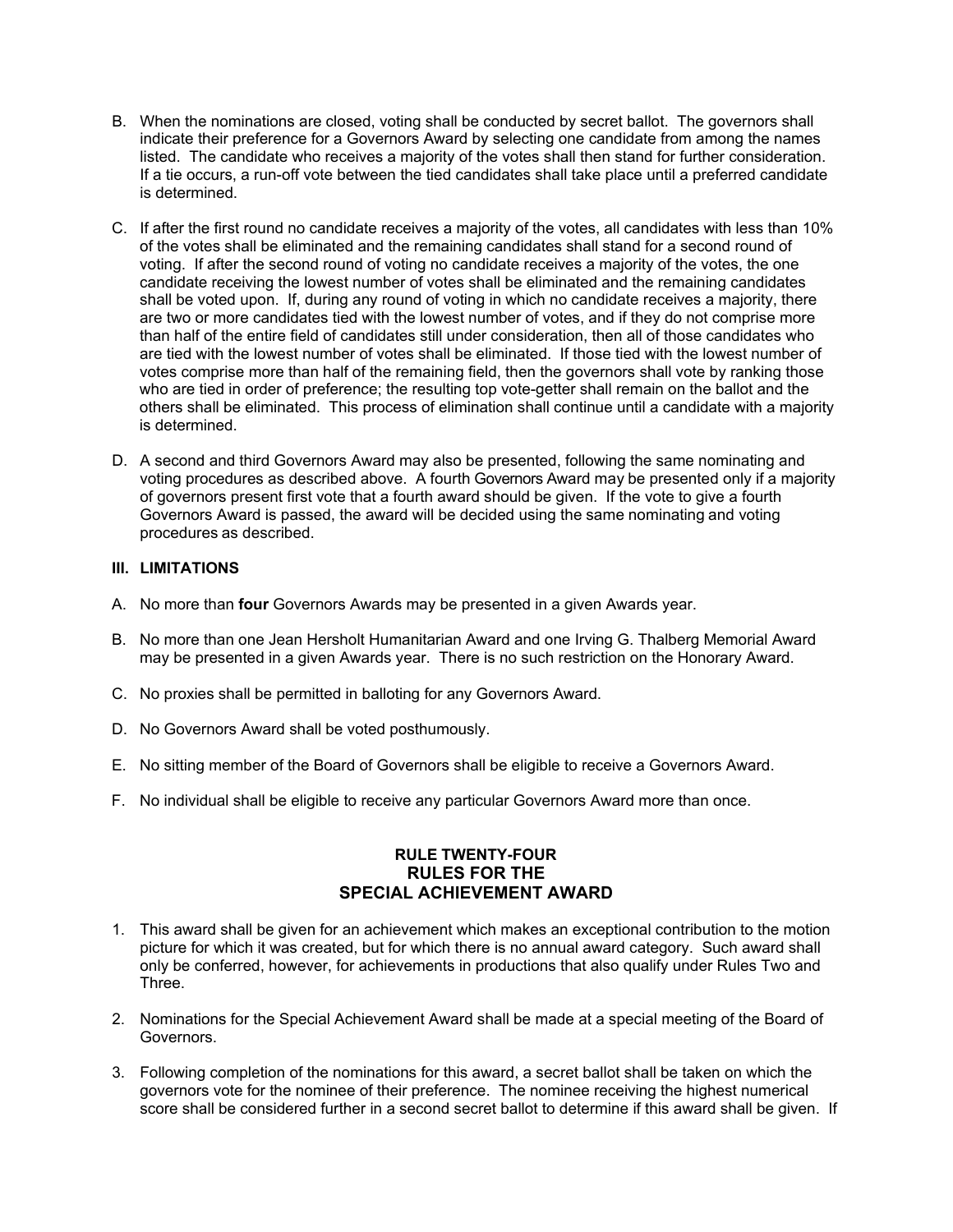- B. When the nominations are closed, voting shall be conducted by secret ballot. The governors shall indicate their preference for a Governors Award by selecting one candidate from among the names listed. The candidate who receives a majority of the votes shall then stand for further consideration. If a tie occurs, a run-off vote between the tied candidates shall take place until a preferred candidate is determined.
- C. If after the first round no candidate receives a majority of the votes, all candidates with less than 10% of the votes shall be eliminated and the remaining candidates shall stand for a second round of voting. If after the second round of voting no candidate receives a majority of the votes, the one candidate receiving the lowest number of votes shall be eliminated and the remaining candidates shall be voted upon. If, during any round of voting in which no candidate receives a majority, there are two or more candidates tied with the lowest number of votes, and if they do not comprise more than half of the entire field of candidates still under consideration, then all of those candidates who are tied with the lowest number of votes shall be eliminated. If those tied with the lowest number of votes comprise more than half of the remaining field, then the governors shall vote by ranking those who are tied in order of preference; the resulting top vote-getter shall remain on the ballot and the others shall be eliminated. This process of elimination shall continue until a candidate with a majority is determined.
- D. A second and third Governors Award may also be presented, following the same nominating and voting procedures as described above. A fourth Governors Award may be presented only if a majority of governors present first vote that a fourth award should be given. If the vote to give a fourth Governors Award is passed, the award will be decided using the same nominating and voting procedures as described.

# **III. LIMITATIONS**

- A. No more than **four** Governors Awards may be presented in a given Awards year.
- B. No more than one Jean Hersholt Humanitarian Award and one Irving G. Thalberg Memorial Award may be presented in a given Awards year. There is no such restriction on the Honorary Award.
- C. No proxies shall be permitted in balloting for any Governors Award.
- D. No Governors Award shall be voted posthumously.
- E. No sitting member of the Board of Governors shall be eligible to receive a Governors Award.
- F. No individual shall be eligible to receive any particular Governors Award more than once.

# **RULE TWENTY-FOUR RULES FOR THE SPECIAL ACHIEVEMENT AWARD**

- 1. This award shall be given for an achievement which makes an exceptional contribution to the motion picture for which it was created, but for which there is no annual award category. Such award shall only be conferred, however, for achievements in productions that also qualify under Rules Two and Three.
- 2. Nominations for the Special Achievement Award shall be made at a special meeting of the Board of Governors.
- 3. Following completion of the nominations for this award, a secret ballot shall be taken on which the governors vote for the nominee of their preference. The nominee receiving the highest numerical score shall be considered further in a second secret ballot to determine if this award shall be given. If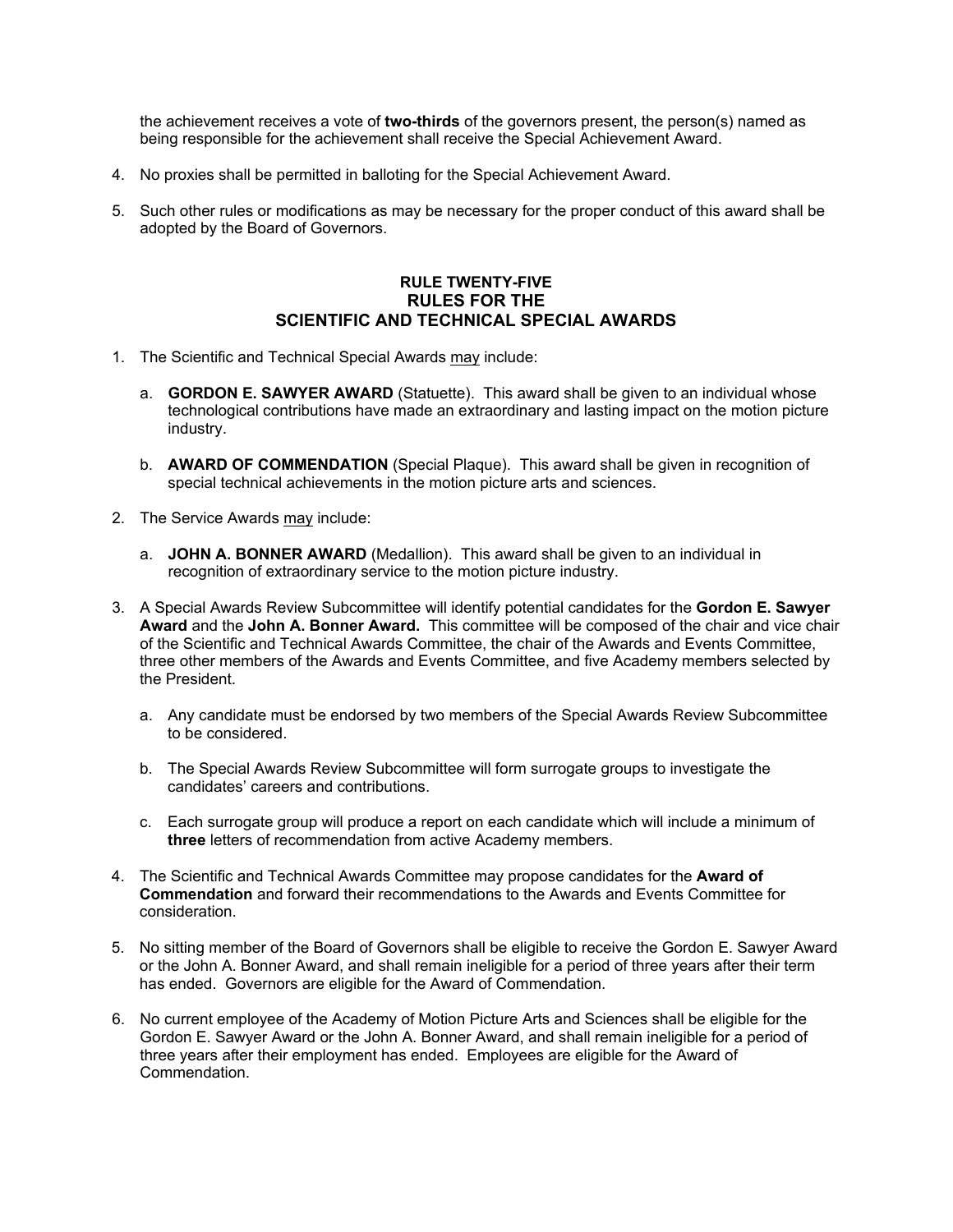the achievement receives a vote of **two-thirds** of the governors present, the person(s) named as being responsible for the achievement shall receive the Special Achievement Award.

- 4. No proxies shall be permitted in balloting for the Special Achievement Award.
- 5. Such other rules or modifications as may be necessary for the proper conduct of this award shall be adopted by the Board of Governors.

# **RULE TWENTY-FIVE RULES FOR THE SCIENTIFIC AND TECHNICAL SPECIAL AWARDS**

- 1. The Scientific and Technical Special Awards may include:
	- a. **GORDON E. SAWYER AWARD** (Statuette). This award shall be given to an individual whose technological contributions have made an extraordinary and lasting impact on the motion picture industry.
	- b. **AWARD OF COMMENDATION** (Special Plaque). This award shall be given in recognition of special technical achievements in the motion picture arts and sciences.
- 2. The Service Awards may include:
	- a. **JOHN A. BONNER AWARD** (Medallion). This award shall be given to an individual in recognition of extraordinary service to the motion picture industry.
- 3. A Special Awards Review Subcommittee will identify potential candidates for the **Gordon E. Sawyer Award** and the **John A. Bonner Award.** This committee will be composed of the chair and vice chair of the Scientific and Technical Awards Committee, the chair of the Awards and Events Committee, three other members of the Awards and Events Committee, and five Academy members selected by the President.
	- a. Any candidate must be endorsed by two members of the Special Awards Review Subcommittee to be considered.
	- b. The Special Awards Review Subcommittee will form surrogate groups to investigate the candidates' careers and contributions.
	- c. Each surrogate group will produce a report on each candidate which will include a minimum of **three** letters of recommendation from active Academy members.
- 4. The Scientific and Technical Awards Committee may propose candidates for the **Award of Commendation** and forward their recommendations to the Awards and Events Committee for consideration.
- 5. No sitting member of the Board of Governors shall be eligible to receive the Gordon E. Sawyer Award or the John A. Bonner Award, and shall remain ineligible for a period of three years after their term has ended. Governors are eligible for the Award of Commendation.
- 6. No current employee of the Academy of Motion Picture Arts and Sciences shall be eligible for the Gordon E. Sawyer Award or the John A. Bonner Award, and shall remain ineligible for a period of three years after their employment has ended. Employees are eligible for the Award of Commendation.